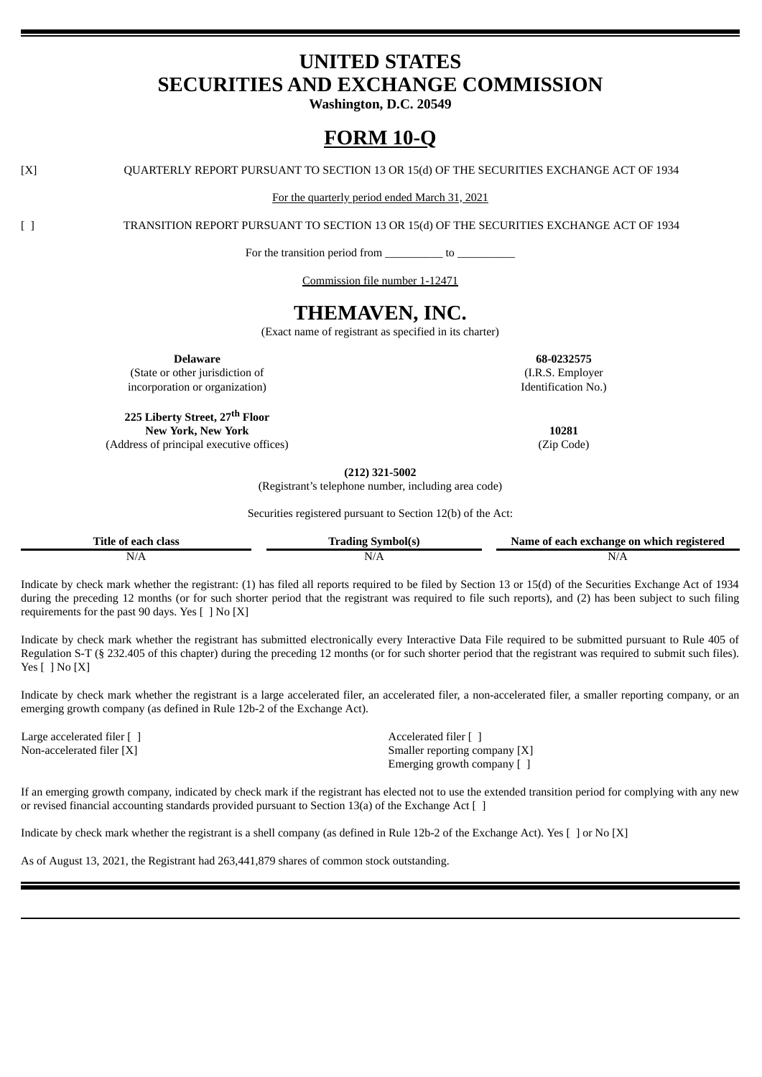# **UNITED STATES SECURITIES AND EXCHANGE COMMISSION**

**Washington, D.C. 20549**

# **FORM 10-Q**

[X] QUARTERLY REPORT PURSUANT TO SECTION 13 OR 15(d) OF THE SECURITIES EXCHANGE ACT OF 1934

For the quarterly period ended March 31, 2021

[ ] TRANSITION REPORT PURSUANT TO SECTION 13 OR 15(d) OF THE SECURITIES EXCHANGE ACT OF 1934

For the transition period from \_\_\_\_\_\_\_\_\_\_\_\_ to \_

Commission file number 1-12471

# **THEMAVEN, INC.**

(Exact name of registrant as specified in its charter)

(State or other jurisdiction of incorporation or organization)

**225 Liberty Street, 27 th Floor New York, New York 10281** (Address of principal executive offices) (Zip Code)

**(212) 321-5002**

(Registrant's telephone number, including area code)

Securities registered pursuant to Section 12(b) of the Act:

| Title of<br>class<br>' ooch<br>ГЛ | tradıng<br>Symbolls                    | Name of each exchange on which registered |
|-----------------------------------|----------------------------------------|-------------------------------------------|
| N/A                               | N/A<br>the contract of the contract of | N<br>11/17                                |

Indicate by check mark whether the registrant: (1) has filed all reports required to be filed by Section 13 or 15(d) of the Securities Exchange Act of 1934 during the preceding 12 months (or for such shorter period that the registrant was required to file such reports), and (2) has been subject to such filing requirements for the past 90 days. Yes  $\lceil \ \rceil$  No  $\lceil X \rceil$ 

Indicate by check mark whether the registrant has submitted electronically every Interactive Data File required to be submitted pursuant to Rule 405 of Regulation S-T (§ 232.405 of this chapter) during the preceding 12 months (or for such shorter period that the registrant was required to submit such files). Yes  $[$   $]$  No  $[X]$ 

Indicate by check mark whether the registrant is a large accelerated filer, an accelerated filer, a non-accelerated filer, a smaller reporting company, or an emerging growth company (as defined in Rule 12b-2 of the Exchange Act).

Large accelerated filer [ ] and a set of the set of the set of the set of the set of the set of the set of the set of the set of the set of the set of the set of the set of the set of the set of the set of the set of the s

Non-accelerated filer [X] Smaller reporting company [X] Emerging growth company [ ]

If an emerging growth company, indicated by check mark if the registrant has elected not to use the extended transition period for complying with any new or revised financial accounting standards provided pursuant to Section 13(a) of the Exchange Act [ ]

Indicate by check mark whether the registrant is a shell company (as defined in Rule 12b-2 of the Exchange Act). Yes [ ] or No [X]

As of August 13, 2021, the Registrant had 263,441,879 shares of common stock outstanding.

**Delaware 68-0232575** (I.R.S. Employer Identification No.)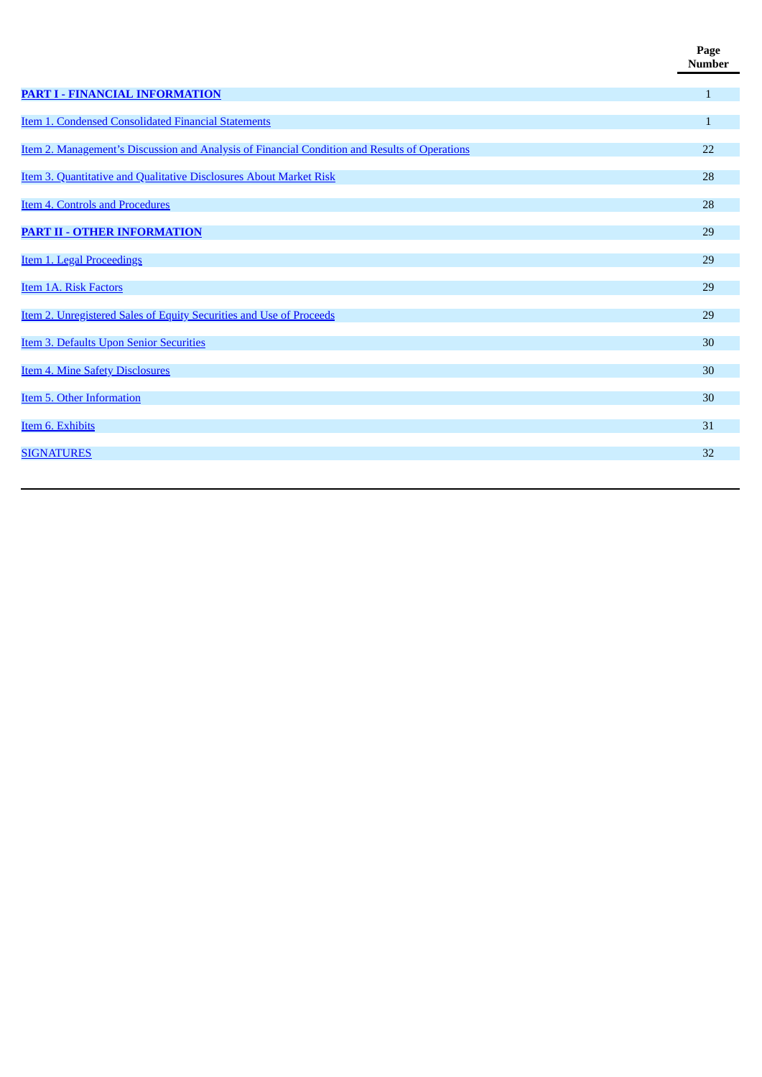**Page Number**

| <b>PART I - FINANCIAL INFORMATION</b>                                                         | $\mathbf{1}$ |
|-----------------------------------------------------------------------------------------------|--------------|
|                                                                                               |              |
| <b>Item 1. Condensed Consolidated Financial Statements</b>                                    | $\mathbf{1}$ |
| Item 2. Management's Discussion and Analysis of Financial Condition and Results of Operations | 22           |
| Item 3. Quantitative and Qualitative Disclosures About Market Risk                            | 28           |
| <b>Item 4. Controls and Procedures</b>                                                        | 28           |
| <b>PART II - OTHER INFORMATION</b>                                                            | 29           |
| Item 1. Legal Proceedings                                                                     | 29           |
| <b>Item 1A. Risk Factors</b>                                                                  | 29           |
| Item 2. Unregistered Sales of Equity Securities and Use of Proceeds                           | 29           |
| <b>Item 3. Defaults Upon Senior Securities</b>                                                | 30           |
| <b>Item 4. Mine Safety Disclosures</b>                                                        | 30           |
| Item 5. Other Information                                                                     | 30           |
| Item 6. Exhibits                                                                              | 31           |
| <b>SIGNATURES</b>                                                                             | 32           |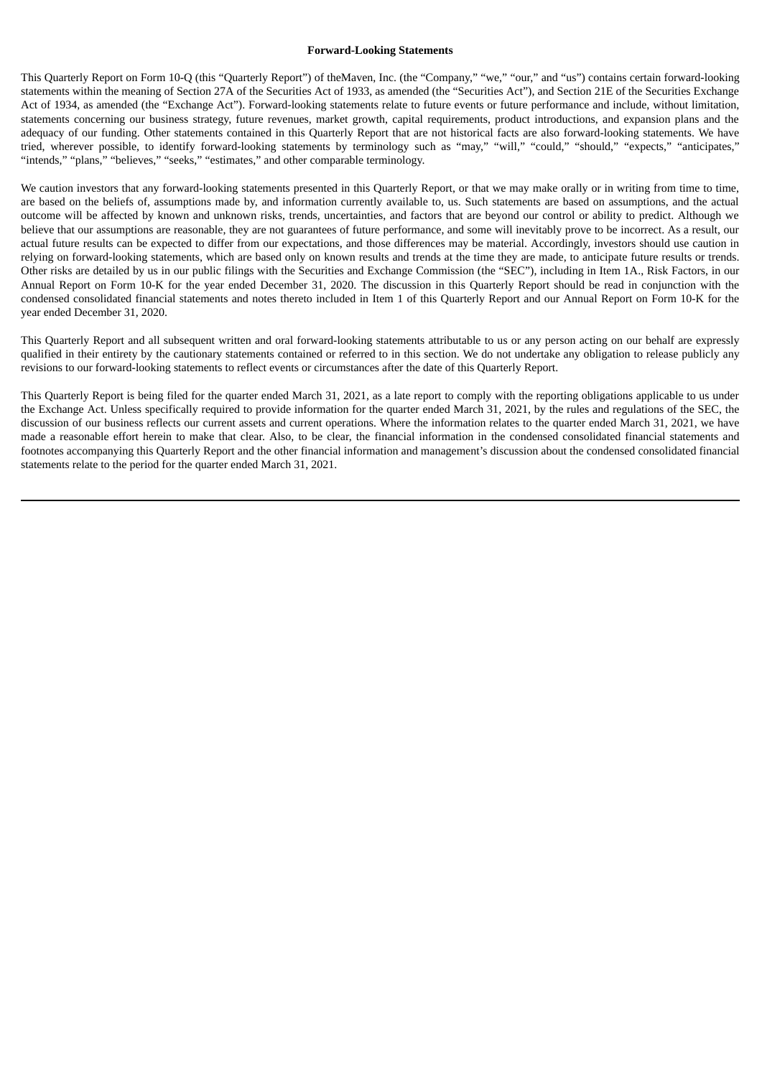#### **Forward-Looking Statements**

This Quarterly Report on Form 10-Q (this "Quarterly Report") of theMaven, Inc. (the "Company," "we," "our," and "us") contains certain forward-looking statements within the meaning of Section 27A of the Securities Act of 1933, as amended (the "Securities Act"), and Section 21E of the Securities Exchange Act of 1934, as amended (the "Exchange Act"). Forward-looking statements relate to future events or future performance and include, without limitation, statements concerning our business strategy, future revenues, market growth, capital requirements, product introductions, and expansion plans and the adequacy of our funding. Other statements contained in this Quarterly Report that are not historical facts are also forward-looking statements. We have tried, wherever possible, to identify forward-looking statements by terminology such as "may," "will," "could," "should," "expects," "anticipates," "intends," "plans," "believes," "seeks," "estimates," and other comparable terminology.

We caution investors that any forward-looking statements presented in this Quarterly Report, or that we may make orally or in writing from time to time, are based on the beliefs of, assumptions made by, and information currently available to, us. Such statements are based on assumptions, and the actual outcome will be affected by known and unknown risks, trends, uncertainties, and factors that are beyond our control or ability to predict. Although we believe that our assumptions are reasonable, they are not guarantees of future performance, and some will inevitably prove to be incorrect. As a result, our actual future results can be expected to differ from our expectations, and those differences may be material. Accordingly, investors should use caution in relying on forward-looking statements, which are based only on known results and trends at the time they are made, to anticipate future results or trends. Other risks are detailed by us in our public filings with the Securities and Exchange Commission (the "SEC"), including in Item 1A., Risk Factors, in our Annual Report on Form 10-K for the year ended December 31, 2020. The discussion in this Quarterly Report should be read in conjunction with the condensed consolidated financial statements and notes thereto included in Item 1 of this Quarterly Report and our Annual Report on Form 10-K for the year ended December 31, 2020.

This Quarterly Report and all subsequent written and oral forward-looking statements attributable to us or any person acting on our behalf are expressly qualified in their entirety by the cautionary statements contained or referred to in this section. We do not undertake any obligation to release publicly any revisions to our forward-looking statements to reflect events or circumstances after the date of this Quarterly Report.

This Quarterly Report is being filed for the quarter ended March 31, 2021, as a late report to comply with the reporting obligations applicable to us under the Exchange Act. Unless specifically required to provide information for the quarter ended March 31, 2021, by the rules and regulations of the SEC, the discussion of our business reflects our current assets and current operations. Where the information relates to the quarter ended March 31, 2021, we have made a reasonable effort herein to make that clear. Also, to be clear, the financial information in the condensed consolidated financial statements and footnotes accompanying this Quarterly Report and the other financial information and management's discussion about the condensed consolidated financial statements relate to the period for the quarter ended March 31, 2021.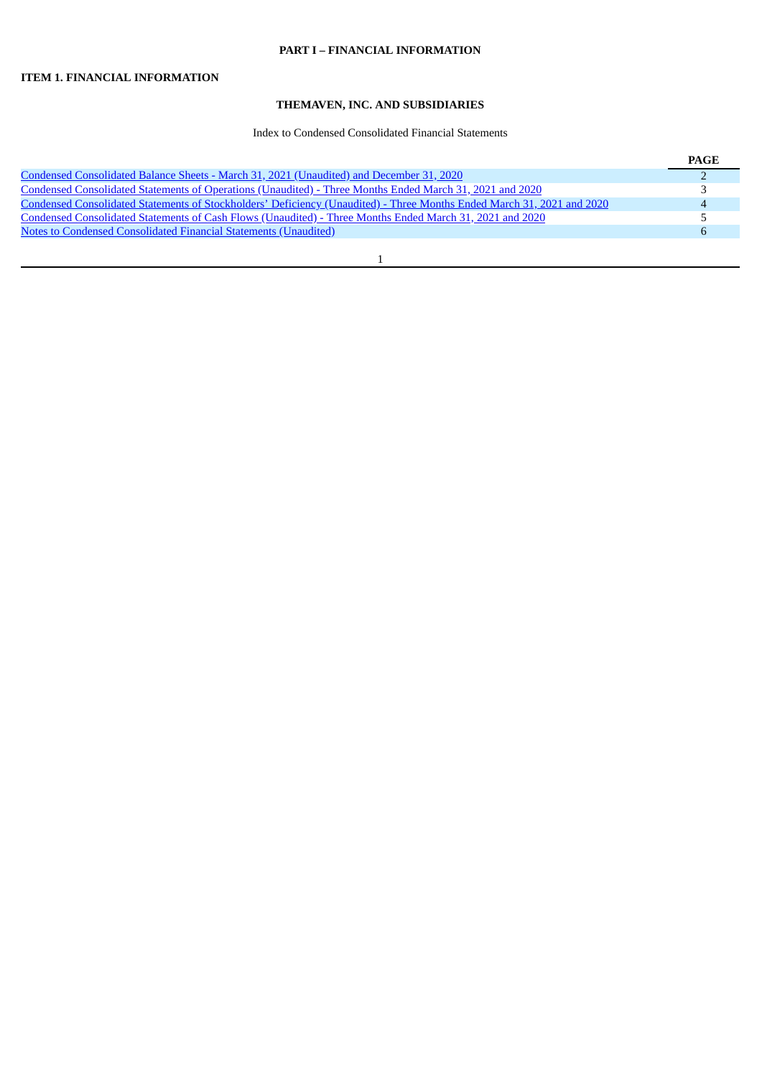## **PART I – FINANCIAL INFORMATION**

# <span id="page-3-1"></span><span id="page-3-0"></span>**ITEM 1. FINANCIAL INFORMATION**

## **THEMAVEN, INC. AND SUBSIDIARIES**

Index to Condensed Consolidated Financial Statements

|                                                                                                                        | <b>PAGE</b> |
|------------------------------------------------------------------------------------------------------------------------|-------------|
| Condensed Consolidated Balance Sheets - March 31, 2021 (Unaudited) and December 31, 2020                               |             |
| Condensed Consolidated Statements of Operations (Unaudited) - Three Months Ended March 31, 2021 and 2020               |             |
| Condensed Consolidated Statements of Stockholders' Deficiency (Unaudited) - Three Months Ended March 31, 2021 and 2020 |             |
| Condensed Consolidated Statements of Cash Flows (Unaudited) - Three Months Ended March 31, 2021 and 2020               |             |
| Notes to Condensed Consolidated Financial Statements (Unaudited)                                                       |             |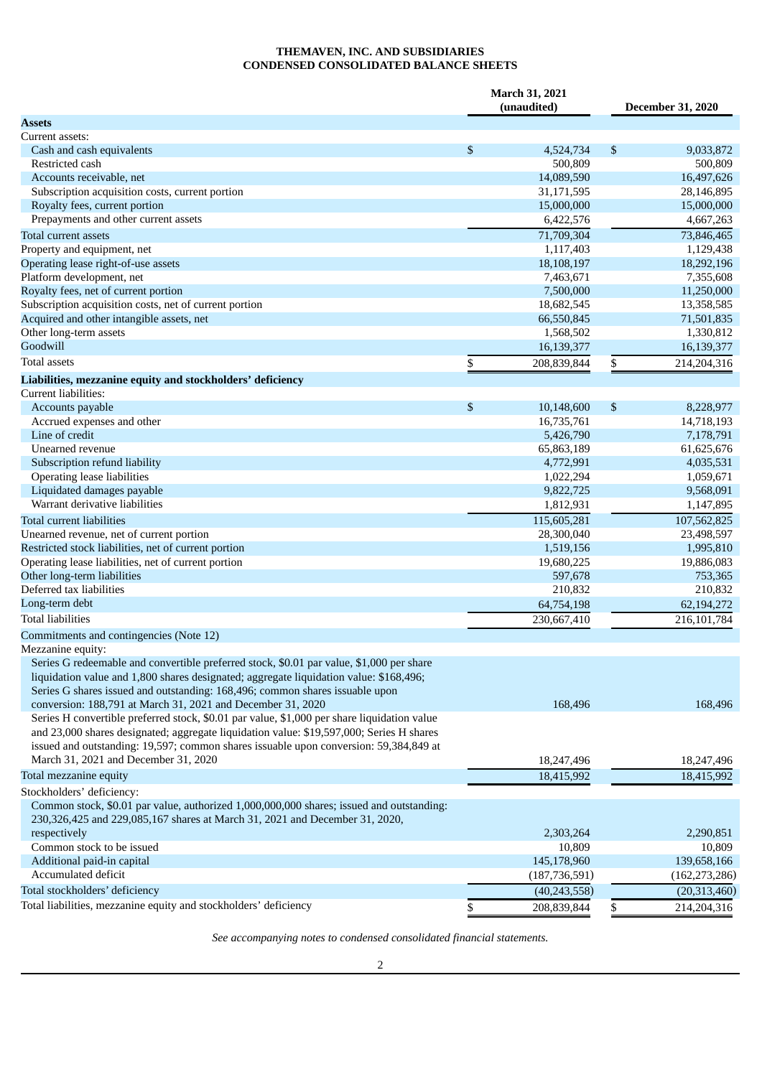## **THEMAVEN, INC. AND SUBSIDIARIES CONDENSED CONSOLIDATED BALANCE SHEETS**

<span id="page-4-0"></span>

|                                                                                                                                                                                                                                                                    | March 31, 2021<br>(unaudited) |                          | <b>December 31, 2020</b> |
|--------------------------------------------------------------------------------------------------------------------------------------------------------------------------------------------------------------------------------------------------------------------|-------------------------------|--------------------------|--------------------------|
| <b>Assets</b>                                                                                                                                                                                                                                                      |                               |                          |                          |
| Current assets:                                                                                                                                                                                                                                                    |                               |                          |                          |
| Cash and cash equivalents                                                                                                                                                                                                                                          | \$                            | 4,524,734                | \$<br>9,033,872          |
| Restricted cash                                                                                                                                                                                                                                                    |                               | 500,809                  | 500,809                  |
| Accounts receivable, net                                                                                                                                                                                                                                           |                               | 14,089,590               | 16,497,626               |
| Subscription acquisition costs, current portion                                                                                                                                                                                                                    |                               | 31,171,595               | 28,146,895               |
| Royalty fees, current portion                                                                                                                                                                                                                                      |                               | 15,000,000               | 15,000,000               |
| Prepayments and other current assets                                                                                                                                                                                                                               |                               | 6,422,576                | 4,667,263                |
| Total current assets                                                                                                                                                                                                                                               |                               | 71,709,304               | 73,846,465               |
| Property and equipment, net                                                                                                                                                                                                                                        |                               | 1,117,403                | 1,129,438                |
| Operating lease right-of-use assets                                                                                                                                                                                                                                |                               | 18,108,197               | 18,292,196               |
| Platform development, net                                                                                                                                                                                                                                          |                               | 7,463,671                | 7,355,608                |
| Royalty fees, net of current portion                                                                                                                                                                                                                               |                               | 7,500,000                | 11,250,000               |
| Subscription acquisition costs, net of current portion                                                                                                                                                                                                             |                               | 18,682,545<br>66,550,845 | 13,358,585               |
| Acquired and other intangible assets, net<br>Other long-term assets                                                                                                                                                                                                |                               | 1,568,502                | 71,501,835<br>1,330,812  |
| Goodwill                                                                                                                                                                                                                                                           |                               | 16,139,377               | 16,139,377               |
| <b>Total assets</b>                                                                                                                                                                                                                                                |                               |                          |                          |
|                                                                                                                                                                                                                                                                    | \$                            | 208,839,844              | \$<br>214,204,316        |
| Liabilities, mezzanine equity and stockholders' deficiency<br>Current liabilities:                                                                                                                                                                                 |                               |                          |                          |
| Accounts payable                                                                                                                                                                                                                                                   | \$                            | 10,148,600               | \$<br>8,228,977          |
| Accrued expenses and other                                                                                                                                                                                                                                         |                               | 16,735,761               | 14,718,193               |
| Line of credit                                                                                                                                                                                                                                                     |                               | 5,426,790                | 7,178,791                |
| Unearned revenue                                                                                                                                                                                                                                                   |                               | 65,863,189               | 61,625,676               |
| Subscription refund liability                                                                                                                                                                                                                                      |                               | 4,772,991                | 4,035,531                |
| Operating lease liabilities                                                                                                                                                                                                                                        |                               | 1,022,294                | 1,059,671                |
| Liquidated damages payable                                                                                                                                                                                                                                         |                               | 9,822,725                | 9,568,091                |
| Warrant derivative liabilities                                                                                                                                                                                                                                     |                               | 1,812,931                | 1,147,895                |
| <b>Total current liabilities</b>                                                                                                                                                                                                                                   |                               | 115,605,281              | 107,562,825              |
| Unearned revenue, net of current portion                                                                                                                                                                                                                           |                               | 28,300,040               | 23,498,597               |
| Restricted stock liabilities, net of current portion                                                                                                                                                                                                               |                               | 1,519,156                | 1,995,810                |
| Operating lease liabilities, net of current portion                                                                                                                                                                                                                |                               | 19,680,225               | 19,886,083               |
| Other long-term liabilities                                                                                                                                                                                                                                        |                               | 597,678                  | 753,365                  |
| Deferred tax liabilities                                                                                                                                                                                                                                           |                               | 210,832                  | 210,832                  |
| Long-term debt                                                                                                                                                                                                                                                     |                               | 64,754,198               | 62,194,272               |
| <b>Total liabilities</b>                                                                                                                                                                                                                                           |                               | 230,667,410              | 216, 101, 784            |
| Commitments and contingencies (Note 12)                                                                                                                                                                                                                            |                               |                          |                          |
| Mezzanine equity:                                                                                                                                                                                                                                                  |                               |                          |                          |
| Series G redeemable and convertible preferred stock, \$0.01 par value, \$1,000 per share<br>liquidation value and 1,800 shares designated; aggregate liquidation value: \$168,496;<br>Series G shares issued and outstanding: 168,496; common shares issuable upon |                               |                          |                          |
| conversion: 188,791 at March 31, 2021 and December 31, 2020                                                                                                                                                                                                        |                               | 168,496                  | 168,496                  |
| Series H convertible preferred stock, \$0.01 par value, \$1,000 per share liquidation value<br>and 23,000 shares designated; aggregate liquidation value: \$19,597,000; Series H shares                                                                            |                               |                          |                          |
| issued and outstanding: 19,597; common shares issuable upon conversion: 59,384,849 at                                                                                                                                                                              |                               |                          |                          |
| March 31, 2021 and December 31, 2020                                                                                                                                                                                                                               |                               | 18,247,496               | 18,247,496               |
| Total mezzanine equity                                                                                                                                                                                                                                             |                               | 18,415,992               | 18,415,992               |
| Stockholders' deficiency:<br>Common stock, \$0.01 par value, authorized 1,000,000,000 shares; issued and outstanding:<br>230,326,425 and 229,085,167 shares at March 31, 2021 and December 31, 2020,                                                               |                               |                          |                          |
| respectively                                                                                                                                                                                                                                                       |                               | 2,303,264                | 2,290,851                |
| Common stock to be issued                                                                                                                                                                                                                                          |                               | 10,809                   | 10,809                   |
| Additional paid-in capital                                                                                                                                                                                                                                         |                               | 145,178,960              | 139,658,166              |
| Accumulated deficit                                                                                                                                                                                                                                                |                               | (187, 736, 591)          | (162, 273, 286)          |
| Total stockholders' deficiency                                                                                                                                                                                                                                     |                               | (40, 243, 558)           | (20, 313, 460)           |
| Total liabilities, mezzanine equity and stockholders' deficiency                                                                                                                                                                                                   | \$                            | 208,839,844              | \$<br>214,204,316        |

*See accompanying notes to condensed consolidated financial statements.*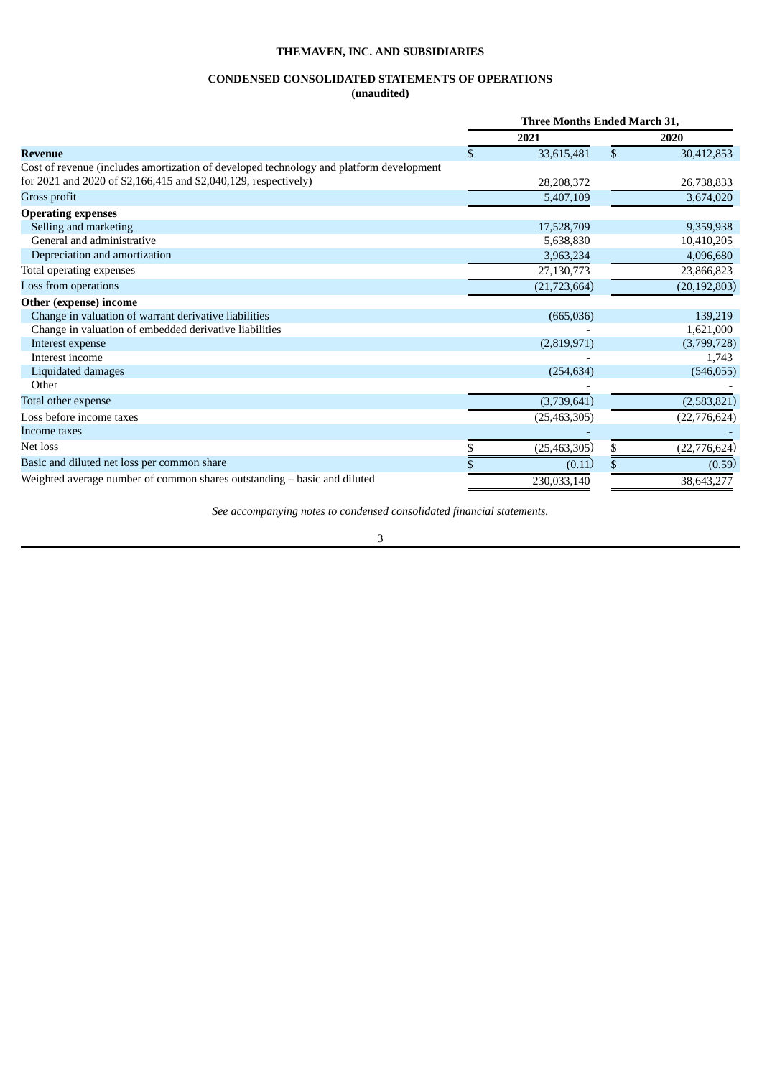#### **CONDENSED CONSOLIDATED STATEMENTS OF OPERATIONS (unaudited)**

<span id="page-5-0"></span>

|                                                                                         | Three Months Ended March 31, |                |              |                |  |
|-----------------------------------------------------------------------------------------|------------------------------|----------------|--------------|----------------|--|
|                                                                                         |                              | 2021           |              | 2020           |  |
| Revenue                                                                                 | <sup>\$</sup>                | 33,615,481     | $\mathbb{S}$ | 30,412,853     |  |
| Cost of revenue (includes amortization of developed technology and platform development |                              |                |              |                |  |
| for 2021 and 2020 of \$2,166,415 and \$2,040,129, respectively)                         |                              | 28,208,372     |              | 26,738,833     |  |
| Gross profit                                                                            |                              | 5,407,109      |              | 3,674,020      |  |
| <b>Operating expenses</b>                                                               |                              |                |              |                |  |
| Selling and marketing                                                                   |                              | 17,528,709     |              | 9,359,938      |  |
| General and administrative                                                              |                              | 5,638,830      |              | 10,410,205     |  |
| Depreciation and amortization                                                           |                              | 3,963,234      |              | 4,096,680      |  |
| Total operating expenses                                                                |                              | 27,130,773     |              | 23,866,823     |  |
| Loss from operations                                                                    |                              | (21, 723, 664) |              | (20, 192, 803) |  |
| Other (expense) income                                                                  |                              |                |              |                |  |
| Change in valuation of warrant derivative liabilities                                   |                              | (665, 036)     |              | 139,219        |  |
| Change in valuation of embedded derivative liabilities                                  |                              |                |              | 1,621,000      |  |
| Interest expense                                                                        |                              | (2,819,971)    |              | (3,799,728)    |  |
| Interest income                                                                         |                              |                |              | 1,743          |  |
| Liquidated damages                                                                      |                              | (254, 634)     |              | (546, 055)     |  |
| Other                                                                                   |                              |                |              |                |  |
| Total other expense                                                                     |                              | (3,739,641)    |              | (2,583,821)    |  |
| Loss before income taxes                                                                |                              | (25, 463, 305) |              | (22, 776, 624) |  |
| Income taxes                                                                            |                              |                |              |                |  |
| Net loss                                                                                |                              | (25, 463, 305) | \$           | (22, 776, 624) |  |
| Basic and diluted net loss per common share                                             |                              | (0.11)         | \$           | (0.59)         |  |
| Weighted average number of common shares outstanding – basic and diluted                |                              | 230,033,140    |              | 38,643,277     |  |

*See accompanying notes to condensed consolidated financial statements.*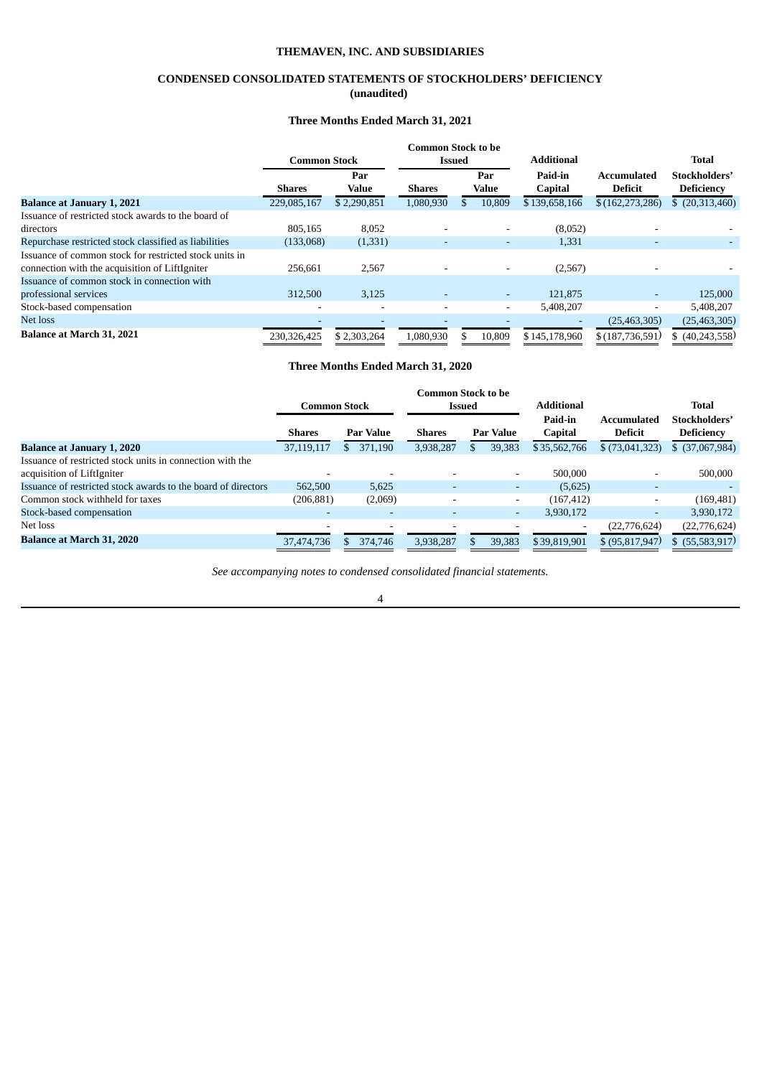## **CONDENSED CONSOLIDATED STATEMENTS OF STOCKHOLDERS' DEFICIENCY (unaudited)**

## **Three Months Ended March 31, 2021**

<span id="page-6-0"></span>

|                                                        | <b>Common Stock</b> |              | <b>Common Stock to be</b> | <b>Issued</b> |        | <b>Additional</b> |                          | <b>Total</b>   |
|--------------------------------------------------------|---------------------|--------------|---------------------------|---------------|--------|-------------------|--------------------------|----------------|
|                                                        |                     | Par          |                           |               | Par    | Paid-in           | Accumulated              | Stockholders'  |
|                                                        | <b>Shares</b>       | <b>Value</b> | <b>Shares</b>             |               | Value  | Capital           | <b>Deficit</b>           | Deficiency     |
| <b>Balance at January 1, 2021</b>                      | 229.085.167         | \$2,290,851  | 1,080,930                 |               | 10.809 | \$139,658,166     | \$(162, 273, 286)        | (20,313,460)   |
| Issuance of restricted stock awards to the board of    |                     |              |                           |               |        |                   |                          |                |
| directors                                              | 805,165             | 8,052        |                           |               |        | (8,052)           |                          |                |
| Repurchase restricted stock classified as liabilities  | (133,068)           | (1,331)      | $\overline{\phantom{a}}$  |               | ٠      | 1,331             | $\overline{\phantom{a}}$ |                |
| Issuance of common stock for restricted stock units in |                     |              |                           |               |        |                   |                          |                |
| connection with the acquisition of LiftIgniter         | 256.661             | 2,567        |                           |               |        | (2,567)           |                          |                |
| Issuance of common stock in connection with            |                     |              |                           |               |        |                   |                          |                |
| professional services                                  | 312,500             | 3,125        |                           |               |        | 121,875           | $\blacksquare$           | 125,000        |
| Stock-based compensation                               | ۰                   |              | $\overline{\phantom{a}}$  |               | ۰      | 5,408,207         | ۰                        | 5,408,207      |
| Net loss                                               |                     |              |                           |               |        | ۰                 | (25, 463, 305)           | (25, 463, 305) |
| Balance at March 31, 2021                              | 230,326,425         | \$2,303,264  | 1,080,930                 |               | 10,809 | \$145,178,960     | \$(187,736,591)          | (40, 243, 558) |

#### **Three Months Ended March 31, 2020**

|                                                               | <b>Common Stock to be</b><br><b>Common Stock</b><br>Issued |                          |               | <b>Additional</b> | <b>Total</b>              |                               |                             |
|---------------------------------------------------------------|------------------------------------------------------------|--------------------------|---------------|-------------------|---------------------------|-------------------------------|-----------------------------|
|                                                               | <b>Shares</b>                                              | <b>Par Value</b>         | <b>Shares</b> | <b>Par Value</b>  | Paid-in<br><b>Capital</b> | Accumulated<br><b>Deficit</b> | Stockholders'<br>Deficiency |
| <b>Balance at January 1, 2020</b>                             | 37,119,117                                                 | 371,190                  | 3,938,287     | 39.383            | \$35,562,766              | \$(73,041,323)                | $$$ (37,067,984)            |
| Issuance of restricted stock units in connection with the     |                                                            |                          |               |                   |                           |                               |                             |
| acquisition of LiftIgniter                                    |                                                            |                          |               |                   | 500,000                   |                               | 500,000                     |
| Issuance of restricted stock awards to the board of directors | 562,500                                                    | 5,625                    | -             | $\sim$            | (5,625)                   | $\overline{\phantom{0}}$      |                             |
| Common stock withheld for taxes                               | (206, 881)                                                 | (2,069)                  |               | $\sim$            | (167, 412)                | $\overline{\phantom{a}}$      | (169, 481)                  |
| Stock-based compensation                                      |                                                            | $\overline{\phantom{a}}$ |               | н.,               | 3,930,172                 | ۰.                            | 3,930,172                   |
| Net loss                                                      |                                                            |                          |               |                   |                           | (22,776,624)                  | (22,776,624)                |
| <b>Balance at March 31, 2020</b>                              | 37,474,736                                                 | 374,746                  | 3,938,287     | 39,383            | \$39,819,901              | \$ (95,817,947)               | $$$ (55,583,917)            |

*See accompanying notes to condensed consolidated financial statements.*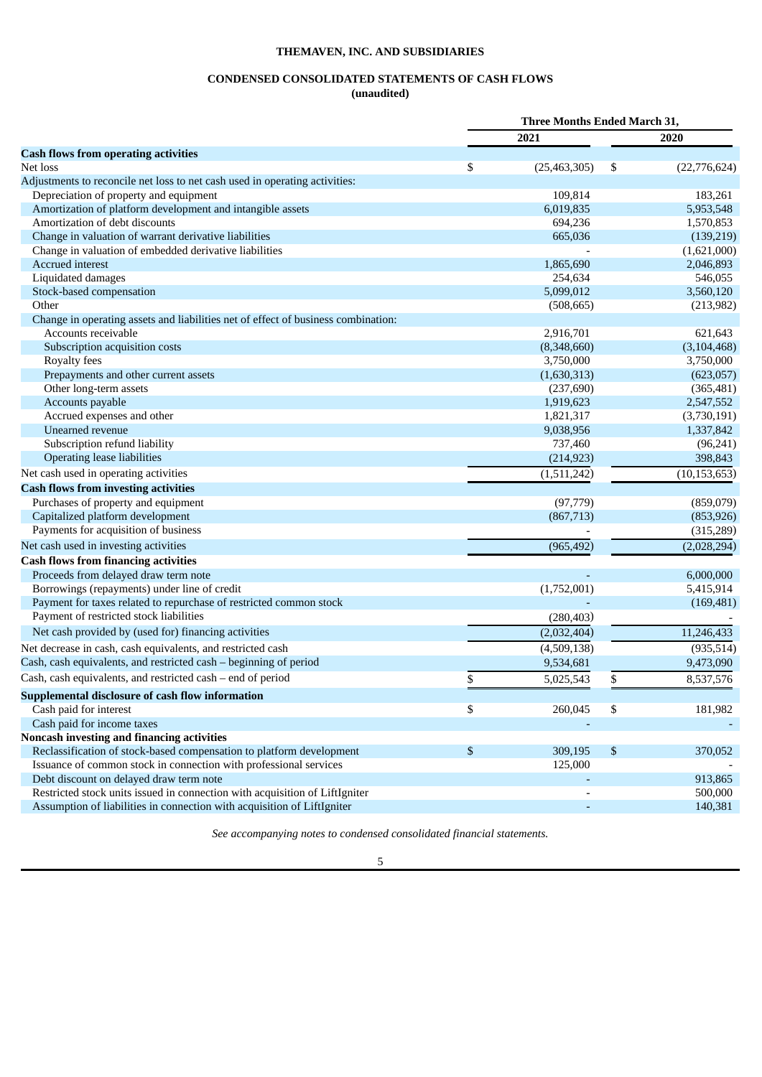# **CONDENSED CONSOLIDATED STATEMENTS OF CASH FLOWS**

**(unaudited)**

<span id="page-7-0"></span>

|                                                                                   | <b>Three Months Ended March 31,</b> |                |    |                |  |
|-----------------------------------------------------------------------------------|-------------------------------------|----------------|----|----------------|--|
|                                                                                   |                                     | 2021           |    | 2020           |  |
| <b>Cash flows from operating activities</b>                                       |                                     |                |    |                |  |
| Net loss                                                                          | \$                                  | (25, 463, 305) | \$ | (22,776,624)   |  |
| Adjustments to reconcile net loss to net cash used in operating activities:       |                                     |                |    |                |  |
| Depreciation of property and equipment                                            |                                     | 109,814        |    | 183,261        |  |
| Amortization of platform development and intangible assets                        |                                     | 6,019,835      |    | 5,953,548      |  |
| Amortization of debt discounts                                                    |                                     | 694,236        |    | 1,570,853      |  |
| Change in valuation of warrant derivative liabilities                             |                                     | 665,036        |    | (139, 219)     |  |
| Change in valuation of embedded derivative liabilities                            |                                     |                |    | (1,621,000)    |  |
| Accrued interest                                                                  |                                     | 1,865,690      |    | 2,046,893      |  |
| Liquidated damages                                                                |                                     | 254,634        |    | 546,055        |  |
| Stock-based compensation                                                          |                                     | 5,099,012      |    | 3,560,120      |  |
| Other                                                                             |                                     | (508, 665)     |    | (213,982)      |  |
| Change in operating assets and liabilities net of effect of business combination: |                                     |                |    |                |  |
| Accounts receivable                                                               |                                     | 2,916,701      |    | 621,643        |  |
| Subscription acquisition costs                                                    |                                     | (8,348,660)    |    | (3, 104, 468)  |  |
| Royalty fees                                                                      |                                     | 3,750,000      |    | 3,750,000      |  |
| Prepayments and other current assets                                              |                                     | (1,630,313)    |    | (623,057)      |  |
| Other long-term assets                                                            |                                     | (237,690)      |    | (365, 481)     |  |
| Accounts payable                                                                  |                                     | 1,919,623      |    | 2,547,552      |  |
| Accrued expenses and other                                                        |                                     | 1,821,317      |    | (3,730,191)    |  |
| Unearned revenue                                                                  |                                     | 9,038,956      |    | 1,337,842      |  |
| Subscription refund liability                                                     |                                     | 737,460        |    | (96, 241)      |  |
| <b>Operating lease liabilities</b>                                                |                                     | (214, 923)     |    | 398,843        |  |
| Net cash used in operating activities                                             |                                     | (1,511,242)    |    | (10, 153, 653) |  |
| <b>Cash flows from investing activities</b>                                       |                                     |                |    |                |  |
| Purchases of property and equipment                                               |                                     | (97, 779)      |    | (859,079)      |  |
| Capitalized platform development                                                  |                                     | (867, 713)     |    | (853, 926)     |  |
| Payments for acquisition of business                                              |                                     |                |    | (315, 289)     |  |
| Net cash used in investing activities                                             |                                     | (965, 492)     |    | (2,028,294)    |  |
| <b>Cash flows from financing activities</b>                                       |                                     |                |    |                |  |
| Proceeds from delayed draw term note                                              |                                     |                |    | 6,000,000      |  |
| Borrowings (repayments) under line of credit                                      |                                     | (1,752,001)    |    | 5,415,914      |  |
| Payment for taxes related to repurchase of restricted common stock                |                                     |                |    | (169, 481)     |  |
| Payment of restricted stock liabilities                                           |                                     | (280, 403)     |    |                |  |
|                                                                                   |                                     |                |    |                |  |
| Net cash provided by (used for) financing activities                              |                                     | (2,032,404)    |    | 11,246,433     |  |
| Net decrease in cash, cash equivalents, and restricted cash                       |                                     | (4,509,138)    |    | (935, 514)     |  |
| Cash, cash equivalents, and restricted cash - beginning of period                 |                                     | 9,534,681      |    | 9,473,090      |  |
| Cash, cash equivalents, and restricted cash - end of period                       | \$                                  | 5,025,543      | \$ | 8,537,576      |  |
| Supplemental disclosure of cash flow information                                  |                                     |                |    |                |  |
| Cash paid for interest                                                            | \$                                  | 260,045        | \$ | 181,982        |  |
| Cash paid for income taxes                                                        |                                     |                |    |                |  |
| Noncash investing and financing activities                                        |                                     |                |    |                |  |
| Reclassification of stock-based compensation to platform development              | \$                                  | 309,195        | \$ | 370,052        |  |
| Issuance of common stock in connection with professional services                 |                                     | 125,000        |    |                |  |
| Debt discount on delayed draw term note                                           |                                     |                |    | 913,865        |  |
| Restricted stock units issued in connection with acquisition of LiftIgniter       |                                     |                |    | 500,000        |  |
| Assumption of liabilities in connection with acquisition of LiftIgniter           |                                     |                |    | 140,381        |  |

*See accompanying notes to condensed consolidated financial statements.*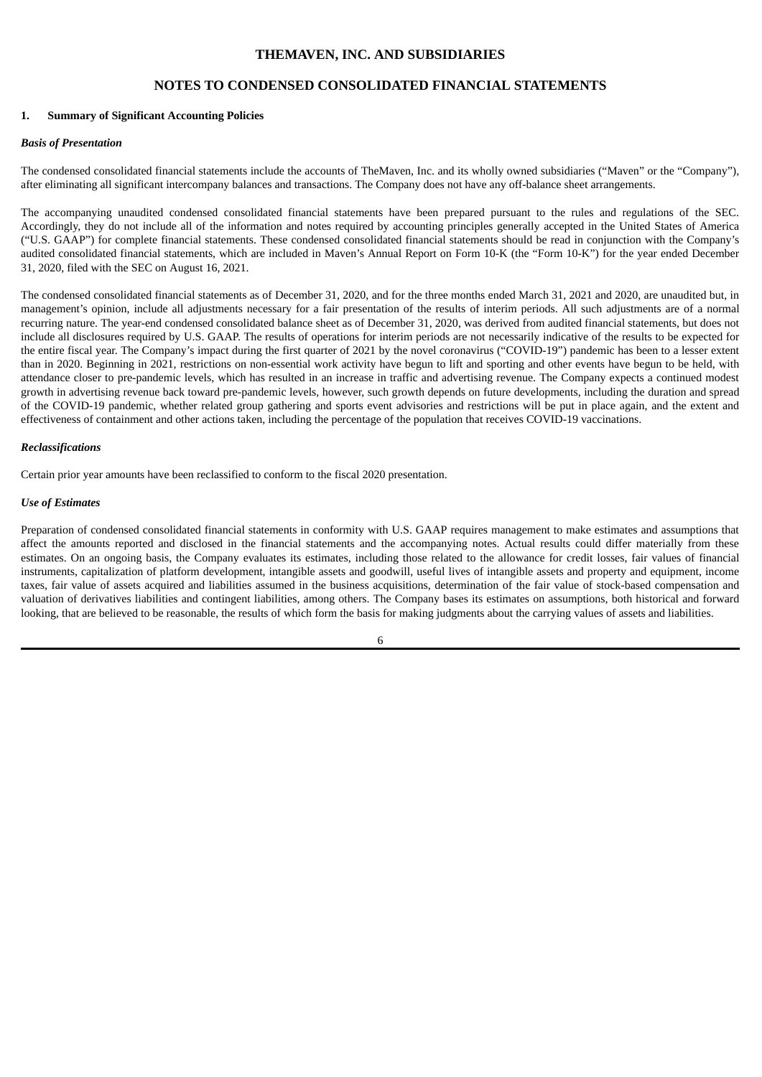## **NOTES TO CONDENSED CONSOLIDATED FINANCIAL STATEMENTS**

#### <span id="page-8-0"></span>**1. Summary of Significant Accounting Policies**

#### *Basis of Presentation*

The condensed consolidated financial statements include the accounts of TheMaven, Inc. and its wholly owned subsidiaries ("Maven" or the "Company"), after eliminating all significant intercompany balances and transactions. The Company does not have any off-balance sheet arrangements.

The accompanying unaudited condensed consolidated financial statements have been prepared pursuant to the rules and regulations of the SEC. Accordingly, they do not include all of the information and notes required by accounting principles generally accepted in the United States of America ("U.S. GAAP") for complete financial statements. These condensed consolidated financial statements should be read in conjunction with the Company's audited consolidated financial statements, which are included in Maven's Annual Report on Form 10-K (the "Form 10-K") for the year ended December 31, 2020, filed with the SEC on August 16, 2021.

The condensed consolidated financial statements as of December 31, 2020, and for the three months ended March 31, 2021 and 2020, are unaudited but, in management's opinion, include all adjustments necessary for a fair presentation of the results of interim periods. All such adjustments are of a normal recurring nature. The year-end condensed consolidated balance sheet as of December 31, 2020, was derived from audited financial statements, but does not include all disclosures required by U.S. GAAP. The results of operations for interim periods are not necessarily indicative of the results to be expected for the entire fiscal year. The Company's impact during the first quarter of 2021 by the novel coronavirus ("COVID-19") pandemic has been to a lesser extent than in 2020. Beginning in 2021, restrictions on non-essential work activity have begun to lift and sporting and other events have begun to be held, with attendance closer to pre-pandemic levels, which has resulted in an increase in traffic and advertising revenue. The Company expects a continued modest growth in advertising revenue back toward pre-pandemic levels, however, such growth depends on future developments, including the duration and spread of the COVID-19 pandemic, whether related group gathering and sports event advisories and restrictions will be put in place again, and the extent and effectiveness of containment and other actions taken, including the percentage of the population that receives COVID-19 vaccinations.

#### *Reclassifications*

Certain prior year amounts have been reclassified to conform to the fiscal 2020 presentation.

#### *Use of Estimates*

Preparation of condensed consolidated financial statements in conformity with U.S. GAAP requires management to make estimates and assumptions that affect the amounts reported and disclosed in the financial statements and the accompanying notes. Actual results could differ materially from these estimates. On an ongoing basis, the Company evaluates its estimates, including those related to the allowance for credit losses, fair values of financial instruments, capitalization of platform development, intangible assets and goodwill, useful lives of intangible assets and property and equipment, income taxes, fair value of assets acquired and liabilities assumed in the business acquisitions, determination of the fair value of stock-based compensation and valuation of derivatives liabilities and contingent liabilities, among others. The Company bases its estimates on assumptions, both historical and forward looking, that are believed to be reasonable, the results of which form the basis for making judgments about the carrying values of assets and liabilities.

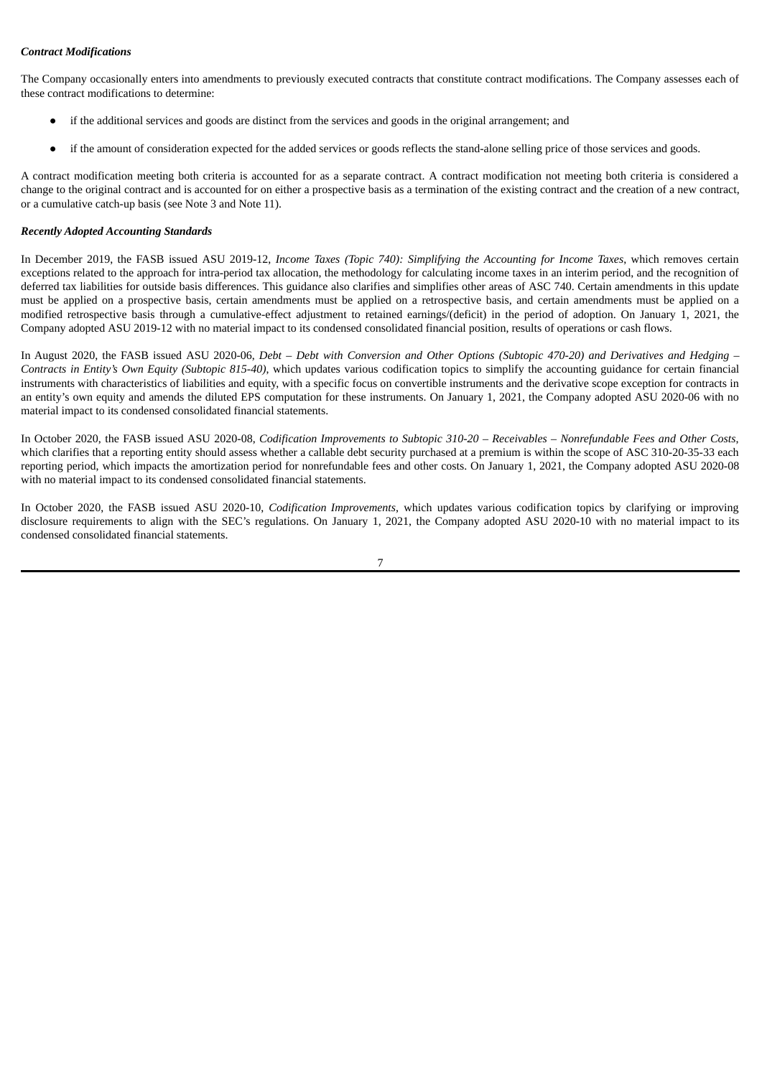## *Contract Modifications*

The Company occasionally enters into amendments to previously executed contracts that constitute contract modifications. The Company assesses each of these contract modifications to determine:

- if the additional services and goods are distinct from the services and goods in the original arrangement; and
- if the amount of consideration expected for the added services or goods reflects the stand-alone selling price of those services and goods.

A contract modification meeting both criteria is accounted for as a separate contract. A contract modification not meeting both criteria is considered a change to the original contract and is accounted for on either a prospective basis as a termination of the existing contract and the creation of a new contract, or a cumulative catch-up basis (see Note 3 and Note 11).

#### *Recently Adopted Accounting Standards*

In December 2019, the FASB issued ASU 2019-12, *Income Taxes (Topic 740): Simplifying the Accounting for Income Taxes*, which removes certain exceptions related to the approach for intra-period tax allocation, the methodology for calculating income taxes in an interim period, and the recognition of deferred tax liabilities for outside basis differences. This guidance also clarifies and simplifies other areas of ASC 740. Certain amendments in this update must be applied on a prospective basis, certain amendments must be applied on a retrospective basis, and certain amendments must be applied on a modified retrospective basis through a cumulative-effect adjustment to retained earnings/(deficit) in the period of adoption. On January 1, 2021, the Company adopted ASU 2019-12 with no material impact to its condensed consolidated financial position, results of operations or cash flows.

In August 2020, the FASB issued ASU 2020-06, Debt – Debt with Conversion and Other Options (Subtopic 470-20) and Derivatives and Hedaing – *Contracts in Entity's Own Equity (Subtopic 815-40)*, which updates various codification topics to simplify the accounting guidance for certain financial instruments with characteristics of liabilities and equity, with a specific focus on convertible instruments and the derivative scope exception for contracts in an entity's own equity and amends the diluted EPS computation for these instruments. On January 1, 2021, the Company adopted ASU 2020-06 with no material impact to its condensed consolidated financial statements.

In October 2020, the FASB issued ASU 2020-08, Codification Improvements to Subtopic 310-20 - Receivables - Nonrefundable Fees and Other Costs. which clarifies that a reporting entity should assess whether a callable debt security purchased at a premium is within the scope of ASC 310-20-35-33 each reporting period, which impacts the amortization period for nonrefundable fees and other costs. On January 1, 2021, the Company adopted ASU 2020-08 with no material impact to its condensed consolidated financial statements.

In October 2020, the FASB issued ASU 2020-10, *Codification Improvements*, which updates various codification topics by clarifying or improving disclosure requirements to align with the SEC's regulations. On January 1, 2021, the Company adopted ASU 2020-10 with no material impact to its condensed consolidated financial statements.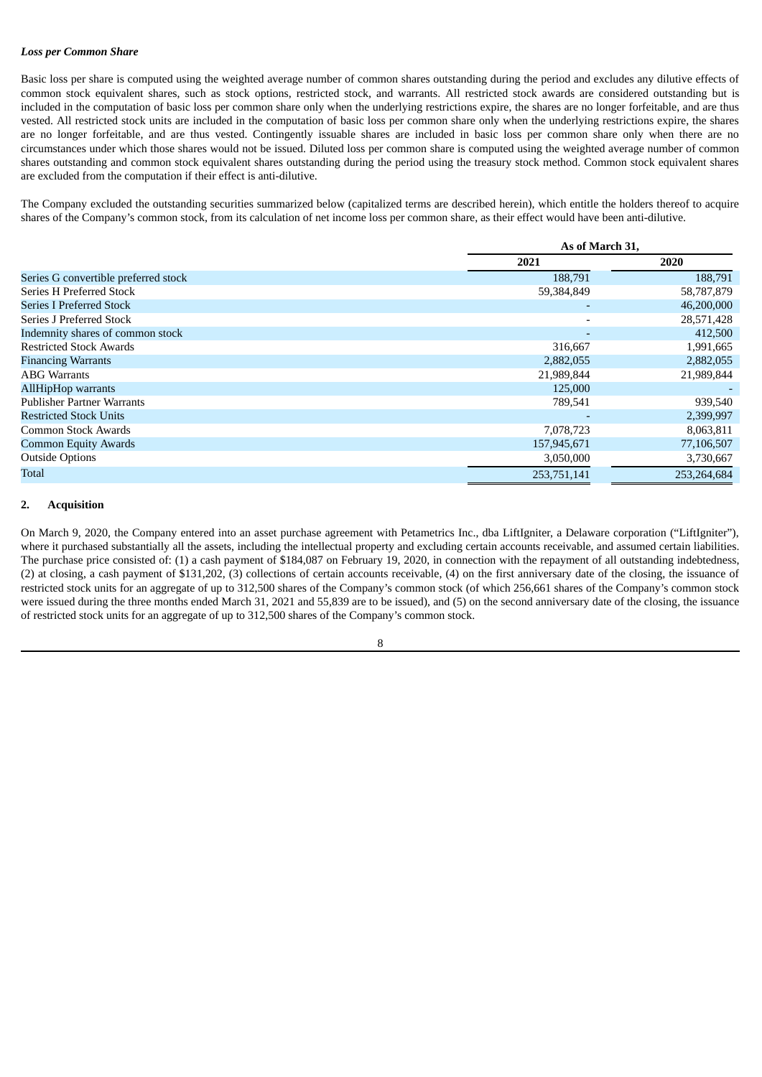#### *Loss per Common Share*

Basic loss per share is computed using the weighted average number of common shares outstanding during the period and excludes any dilutive effects of common stock equivalent shares, such as stock options, restricted stock, and warrants. All restricted stock awards are considered outstanding but is included in the computation of basic loss per common share only when the underlying restrictions expire, the shares are no longer forfeitable, and are thus vested. All restricted stock units are included in the computation of basic loss per common share only when the underlying restrictions expire, the shares are no longer forfeitable, and are thus vested. Contingently issuable shares are included in basic loss per common share only when there are no circumstances under which those shares would not be issued. Diluted loss per common share is computed using the weighted average number of common shares outstanding and common stock equivalent shares outstanding during the period using the treasury stock method. Common stock equivalent shares are excluded from the computation if their effect is anti-dilutive.

The Company excluded the outstanding securities summarized below (capitalized terms are described herein), which entitle the holders thereof to acquire shares of the Company's common stock, from its calculation of net income loss per common share, as their effect would have been anti-dilutive.

|                                      | As of March 31,          |             |  |
|--------------------------------------|--------------------------|-------------|--|
|                                      | 2021                     | 2020        |  |
| Series G convertible preferred stock | 188,791                  | 188,791     |  |
| Series H Preferred Stock             | 59,384,849               | 58,787,879  |  |
| <b>Series I Preferred Stock</b>      |                          | 46,200,000  |  |
| Series J Preferred Stock             | $\overline{\phantom{0}}$ | 28,571,428  |  |
| Indemnity shares of common stock     | $\overline{a}$           | 412,500     |  |
| <b>Restricted Stock Awards</b>       | 316,667                  | 1,991,665   |  |
| <b>Financing Warrants</b>            | 2,882,055                | 2,882,055   |  |
| <b>ABG Warrants</b>                  | 21,989,844               | 21,989,844  |  |
| <b>AllHipHop warrants</b>            | 125,000                  |             |  |
| <b>Publisher Partner Warrants</b>    | 789,541                  | 939,540     |  |
| <b>Restricted Stock Units</b>        |                          | 2,399,997   |  |
| Common Stock Awards                  | 7,078,723                | 8,063,811   |  |
| <b>Common Equity Awards</b>          | 157,945,671              | 77,106,507  |  |
| <b>Outside Options</b>               | 3,050,000                | 3,730,667   |  |
| Total                                | 253,751,141              | 253,264,684 |  |

#### **2. Acquisition**

On March 9, 2020, the Company entered into an asset purchase agreement with Petametrics Inc., dba LiftIgniter, a Delaware corporation ("LiftIgniter"), where it purchased substantially all the assets, including the intellectual property and excluding certain accounts receivable, and assumed certain liabilities. The purchase price consisted of: (1) a cash payment of \$184,087 on February 19, 2020, in connection with the repayment of all outstanding indebtedness, (2) at closing, a cash payment of \$131,202, (3) collections of certain accounts receivable, (4) on the first anniversary date of the closing, the issuance of restricted stock units for an aggregate of up to 312,500 shares of the Company's common stock (of which 256,661 shares of the Company's common stock were issued during the three months ended March 31, 2021 and 55,839 are to be issued), and (5) on the second anniversary date of the closing, the issuance of restricted stock units for an aggregate of up to 312,500 shares of the Company's common stock.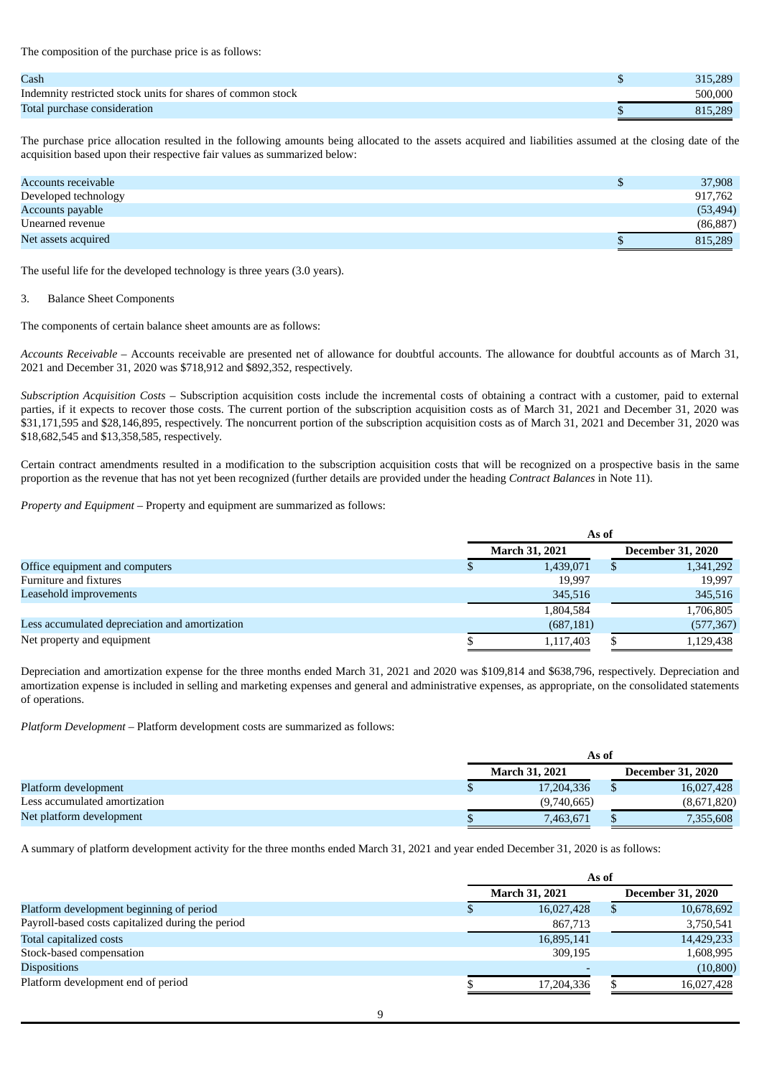The composition of the purchase price is as follows:

| Cash                                                        | 315,289 |
|-------------------------------------------------------------|---------|
| Indemnity restricted stock units for shares of common stock | 500.000 |
| Total purchase consideration                                | 815.289 |

The purchase price allocation resulted in the following amounts being allocated to the assets acquired and liabilities assumed at the closing date of the acquisition based upon their respective fair values as summarized below:

| <b>Accounts receivable</b> | 37,908    |
|----------------------------|-----------|
| Developed technology       | 917,762   |
| Accounts payable           | (53, 494) |
| Unearned revenue           | (86, 887) |
| Net assets acquired        | 815,289   |

The useful life for the developed technology is three years (3.0 years).

3. Balance Sheet Components

The components of certain balance sheet amounts are as follows:

*Accounts Receivable* – Accounts receivable are presented net of allowance for doubtful accounts. The allowance for doubtful accounts as of March 31, 2021 and December 31, 2020 was \$718,912 and \$892,352, respectively.

*Subscription Acquisition Costs* – Subscription acquisition costs include the incremental costs of obtaining a contract with a customer, paid to external parties, if it expects to recover those costs. The current portion of the subscription acquisition costs as of March 31, 2021 and December 31, 2020 was \$31,171,595 and \$28,146,895, respectively. The noncurrent portion of the subscription acquisition costs as of March 31, 2021 and December 31, 2020 was \$18,682,545 and \$13,358,585, respectively.

Certain contract amendments resulted in a modification to the subscription acquisition costs that will be recognized on a prospective basis in the same proportion as the revenue that has not yet been recognized (further details are provided under the heading *Contract Balances* in Note 11).

*Property and Equipment* – Property and equipment are summarized as follows:

|                                                | As of |                |  |                          |
|------------------------------------------------|-------|----------------|--|--------------------------|
|                                                |       | March 31, 2021 |  | <b>December 31, 2020</b> |
| Office equipment and computers                 |       | 1,439,071      |  | 1,341,292                |
| Furniture and fixtures                         |       | 19,997         |  | 19,997                   |
| Leasehold improvements                         |       | 345,516        |  | 345,516                  |
|                                                |       | 1,804,584      |  | 1,706,805                |
| Less accumulated depreciation and amortization |       | (687, 181)     |  | (577, 367)               |
| Net property and equipment                     |       | 1,117,403      |  | 1,129,438                |

Depreciation and amortization expense for the three months ended March 31, 2021 and 2020 was \$109,814 and \$638,796, respectively. Depreciation and amortization expense is included in selling and marketing expenses and general and administrative expenses, as appropriate, on the consolidated statements of operations.

*Platform Development* – Platform development costs are summarized as follows:

|                               | As of                 |  |                          |  |  |  |
|-------------------------------|-----------------------|--|--------------------------|--|--|--|
|                               | <b>March 31, 2021</b> |  | <b>December 31, 2020</b> |  |  |  |
| Platform development          | 17,204,336            |  | 16,027,428               |  |  |  |
| Less accumulated amortization | (9,740,665)           |  | (8,671,820)              |  |  |  |
| Net platform development      | 7,463,671             |  | 7,355,608                |  |  |  |

A summary of platform development activity for the three months ended March 31, 2021 and year ended December 31, 2020 is as follows:

|                                                   | As of          |  |                          |  |  |  |
|---------------------------------------------------|----------------|--|--------------------------|--|--|--|
|                                                   | March 31, 2021 |  | <b>December 31, 2020</b> |  |  |  |
| Platform development beginning of period          | 16,027,428     |  | 10,678,692               |  |  |  |
| Payroll-based costs capitalized during the period | 867,713        |  | 3,750,541                |  |  |  |
| Total capitalized costs                           | 16,895,141     |  | 14,429,233               |  |  |  |
| Stock-based compensation                          | 309.195        |  | 1,608,995                |  |  |  |
| <b>Dispositions</b>                               |                |  | (10, 800)                |  |  |  |
| Platform development end of period                | 17,204,336     |  | 16,027,428               |  |  |  |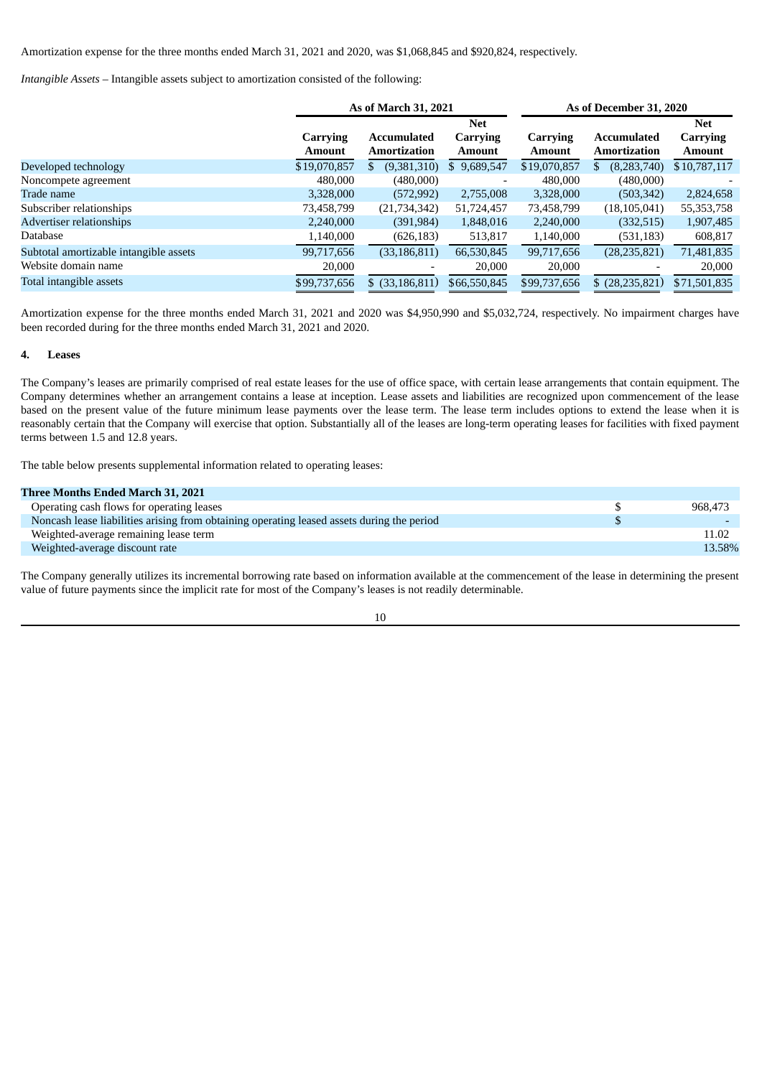Amortization expense for the three months ended March 31, 2021 and 2020, was \$1,068,845 and \$920,824, respectively.

*Intangible Assets* – Intangible assets subject to amortization consisted of the following:

|                                        |               | As of March 31, 2021 |               | As of December 31, 2020 |                      |              |  |
|----------------------------------------|---------------|----------------------|---------------|-------------------------|----------------------|--------------|--|
|                                        | <b>Net</b>    |                      |               |                         |                      | <b>Net</b>   |  |
|                                        | Carrying      | Accumulated          | Carrying      | Carrying                | Accumulated          | Carrying     |  |
|                                        | <b>Amount</b> | <b>Amortization</b>  | <b>Amount</b> | Amount                  | <b>Amortization</b>  | Amount       |  |
| Developed technology                   | \$19,070,857  | (9,381,310)          | \$9,689,547   | \$19,070,857            | (8, 283, 740)<br>SS. | \$10,787,117 |  |
| Noncompete agreement                   | 480,000       | (480,000)            |               | 480,000                 | (480,000)            |              |  |
| Trade name                             | 3,328,000     | (572, 992)           | 2,755,008     | 3,328,000               | (503, 342)           | 2,824,658    |  |
| Subscriber relationships               | 73,458,799    | (21, 734, 342)       | 51,724,457    | 73,458,799              | (18, 105, 041)       | 55,353,758   |  |
| Advertiser relationships               | 2,240,000     | (391, 984)           | 1,848,016     | 2,240,000               | (332, 515)           | 1,907,485    |  |
| Database                               | 1,140,000     | (626, 183)           | 513,817       | 1,140,000               | (531, 183)           | 608,817      |  |
| Subtotal amortizable intangible assets | 99,717,656    | (33, 186, 811)       | 66,530,845    | 99,717,656              | (28, 235, 821)       | 71,481,835   |  |
| Website domain name                    | 20,000        |                      | 20,000        | 20,000                  |                      | 20,000       |  |
| Total intangible assets                | \$99,737,656  | $$$ (33,186,811)     | \$66,550,845  | \$99,737,656            | $$$ (28,235,821)     | \$71,501,835 |  |

Amortization expense for the three months ended March 31, 2021 and 2020 was \$4,950,990 and \$5,032,724, respectively. No impairment charges have been recorded during for the three months ended March 31, 2021 and 2020.

#### **4. Leases**

The Company's leases are primarily comprised of real estate leases for the use of office space, with certain lease arrangements that contain equipment. The Company determines whether an arrangement contains a lease at inception. Lease assets and liabilities are recognized upon commencement of the lease based on the present value of the future minimum lease payments over the lease term. The lease term includes options to extend the lease when it is reasonably certain that the Company will exercise that option. Substantially all of the leases are long-term operating leases for facilities with fixed payment terms between 1.5 and 12.8 years.

The table below presents supplemental information related to operating leases:

| <b>Three Months Ended March 31, 2021</b>                                                   |         |
|--------------------------------------------------------------------------------------------|---------|
| Operating cash flows for operating leases                                                  | 968.473 |
| Noncash lease liabilities arising from obtaining operating leased assets during the period |         |
| Weighted-average remaining lease term                                                      | 11.02   |
| Weighted-average discount rate                                                             | 13.58%  |
|                                                                                            |         |

The Company generally utilizes its incremental borrowing rate based on information available at the commencement of the lease in determining the present value of future payments since the implicit rate for most of the Company's leases is not readily determinable.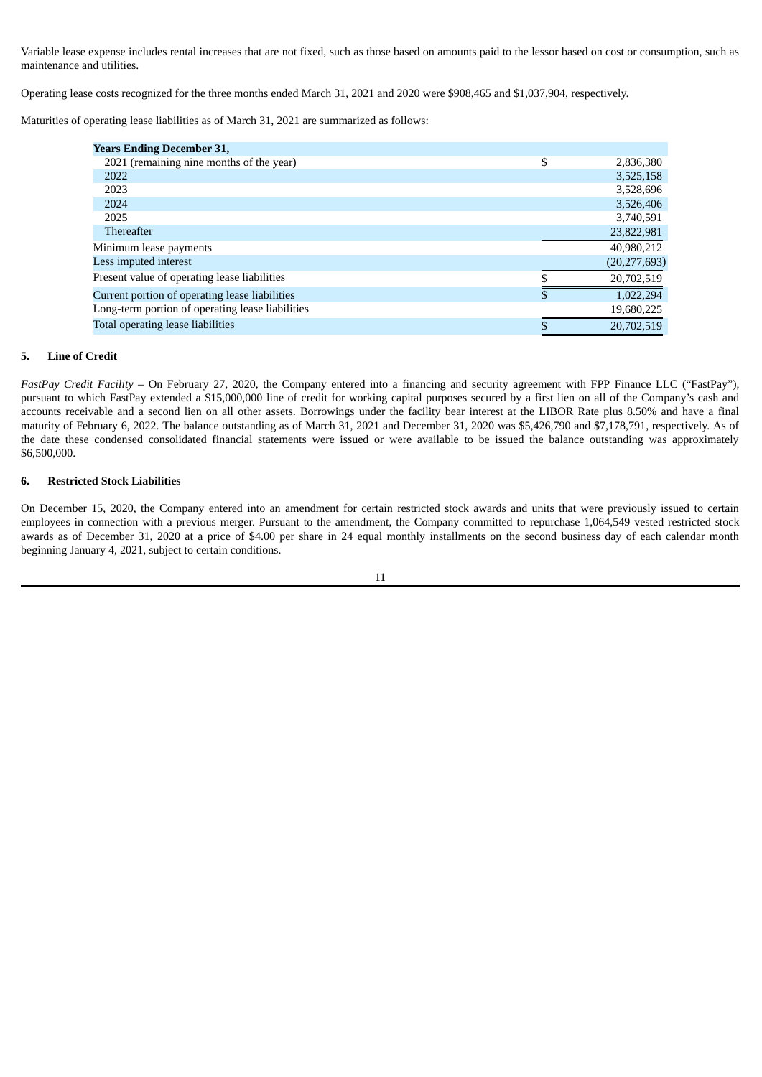Variable lease expense includes rental increases that are not fixed, such as those based on amounts paid to the lessor based on cost or consumption, such as maintenance and utilities.

Operating lease costs recognized for the three months ended March 31, 2021 and 2020 were \$908,465 and \$1,037,904, respectively.

Maturities of operating lease liabilities as of March 31, 2021 are summarized as follows:

| \$<br>2,836,380 |
|-----------------|
| 3,525,158       |
| 3,528,696       |
| 3,526,406       |
| 3,740,591       |
| 23,822,981      |
| 40,980,212      |
| (20, 277, 693)  |
| 20,702,519      |
| \$<br>1,022,294 |
| 19,680,225      |
| 20.702.519      |
|                 |

## **5. Line of Credit**

*FastPay Credit Facility* – On February 27, 2020, the Company entered into a financing and security agreement with FPP Finance LLC ("FastPay"), pursuant to which FastPay extended a \$15,000,000 line of credit for working capital purposes secured by a first lien on all of the Company's cash and accounts receivable and a second lien on all other assets. Borrowings under the facility bear interest at the LIBOR Rate plus 8.50% and have a final maturity of February 6, 2022. The balance outstanding as of March 31, 2021 and December 31, 2020 was \$5,426,790 and \$7,178,791, respectively. As of the date these condensed consolidated financial statements were issued or were available to be issued the balance outstanding was approximately \$6,500,000.

#### **6. Restricted Stock Liabilities**

On December 15, 2020, the Company entered into an amendment for certain restricted stock awards and units that were previously issued to certain employees in connection with a previous merger. Pursuant to the amendment, the Company committed to repurchase 1,064,549 vested restricted stock awards as of December 31, 2020 at a price of \$4.00 per share in 24 equal monthly installments on the second business day of each calendar month beginning January 4, 2021, subject to certain conditions.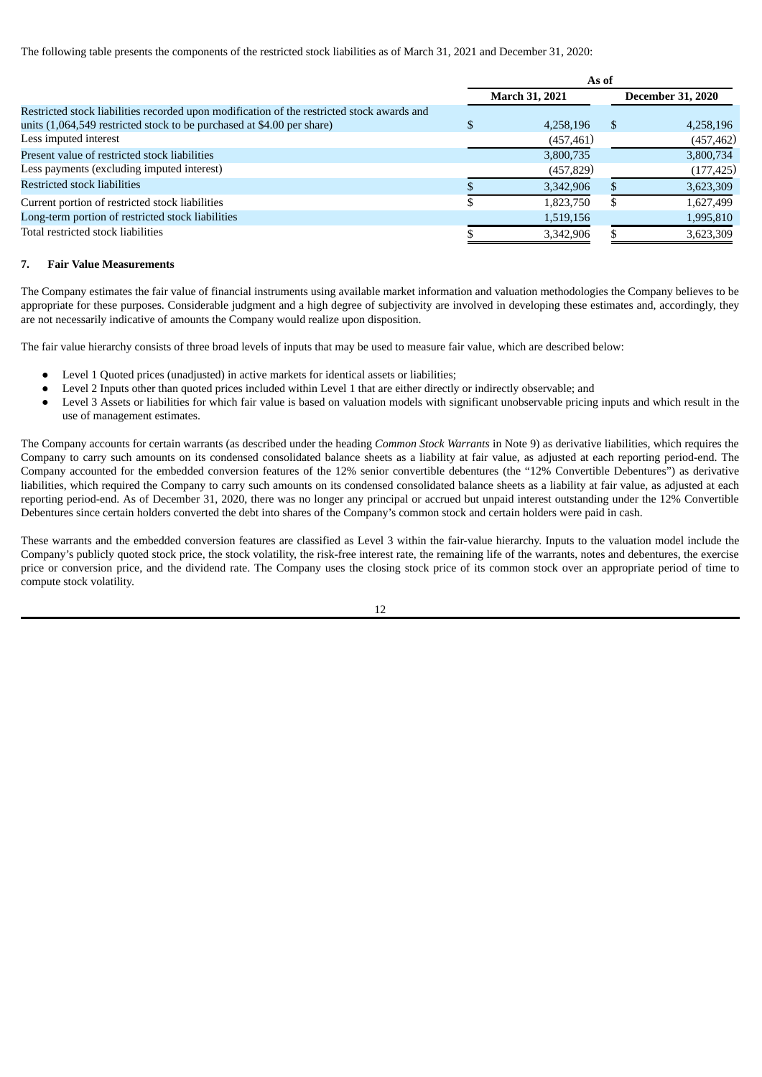The following table presents the components of the restricted stock liabilities as of March 31, 2021 and December 31, 2020:

|                                                                                            | As of                 |            |     |                          |  |  |
|--------------------------------------------------------------------------------------------|-----------------------|------------|-----|--------------------------|--|--|
|                                                                                            | <b>March 31, 2021</b> |            |     | <b>December 31, 2020</b> |  |  |
| Restricted stock liabilities recorded upon modification of the restricted stock awards and |                       |            |     |                          |  |  |
| units (1,064,549 restricted stock to be purchased at \$4.00 per share)                     |                       | 4,258,196  | \$. | 4,258,196                |  |  |
| Less imputed interest                                                                      |                       | (457, 461) |     | (457, 462)               |  |  |
| Present value of restricted stock liabilities                                              |                       | 3,800,735  |     | 3,800,734                |  |  |
| Less payments (excluding imputed interest)                                                 |                       | (457, 829) |     | (177, 425)               |  |  |
| Restricted stock liabilities                                                               |                       | 3,342,906  |     | 3,623,309                |  |  |
| Current portion of restricted stock liabilities                                            |                       | 1,823,750  | S.  | 1,627,499                |  |  |
| Long-term portion of restricted stock liabilities                                          |                       | 1,519,156  |     | 1,995,810                |  |  |
| Total restricted stock liabilities                                                         |                       | 3.342.906  |     | 3,623,309                |  |  |

## **7. Fair Value Measurements**

The Company estimates the fair value of financial instruments using available market information and valuation methodologies the Company believes to be appropriate for these purposes. Considerable judgment and a high degree of subjectivity are involved in developing these estimates and, accordingly, they are not necessarily indicative of amounts the Company would realize upon disposition.

The fair value hierarchy consists of three broad levels of inputs that may be used to measure fair value, which are described below:

- Level 1 Quoted prices (unadjusted) in active markets for identical assets or liabilities;
- Level 2 Inputs other than quoted prices included within Level 1 that are either directly or indirectly observable; and
- Level 3 Assets or liabilities for which fair value is based on valuation models with significant unobservable pricing inputs and which result in the use of management estimates.

The Company accounts for certain warrants (as described under the heading *Common Stock Warrants* in Note 9) as derivative liabilities, which requires the Company to carry such amounts on its condensed consolidated balance sheets as a liability at fair value, as adjusted at each reporting period-end. The Company accounted for the embedded conversion features of the 12% senior convertible debentures (the "12% Convertible Debentures") as derivative liabilities, which required the Company to carry such amounts on its condensed consolidated balance sheets as a liability at fair value, as adjusted at each reporting period-end. As of December 31, 2020, there was no longer any principal or accrued but unpaid interest outstanding under the 12% Convertible Debentures since certain holders converted the debt into shares of the Company's common stock and certain holders were paid in cash.

These warrants and the embedded conversion features are classified as Level 3 within the fair-value hierarchy. Inputs to the valuation model include the Company's publicly quoted stock price, the stock volatility, the risk-free interest rate, the remaining life of the warrants, notes and debentures, the exercise price or conversion price, and the dividend rate. The Company uses the closing stock price of its common stock over an appropriate period of time to compute stock volatility.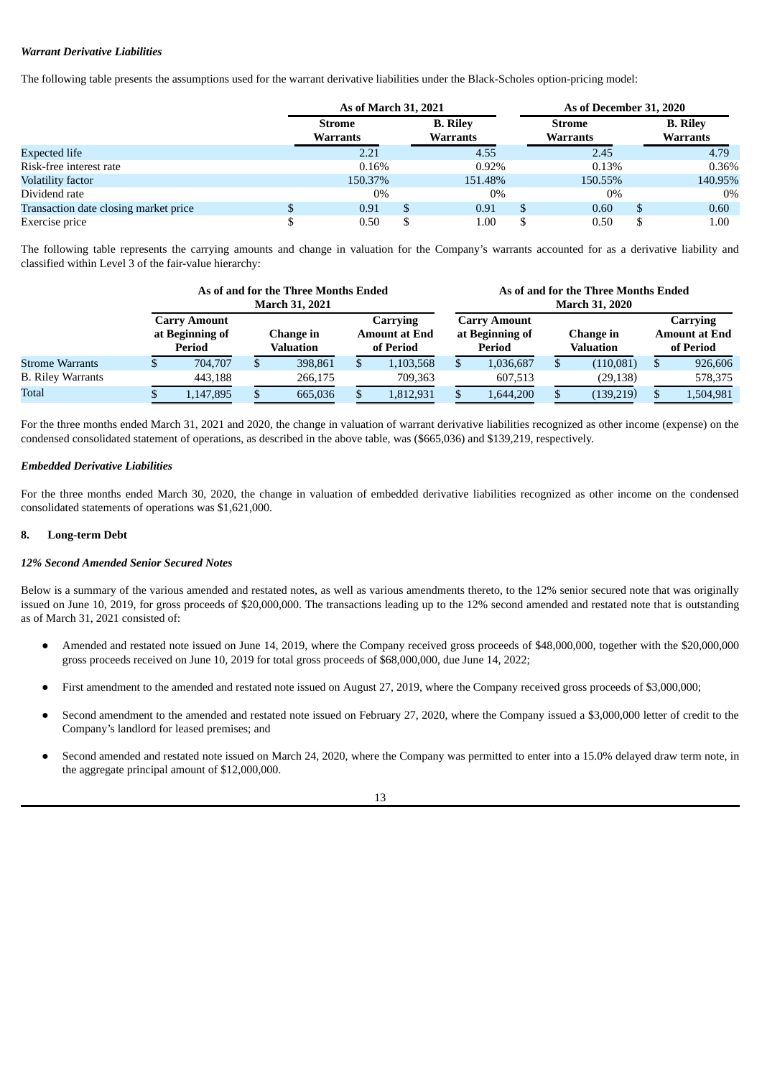#### *Warrant Derivative Liabilities*

The following table presents the assumptions used for the warrant derivative liabilities under the Black-Scholes option-pricing model:

|                                       | As of March 31, 2021 |    |                                    |    | As of December 31, 2020          |    |                                    |  |
|---------------------------------------|----------------------|----|------------------------------------|----|----------------------------------|----|------------------------------------|--|
|                                       | Strome<br>Warrants   |    | <b>B.</b> Riley<br><b>Warrants</b> |    | <b>Strome</b><br><b>Warrants</b> |    | <b>B.</b> Rilev<br><b>Warrants</b> |  |
| Expected life                         | 2.21                 |    | 4.55                               |    | 2.45                             |    | 4.79                               |  |
| Risk-free interest rate               | 0.16%                |    | 0.92%                              |    | 0.13%                            |    | 0.36%                              |  |
| <b>Volatility factor</b>              | 150.37%              |    | 151.48%                            |    | 150.55%                          |    | 140.95%                            |  |
| Dividend rate                         | $0\%$                |    | $0\%$                              |    | $0\%$                            |    | $0\%$                              |  |
| Transaction date closing market price | 0.91                 | \$ | 0.91                               | \$ | 0.60                             | \$ | 0.60                               |  |
| Exercise price                        | 0.50                 |    | 1.00                               |    | 0.50                             |    | 1.00                               |  |

The following table represents the carrying amounts and change in valuation for the Company's warrants accounted for as a derivative liability and classified within Level 3 of the fair-value hierarchy:

|                          | As of and for the Three Months Ended<br><b>March 31, 2021</b> |                        |         |  |                                               |  | As of and for the Three Months Ended<br><b>March 31, 2020</b>                     |   |           |  |                                               |  |  |
|--------------------------|---------------------------------------------------------------|------------------------|---------|--|-----------------------------------------------|--|-----------------------------------------------------------------------------------|---|-----------|--|-----------------------------------------------|--|--|
|                          | <b>Carry Amount</b><br>at Beginning of<br>Period              | Change in<br>Valuation |         |  | Carrying<br><b>Amount at End</b><br>of Period |  | <b>Carry Amount</b><br>at Beginning of<br>Change in<br><b>Valuation</b><br>Period |   |           |  | Carrying<br><b>Amount at End</b><br>of Period |  |  |
| <b>Strome Warrants</b>   | 704.707                                                       |                        | 398.861 |  | 1,103,568                                     |  | 1,036,687                                                                         | S | (110,081) |  | 926,606                                       |  |  |
| <b>B. Riley Warrants</b> | 443.188                                                       |                        | 266.175 |  | 709.363                                       |  | 607,513                                                                           |   | (29, 138) |  | 578,375                                       |  |  |
| <b>Total</b>             | 1,147,895                                                     |                        | 665,036 |  | 1,812,931                                     |  | 1,644,200                                                                         |   | (139,219) |  | 1,504,981                                     |  |  |

For the three months ended March 31, 2021 and 2020, the change in valuation of warrant derivative liabilities recognized as other income (expense) on the condensed consolidated statement of operations, as described in the above table, was (\$665,036) and \$139,219, respectively.

#### *Embedded Derivative Liabilities*

For the three months ended March 30, 2020, the change in valuation of embedded derivative liabilities recognized as other income on the condensed consolidated statements of operations was \$1,621,000.

#### **8. Long-term Debt**

#### *12% Second Amended Senior Secured Notes*

Below is a summary of the various amended and restated notes, as well as various amendments thereto, to the 12% senior secured note that was originally issued on June 10, 2019, for gross proceeds of \$20,000,000. The transactions leading up to the 12% second amended and restated note that is outstanding as of March 31, 2021 consisted of:

- Amended and restated note issued on June 14, 2019, where the Company received gross proceeds of \$48,000,000, together with the \$20,000,000 gross proceeds received on June 10, 2019 for total gross proceeds of \$68,000,000, due June 14, 2022;
- First amendment to the amended and restated note issued on August 27, 2019, where the Company received gross proceeds of \$3,000,000;
- Second amendment to the amended and restated note issued on February 27, 2020, where the Company issued a \$3,000,000 letter of credit to the Company's landlord for leased premises; and
- Second amended and restated note issued on March 24, 2020, where the Company was permitted to enter into a 15.0% delayed draw term note, in the aggregate principal amount of \$12,000,000.

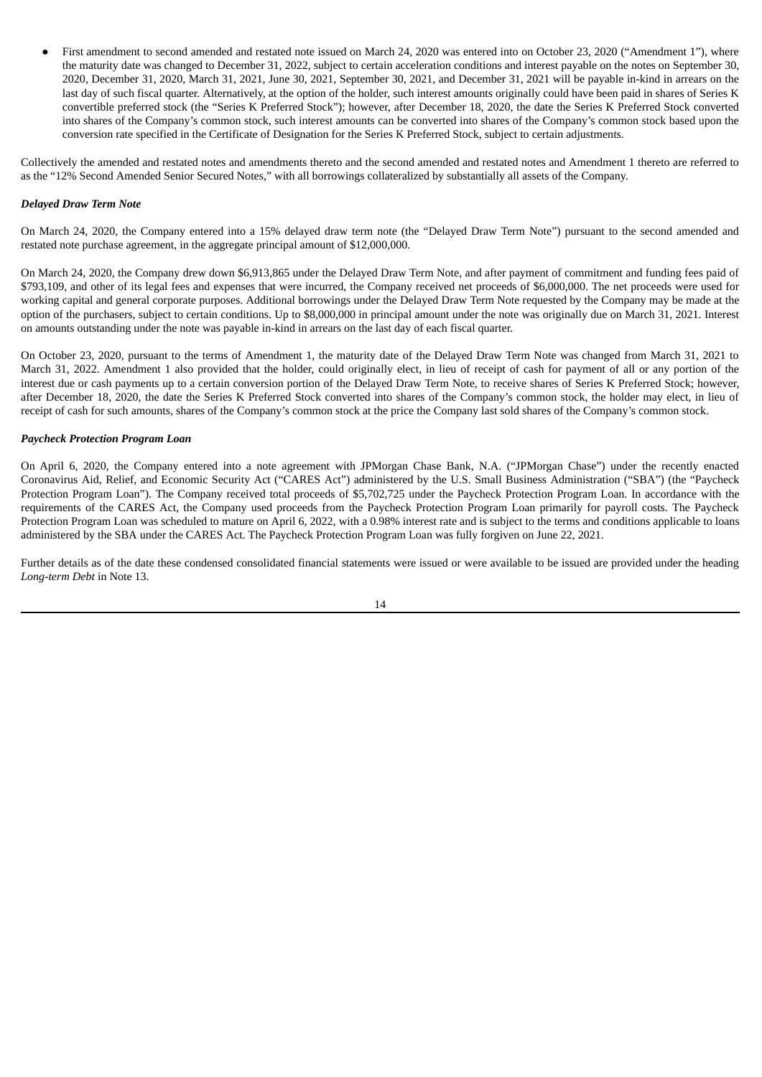First amendment to second amended and restated note issued on March 24, 2020 was entered into on October 23, 2020 ("Amendment 1"), where the maturity date was changed to December 31, 2022, subject to certain acceleration conditions and interest payable on the notes on September 30, 2020, December 31, 2020, March 31, 2021, June 30, 2021, September 30, 2021, and December 31, 2021 will be payable in-kind in arrears on the last day of such fiscal quarter. Alternatively, at the option of the holder, such interest amounts originally could have been paid in shares of Series K convertible preferred stock (the "Series K Preferred Stock"); however, after December 18, 2020, the date the Series K Preferred Stock converted into shares of the Company's common stock, such interest amounts can be converted into shares of the Company's common stock based upon the conversion rate specified in the Certificate of Designation for the Series K Preferred Stock, subject to certain adjustments.

Collectively the amended and restated notes and amendments thereto and the second amended and restated notes and Amendment 1 thereto are referred to as the "12% Second Amended Senior Secured Notes," with all borrowings collateralized by substantially all assets of the Company.

#### *Delayed Draw Term Note*

On March 24, 2020, the Company entered into a 15% delayed draw term note (the "Delayed Draw Term Note") pursuant to the second amended and restated note purchase agreement, in the aggregate principal amount of \$12,000,000.

On March 24, 2020, the Company drew down \$6,913,865 under the Delayed Draw Term Note, and after payment of commitment and funding fees paid of \$793,109, and other of its legal fees and expenses that were incurred, the Company received net proceeds of \$6,000,000. The net proceeds were used for working capital and general corporate purposes. Additional borrowings under the Delayed Draw Term Note requested by the Company may be made at the option of the purchasers, subject to certain conditions. Up to \$8,000,000 in principal amount under the note was originally due on March 31, 2021. Interest on amounts outstanding under the note was payable in-kind in arrears on the last day of each fiscal quarter.

On October 23, 2020, pursuant to the terms of Amendment 1, the maturity date of the Delayed Draw Term Note was changed from March 31, 2021 to March 31, 2022. Amendment 1 also provided that the holder, could originally elect, in lieu of receipt of cash for payment of all or any portion of the interest due or cash payments up to a certain conversion portion of the Delayed Draw Term Note, to receive shares of Series K Preferred Stock; however, after December 18, 2020, the date the Series K Preferred Stock converted into shares of the Company's common stock, the holder may elect, in lieu of receipt of cash for such amounts, shares of the Company's common stock at the price the Company last sold shares of the Company's common stock.

#### *Paycheck Protection Program Loan*

On April 6, 2020, the Company entered into a note agreement with JPMorgan Chase Bank, N.A. ("JPMorgan Chase") under the recently enacted Coronavirus Aid, Relief, and Economic Security Act ("CARES Act") administered by the U.S. Small Business Administration ("SBA") (the "Paycheck Protection Program Loan"). The Company received total proceeds of \$5,702,725 under the Paycheck Protection Program Loan. In accordance with the requirements of the CARES Act, the Company used proceeds from the Paycheck Protection Program Loan primarily for payroll costs. The Paycheck Protection Program Loan was scheduled to mature on April 6, 2022, with a 0.98% interest rate and is subject to the terms and conditions applicable to loans administered by the SBA under the CARES Act. The Paycheck Protection Program Loan was fully forgiven on June 22, 2021.

Further details as of the date these condensed consolidated financial statements were issued or were available to be issued are provided under the heading *Long-term Debt* in Note 13.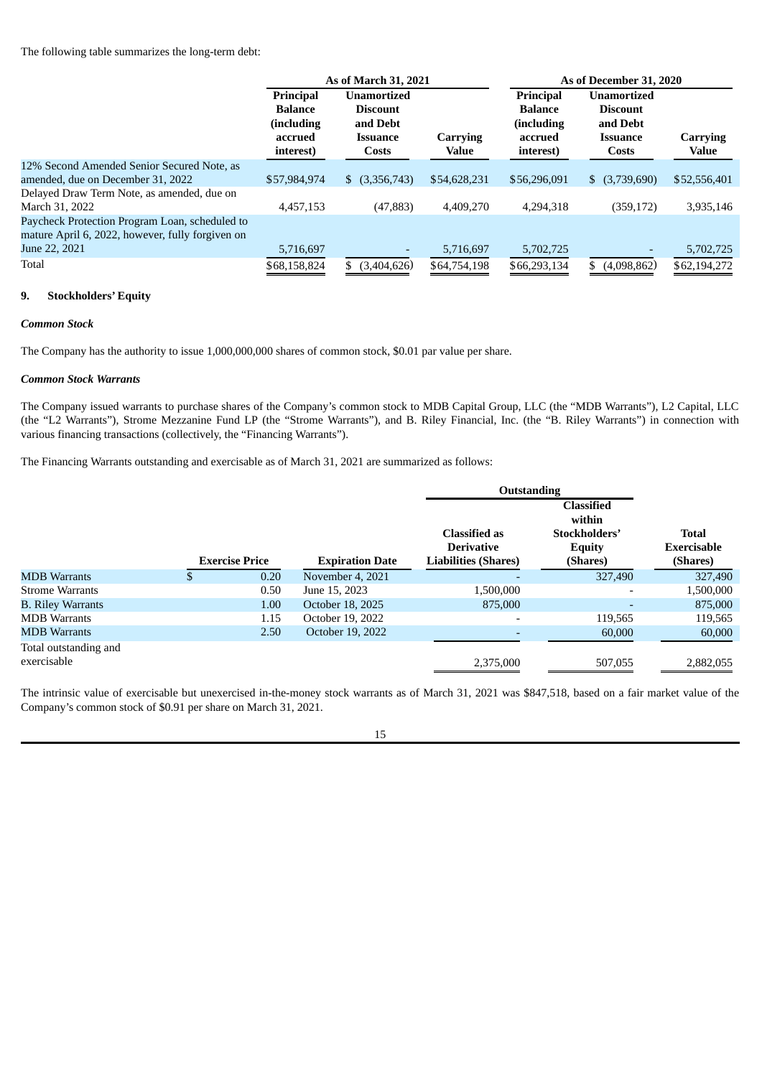The following table summarizes the long-term debt:

|                                                                                                    |                                                                          | As of March 31, 2021                                                   |                          | As of December 31, 2020                                                          |                                                                        |                                 |  |  |  |
|----------------------------------------------------------------------------------------------------|--------------------------------------------------------------------------|------------------------------------------------------------------------|--------------------------|----------------------------------------------------------------------------------|------------------------------------------------------------------------|---------------------------------|--|--|--|
|                                                                                                    | <b>Principal</b><br><b>Balance</b><br>(including<br>accrued<br>interest) | <b>Unamortized</b><br><b>Discount</b><br>and Debt<br>Issuance<br>Costs | Carrying<br><b>Value</b> | <b>Principal</b><br><b>Balance</b><br><i>(including)</i><br>accrued<br>interest) | <b>Unamortized</b><br><b>Discount</b><br>and Debt<br>Issuance<br>Costs | <b>Carrying</b><br><b>Value</b> |  |  |  |
| 12% Second Amended Senior Secured Note, as                                                         |                                                                          |                                                                        |                          |                                                                                  |                                                                        |                                 |  |  |  |
| amended, due on December 31, 2022                                                                  | \$57,984,974                                                             | \$ (3,356,743)                                                         | \$54,628,231             | \$56,296,091                                                                     | \$ (3,739,690)                                                         | \$52,556,401                    |  |  |  |
| Delayed Draw Term Note, as amended, due on                                                         |                                                                          |                                                                        |                          |                                                                                  |                                                                        |                                 |  |  |  |
| March 31, 2022                                                                                     | 4,457,153                                                                | (47, 883)                                                              | 4,409,270                | 4.294.318                                                                        | (359, 172)                                                             | 3,935,146                       |  |  |  |
| Paycheck Protection Program Loan, scheduled to<br>mature April 6, 2022, however, fully forgiven on |                                                                          |                                                                        |                          |                                                                                  |                                                                        |                                 |  |  |  |
| June 22, 2021                                                                                      | 5,716,697                                                                |                                                                        | 5,716,697                | 5,702,725                                                                        |                                                                        | 5,702,725                       |  |  |  |
| Total                                                                                              | \$68,158,824                                                             | $$$ (3,404,626)                                                        | \$64,754,198             | \$66,293,134                                                                     | (4,098,862)                                                            | \$62,194,272                    |  |  |  |

## **9. Stockholders' Equity**

#### *Common Stock*

The Company has the authority to issue 1,000,000,000 shares of common stock, \$0.01 par value per share.

#### *Common Stock Warrants*

The Company issued warrants to purchase shares of the Company's common stock to MDB Capital Group, LLC (the "MDB Warrants"), L2 Capital, LLC (the "L2 Warrants"), Strome Mezzanine Fund LP (the "Strome Warrants"), and B. Riley Financial, Inc. (the "B. Riley Warrants") in connection with various financing transactions (collectively, the "Financing Warrants").

The Financing Warrants outstanding and exercisable as of March 31, 2021 are summarized as follows:

|                                      |                       |                        |                                           | Outstanding                                                   |                                    |  |  |  |
|--------------------------------------|-----------------------|------------------------|-------------------------------------------|---------------------------------------------------------------|------------------------------------|--|--|--|
|                                      |                       |                        | <b>Classified as</b><br><b>Derivative</b> | <b>Classified</b><br>within<br>Stockholders'<br><b>Equity</b> | <b>Total</b><br><b>Exercisable</b> |  |  |  |
|                                      | <b>Exercise Price</b> | <b>Expiration Date</b> | <b>Liabilities (Shares)</b>               | (Shares)                                                      | (Shares)                           |  |  |  |
| <b>MDB</b> Warrants                  | 0.20                  | November 4, 2021       |                                           | 327,490                                                       | 327,490                            |  |  |  |
| <b>Strome Warrants</b>               | 0.50                  | June 15, 2023          | 1,500,000                                 |                                                               | 1,500,000                          |  |  |  |
| <b>B. Riley Warrants</b>             | 1.00                  | October 18, 2025       | 875,000                                   |                                                               | 875,000                            |  |  |  |
| <b>MDB</b> Warrants                  | 1.15                  | October 19, 2022       |                                           | 119,565                                                       | 119,565                            |  |  |  |
| <b>MDB</b> Warrants                  | 2.50                  | October 19, 2022       |                                           | 60,000                                                        | 60,000                             |  |  |  |
| Total outstanding and<br>exercisable |                       |                        | 2,375,000                                 | 507,055                                                       | 2,882,055                          |  |  |  |

The intrinsic value of exercisable but unexercised in-the-money stock warrants as of March 31, 2021 was \$847,518, based on a fair market value of the Company's common stock of \$0.91 per share on March 31, 2021.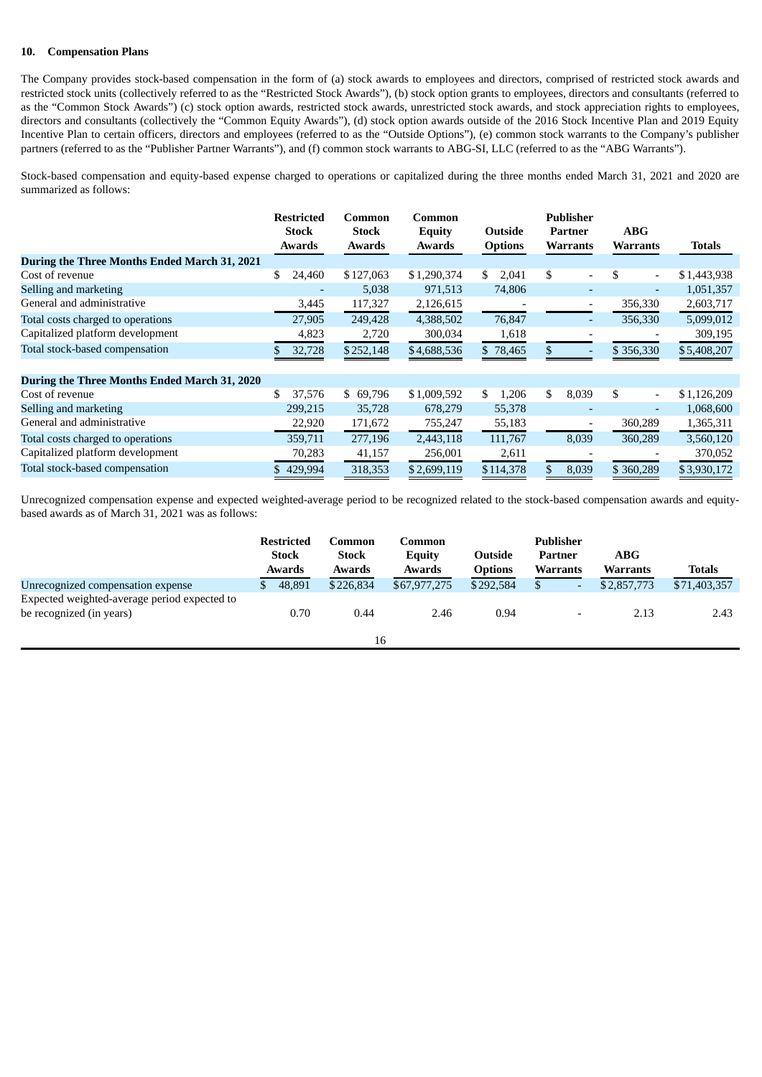#### **10. Compensation Plans**

The Company provides stock-based compensation in the form of (a) stock awards to employees and directors, comprised of restricted stock awards and restricted stock units (collectively referred to as the "Restricted Stock Awards"), (b) stock option grants to employees, directors and consultants (referred to as the "Common Stock Awards") (c) stock option awards, restricted stock awards, unrestricted stock awards, and stock appreciation rights to employees, directors and consultants (collectively the "Common Equity Awards"), (d) stock option awards outside of the 2016 Stock Incentive Plan and 2019 Equity Incentive Plan to certain officers, directors and employees (referred to as the "Outside Options"), (e) common stock warrants to the Company's publisher partners (referred to as the "Publisher Partner Warrants"), and (f) common stock warrants to ABG-SI, LLC (referred to as the "ABG Warrants").

Stock-based compensation and equity-based expense charged to operations or capitalized during the three months ended March 31, 2021 and 2020 are summarized as follows:

|                                              | <b>Restricted</b><br><b>Stock</b> | Common<br><b>Stock</b> | Common<br><b>Equity</b> | <b>Outside</b> | Publisher<br>Partner           | <b>ABG</b>                     |               |
|----------------------------------------------|-----------------------------------|------------------------|-------------------------|----------------|--------------------------------|--------------------------------|---------------|
|                                              | Awards                            | Awards                 | Awards                  | <b>Options</b> | <b>Warrants</b>                | Warrants                       | <b>Totals</b> |
| During the Three Months Ended March 31, 2021 |                                   |                        |                         |                |                                |                                |               |
| Cost of revenue                              | 24,460<br>\$                      | \$127,063              | \$1,290,374             | \$<br>2,041    | \$<br>$\overline{\phantom{a}}$ | \$<br>$\overline{\phantom{a}}$ | \$1,443,938   |
| Selling and marketing                        |                                   | 5,038                  | 971,513                 | 74,806         |                                | ٠                              | 1,051,357     |
| General and administrative                   | 3,445                             | 117,327                | 2,126,615               |                | $\overline{\phantom{a}}$       | 356,330                        | 2,603,717     |
| Total costs charged to operations            | 27,905                            | 249,428                | 4,388,502               | 76,847         | ٠                              | 356,330                        | 5,099,012     |
| Capitalized platform development             | 4,823                             | 2,720                  | 300,034                 | 1,618          |                                |                                | 309,195       |
| Total stock-based compensation               | 32,728                            | \$252,148              | \$4,688,536             | \$78,465       |                                | \$356,330                      | \$5,408,207   |
| During the Three Months Ended March 31, 2020 |                                   |                        |                         |                |                                |                                |               |
| Cost of revenue                              | \$<br>37,576                      | \$69,796               | \$1,009,592             | \$<br>1,206    | 8,039<br>\$.                   | \$<br>$\sim$                   | \$1,126,209   |
| Selling and marketing                        | 299,215                           | 35,728                 | 678,279                 | 55,378         |                                | $\overline{\phantom{a}}$       | 1,068,600     |
| General and administrative                   | 22,920                            | 171,672                | 755,247                 | 55,183         | $\blacksquare$                 | 360,289                        | 1,365,311     |
| Total costs charged to operations            | 359,711                           | 277,196                | 2,443,118               | 111,767        | 8,039                          | 360,289                        | 3,560,120     |
| Capitalized platform development             | 70,283                            | 41,157                 | 256,001                 | 2,611          |                                |                                | 370,052       |
| Total stock-based compensation               | 429,994                           | 318,353                | \$2,699,119             | \$114,378      | 8,039                          | \$360,289                      | \$3,930,172   |

Unrecognized compensation expense and expected weighted-average period to be recognized related to the stock-based compensation awards and equitybased awards as of March 31, 2021 was as follows:

|                                                                          |    | <b>Restricted</b><br><b>Stock</b><br>Awards | Common<br><b>Stock</b><br>Awards | Common<br>Equity<br>Awards | Outside<br><b>Options</b> | <b>Publisher</b><br>Partner<br><b>Warrants</b> |                          | <b>ABG</b><br><b>Warrants</b> | Totals       |
|--------------------------------------------------------------------------|----|---------------------------------------------|----------------------------------|----------------------------|---------------------------|------------------------------------------------|--------------------------|-------------------------------|--------------|
| Unrecognized compensation expense                                        | S. | 48,891                                      | \$226,834                        | \$67,977,275               | \$292,584                 |                                                | $\overline{\phantom{0}}$ | \$2,857,773                   | \$71,403,357 |
| Expected weighted-average period expected to<br>be recognized (in years) |    | 0.70                                        | 0.44                             | 2.46                       | 0.94                      |                                                | $\overline{\phantom{0}}$ | 2.13                          | 2.43         |
|                                                                          |    |                                             | 16                               |                            |                           |                                                |                          |                               |              |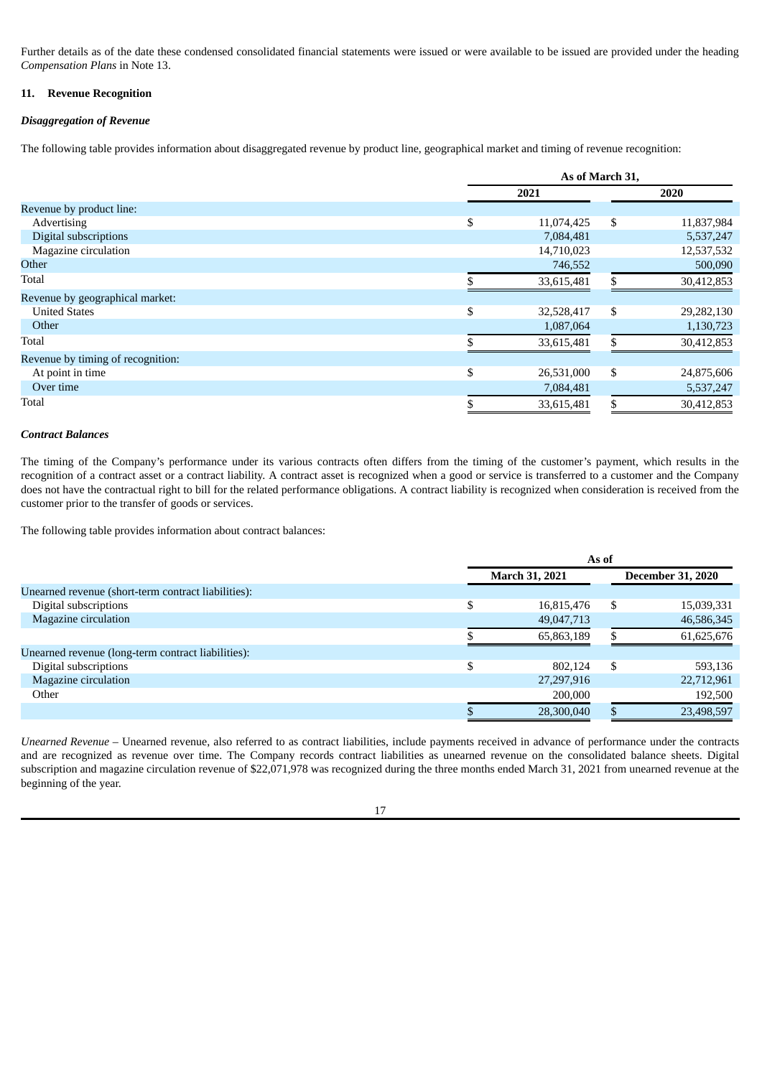Further details as of the date these condensed consolidated financial statements were issued or were available to be issued are provided under the heading *Compensation Plans* in Note 13.

#### **11. Revenue Recognition**

#### *Disaggregation of Revenue*

The following table provides information about disaggregated revenue by product line, geographical market and timing of revenue recognition:

|                                   | As of March 31,  |    |            |  |  |
|-----------------------------------|------------------|----|------------|--|--|
|                                   | 2021             |    | 2020       |  |  |
| Revenue by product line:          |                  |    |            |  |  |
| Advertising                       | \$<br>11,074,425 | \$ | 11,837,984 |  |  |
| Digital subscriptions             | 7,084,481        |    | 5,537,247  |  |  |
| Magazine circulation              | 14,710,023       |    | 12,537,532 |  |  |
| Other                             | 746,552          |    | 500,090    |  |  |
| Total                             | 33,615,481       |    | 30,412,853 |  |  |
| Revenue by geographical market:   |                  |    |            |  |  |
| <b>United States</b>              | \$<br>32,528,417 | \$ | 29,282,130 |  |  |
| Other                             | 1,087,064        |    | 1,130,723  |  |  |
| Total                             | 33,615,481       |    | 30,412,853 |  |  |
| Revenue by timing of recognition: |                  |    |            |  |  |
| At point in time                  | \$<br>26,531,000 | \$ | 24,875,606 |  |  |
| Over time                         | 7,084,481        |    | 5,537,247  |  |  |
| Total                             | 33,615,481       |    | 30,412,853 |  |  |

#### *Contract Balances*

The timing of the Company's performance under its various contracts often differs from the timing of the customer's payment, which results in the recognition of a contract asset or a contract liability. A contract asset is recognized when a good or service is transferred to a customer and the Company does not have the contractual right to bill for the related performance obligations. A contract liability is recognized when consideration is received from the customer prior to the transfer of goods or services.

The following table provides information about contract balances:

|                                                     | As of                 |    |                          |  |  |  |
|-----------------------------------------------------|-----------------------|----|--------------------------|--|--|--|
|                                                     | <b>March 31, 2021</b> |    | <b>December 31, 2020</b> |  |  |  |
| Unearned revenue (short-term contract liabilities): |                       |    |                          |  |  |  |
| Digital subscriptions                               | 16,815,476            | \$ | 15,039,331               |  |  |  |
| Magazine circulation                                | 49,047,713            |    | 46,586,345               |  |  |  |
|                                                     | 65,863,189            |    | 61,625,676               |  |  |  |
| Unearned revenue (long-term contract liabilities):  |                       |    |                          |  |  |  |
| Digital subscriptions                               | 802.124               | \$ | 593,136                  |  |  |  |
| Magazine circulation                                | 27,297,916            |    | 22,712,961               |  |  |  |
| Other                                               | 200,000               |    | 192,500                  |  |  |  |
|                                                     | 28,300,040            |    | 23,498,597               |  |  |  |

*Unearned Revenue* – Unearned revenue, also referred to as contract liabilities, include payments received in advance of performance under the contracts and are recognized as revenue over time. The Company records contract liabilities as unearned revenue on the consolidated balance sheets. Digital subscription and magazine circulation revenue of \$22,071,978 was recognized during the three months ended March 31, 2021 from unearned revenue at the beginning of the year.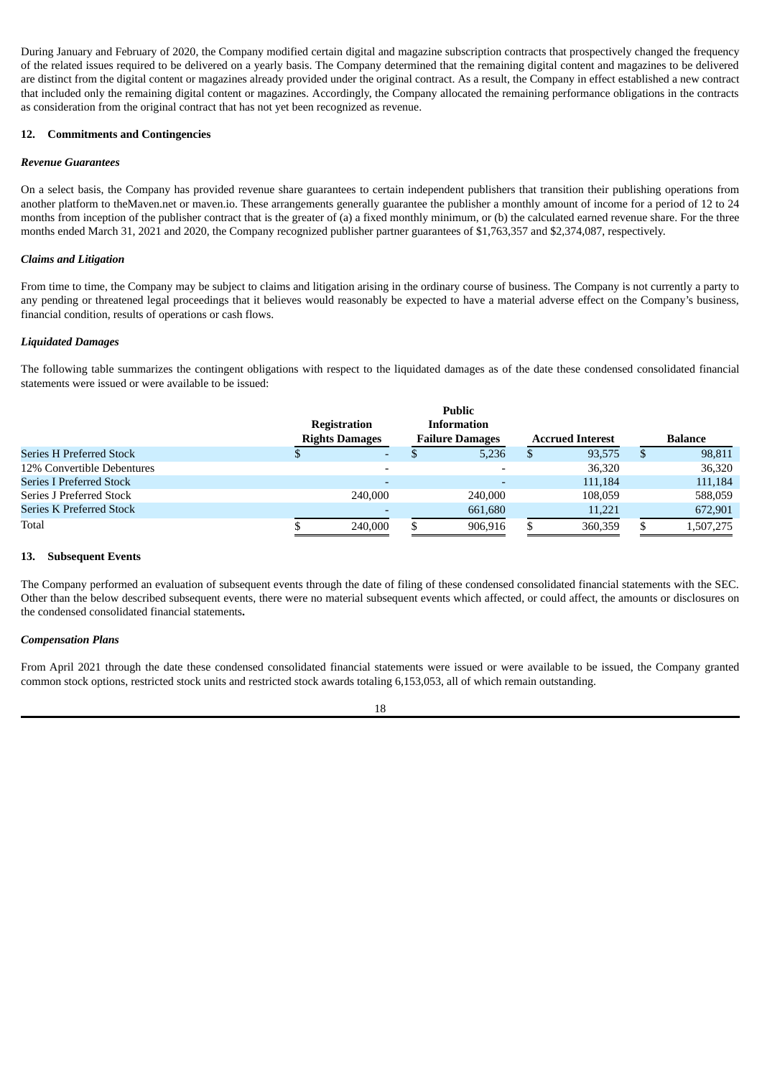During January and February of 2020, the Company modified certain digital and magazine subscription contracts that prospectively changed the frequency of the related issues required to be delivered on a yearly basis. The Company determined that the remaining digital content and magazines to be delivered are distinct from the digital content or magazines already provided under the original contract. As a result, the Company in effect established a new contract that included only the remaining digital content or magazines. Accordingly, the Company allocated the remaining performance obligations in the contracts as consideration from the original contract that has not yet been recognized as revenue.

#### **12. Commitments and Contingencies**

#### *Revenue Guarantees*

On a select basis, the Company has provided revenue share guarantees to certain independent publishers that transition their publishing operations from another platform to theMaven.net or maven.io. These arrangements generally guarantee the publisher a monthly amount of income for a period of 12 to 24 months from inception of the publisher contract that is the greater of (a) a fixed monthly minimum, or (b) the calculated earned revenue share. For the three months ended March 31, 2021 and 2020, the Company recognized publisher partner guarantees of \$1,763,357 and \$2,374,087, respectively.

#### *Claims and Litigation*

From time to time, the Company may be subject to claims and litigation arising in the ordinary course of business. The Company is not currently a party to any pending or threatened legal proceedings that it believes would reasonably be expected to have a material adverse effect on the Company's business, financial condition, results of operations or cash flows.

#### *Liquidated Damages*

The following table summarizes the contingent obligations with respect to the liquidated damages as of the date these condensed consolidated financial statements were issued or were available to be issued:

|                                 | Registration<br><b>Rights Damages</b> | <b>Public</b><br><b>Information</b><br><b>Failure Damages</b> | <b>Accrued Interest</b> | <b>Balance</b> |
|---------------------------------|---------------------------------------|---------------------------------------------------------------|-------------------------|----------------|
| <b>Series H Preferred Stock</b> | -                                     | 5,236                                                         | 93,575                  | 98,811         |
| 12% Convertible Debentures      |                                       |                                                               | 36,320                  | 36,320         |
| <b>Series I Preferred Stock</b> | $\overline{\phantom{0}}$              |                                                               | 111,184                 | 111,184        |
| Series J Preferred Stock        | 240,000                               | 240,000                                                       | 108,059                 | 588,059        |
| <b>Series K Preferred Stock</b> |                                       | 661,680                                                       | 11,221                  | 672,901        |
| Total                           | 240,000                               | 906.916                                                       | 360,359                 | 1,507,275      |

#### **13. Subsequent Events**

The Company performed an evaluation of subsequent events through the date of filing of these condensed consolidated financial statements with the SEC. Other than the below described subsequent events, there were no material subsequent events which affected, or could affect, the amounts or disclosures on the condensed consolidated financial statements**.**

#### *Compensation Plans*

From April 2021 through the date these condensed consolidated financial statements were issued or were available to be issued, the Company granted common stock options, restricted stock units and restricted stock awards totaling 6,153,053, all of which remain outstanding.

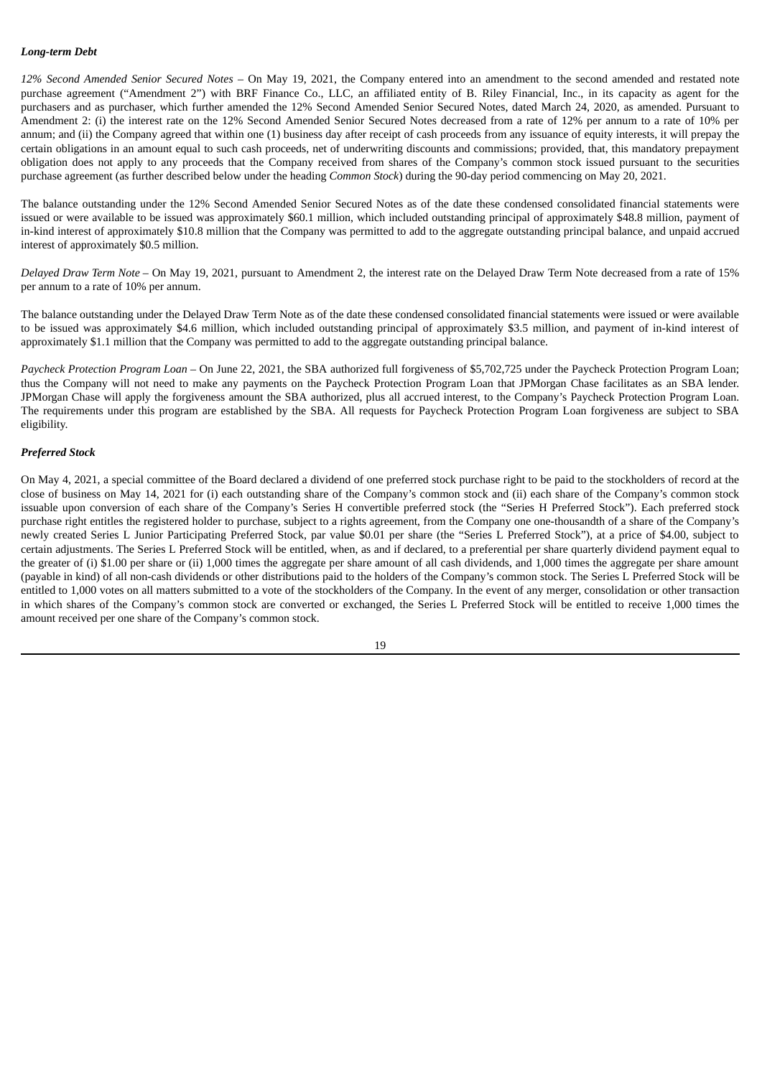#### *Long-term Debt*

*12% Second Amended Senior Secured Notes* – On May 19, 2021, the Company entered into an amendment to the second amended and restated note purchase agreement ("Amendment 2") with BRF Finance Co., LLC, an affiliated entity of B. Riley Financial, Inc., in its capacity as agent for the purchasers and as purchaser, which further amended the 12% Second Amended Senior Secured Notes, dated March 24, 2020, as amended. Pursuant to Amendment 2: (i) the interest rate on the 12% Second Amended Senior Secured Notes decreased from a rate of 12% per annum to a rate of 10% per annum; and (ii) the Company agreed that within one (1) business day after receipt of cash proceeds from any issuance of equity interests, it will prepay the certain obligations in an amount equal to such cash proceeds, net of underwriting discounts and commissions; provided, that, this mandatory prepayment obligation does not apply to any proceeds that the Company received from shares of the Company's common stock issued pursuant to the securities purchase agreement (as further described below under the heading *Common Stock*) during the 90-day period commencing on May 20, 2021.

The balance outstanding under the 12% Second Amended Senior Secured Notes as of the date these condensed consolidated financial statements were issued or were available to be issued was approximately \$60.1 million, which included outstanding principal of approximately \$48.8 million, payment of in-kind interest of approximately \$10.8 million that the Company was permitted to add to the aggregate outstanding principal balance, and unpaid accrued interest of approximately \$0.5 million.

*Delayed Draw Term Note* – On May 19, 2021, pursuant to Amendment 2, the interest rate on the Delayed Draw Term Note decreased from a rate of 15% per annum to a rate of 10% per annum.

The balance outstanding under the Delayed Draw Term Note as of the date these condensed consolidated financial statements were issued or were available to be issued was approximately \$4.6 million, which included outstanding principal of approximately \$3.5 million, and payment of in-kind interest of approximately \$1.1 million that the Company was permitted to add to the aggregate outstanding principal balance.

*Paycheck Protection Program Loan* – On June 22, 2021, the SBA authorized full forgiveness of \$5,702,725 under the Paycheck Protection Program Loan; thus the Company will not need to make any payments on the Paycheck Protection Program Loan that JPMorgan Chase facilitates as an SBA lender. JPMorgan Chase will apply the forgiveness amount the SBA authorized, plus all accrued interest, to the Company's Paycheck Protection Program Loan. The requirements under this program are established by the SBA. All requests for Paycheck Protection Program Loan forgiveness are subject to SBA eligibility.

#### *Preferred Stock*

On May 4, 2021, a special committee of the Board declared a dividend of one preferred stock purchase right to be paid to the stockholders of record at the close of business on May 14, 2021 for (i) each outstanding share of the Company's common stock and (ii) each share of the Company's common stock issuable upon conversion of each share of the Company's Series H convertible preferred stock (the "Series H Preferred Stock"). Each preferred stock purchase right entitles the registered holder to purchase, subject to a rights agreement, from the Company one one-thousandth of a share of the Company's newly created Series L Junior Participating Preferred Stock, par value \$0.01 per share (the "Series L Preferred Stock"), at a price of \$4.00, subject to certain adjustments. The Series L Preferred Stock will be entitled, when, as and if declared, to a preferential per share quarterly dividend payment equal to the greater of (i) \$1.00 per share or (ii) 1,000 times the aggregate per share amount of all cash dividends, and 1,000 times the aggregate per share amount (payable in kind) of all non-cash dividends or other distributions paid to the holders of the Company's common stock. The Series L Preferred Stock will be entitled to 1,000 votes on all matters submitted to a vote of the stockholders of the Company. In the event of any merger, consolidation or other transaction in which shares of the Company's common stock are converted or exchanged, the Series L Preferred Stock will be entitled to receive 1,000 times the amount received per one share of the Company's common stock.

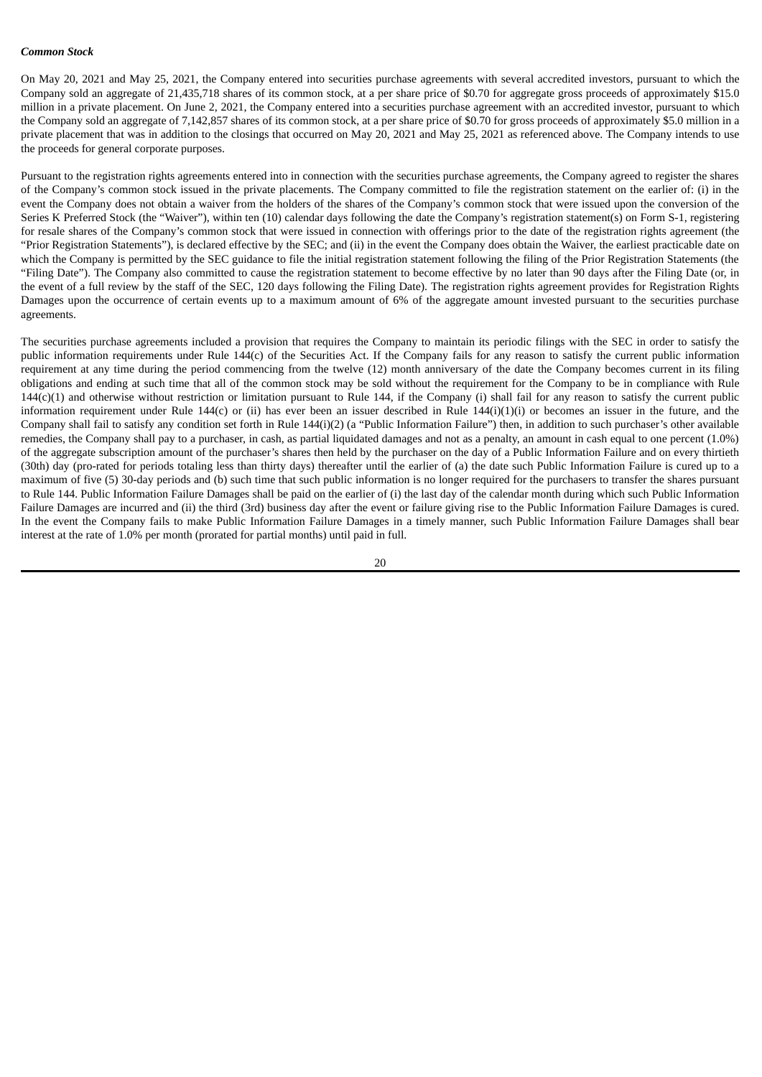#### *Common Stock*

On May 20, 2021 and May 25, 2021, the Company entered into securities purchase agreements with several accredited investors, pursuant to which the Company sold an aggregate of 21,435,718 shares of its common stock, at a per share price of \$0.70 for aggregate gross proceeds of approximately \$15.0 million in a private placement. On June 2, 2021, the Company entered into a securities purchase agreement with an accredited investor, pursuant to which the Company sold an aggregate of 7,142,857 shares of its common stock, at a per share price of \$0.70 for gross proceeds of approximately \$5.0 million in a private placement that was in addition to the closings that occurred on May 20, 2021 and May 25, 2021 as referenced above. The Company intends to use the proceeds for general corporate purposes.

Pursuant to the registration rights agreements entered into in connection with the securities purchase agreements, the Company agreed to register the shares of the Company's common stock issued in the private placements. The Company committed to file the registration statement on the earlier of: (i) in the event the Company does not obtain a waiver from the holders of the shares of the Company's common stock that were issued upon the conversion of the Series K Preferred Stock (the "Waiver"), within ten (10) calendar days following the date the Company's registration statement(s) on Form S-1, registering for resale shares of the Company's common stock that were issued in connection with offerings prior to the date of the registration rights agreement (the "Prior Registration Statements"), is declared effective by the SEC; and (ii) in the event the Company does obtain the Waiver, the earliest practicable date on which the Company is permitted by the SEC guidance to file the initial registration statement following the filing of the Prior Registration Statements (the "Filing Date"). The Company also committed to cause the registration statement to become effective by no later than 90 days after the Filing Date (or, in the event of a full review by the staff of the SEC, 120 days following the Filing Date). The registration rights agreement provides for Registration Rights Damages upon the occurrence of certain events up to a maximum amount of 6% of the aggregate amount invested pursuant to the securities purchase agreements.

The securities purchase agreements included a provision that requires the Company to maintain its periodic filings with the SEC in order to satisfy the public information requirements under Rule 144(c) of the Securities Act. If the Company fails for any reason to satisfy the current public information requirement at any time during the period commencing from the twelve (12) month anniversary of the date the Company becomes current in its filing obligations and ending at such time that all of the common stock may be sold without the requirement for the Company to be in compliance with Rule  $144(c)(1)$  and otherwise without restriction or limitation pursuant to Rule 144, if the Company (i) shall fail for any reason to satisfy the current public information requirement under Rule 144(c) or (ii) has ever been an issuer described in Rule 144(i)(1)(i) or becomes an issuer in the future, and the Company shall fail to satisfy any condition set forth in Rule 144(i)(2) (a "Public Information Failure") then, in addition to such purchaser's other available remedies, the Company shall pay to a purchaser, in cash, as partial liquidated damages and not as a penalty, an amount in cash equal to one percent (1.0%) of the aggregate subscription amount of the purchaser's shares then held by the purchaser on the day of a Public Information Failure and on every thirtieth (30th) day (pro-rated for periods totaling less than thirty days) thereafter until the earlier of (a) the date such Public Information Failure is cured up to a maximum of five (5) 30-day periods and (b) such time that such public information is no longer required for the purchasers to transfer the shares pursuant to Rule 144. Public Information Failure Damages shall be paid on the earlier of (i) the last day of the calendar month during which such Public Information Failure Damages are incurred and (ii) the third (3rd) business day after the event or failure giving rise to the Public Information Failure Damages is cured. In the event the Company fails to make Public Information Failure Damages in a timely manner, such Public Information Failure Damages shall bear interest at the rate of 1.0% per month (prorated for partial months) until paid in full.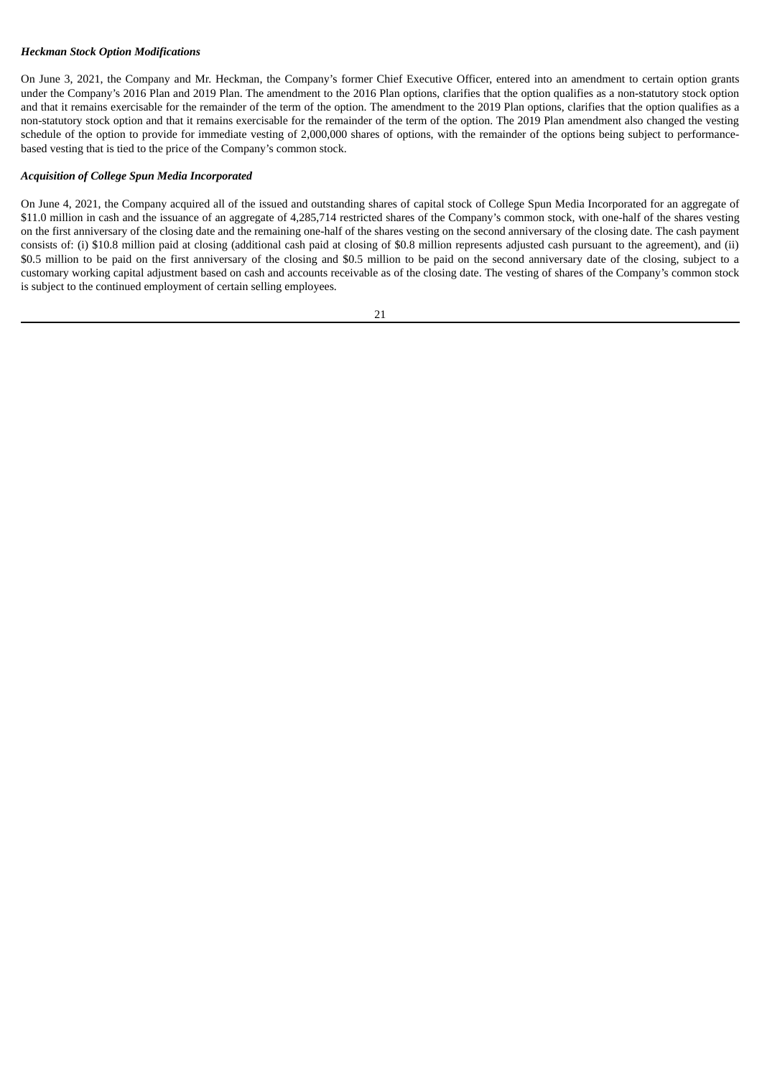#### *Heckman Stock Option Modifications*

On June 3, 2021, the Company and Mr. Heckman, the Company's former Chief Executive Officer, entered into an amendment to certain option grants under the Company's 2016 Plan and 2019 Plan. The amendment to the 2016 Plan options, clarifies that the option qualifies as a non-statutory stock option and that it remains exercisable for the remainder of the term of the option. The amendment to the 2019 Plan options, clarifies that the option qualifies as a non-statutory stock option and that it remains exercisable for the remainder of the term of the option. The 2019 Plan amendment also changed the vesting schedule of the option to provide for immediate vesting of 2,000,000 shares of options, with the remainder of the options being subject to performancebased vesting that is tied to the price of the Company's common stock.

## *Acquisition of College Spun Media Incorporated*

On June 4, 2021, the Company acquired all of the issued and outstanding shares of capital stock of College Spun Media Incorporated for an aggregate of \$11.0 million in cash and the issuance of an aggregate of 4,285,714 restricted shares of the Company's common stock, with one-half of the shares vesting on the first anniversary of the closing date and the remaining one-half of the shares vesting on the second anniversary of the closing date. The cash payment consists of: (i) \$10.8 million paid at closing (additional cash paid at closing of \$0.8 million represents adjusted cash pursuant to the agreement), and (ii) \$0.5 million to be paid on the first anniversary of the closing and \$0.5 million to be paid on the second anniversary date of the closing, subject to a customary working capital adjustment based on cash and accounts receivable as of the closing date. The vesting of shares of the Company's common stock is subject to the continued employment of certain selling employees.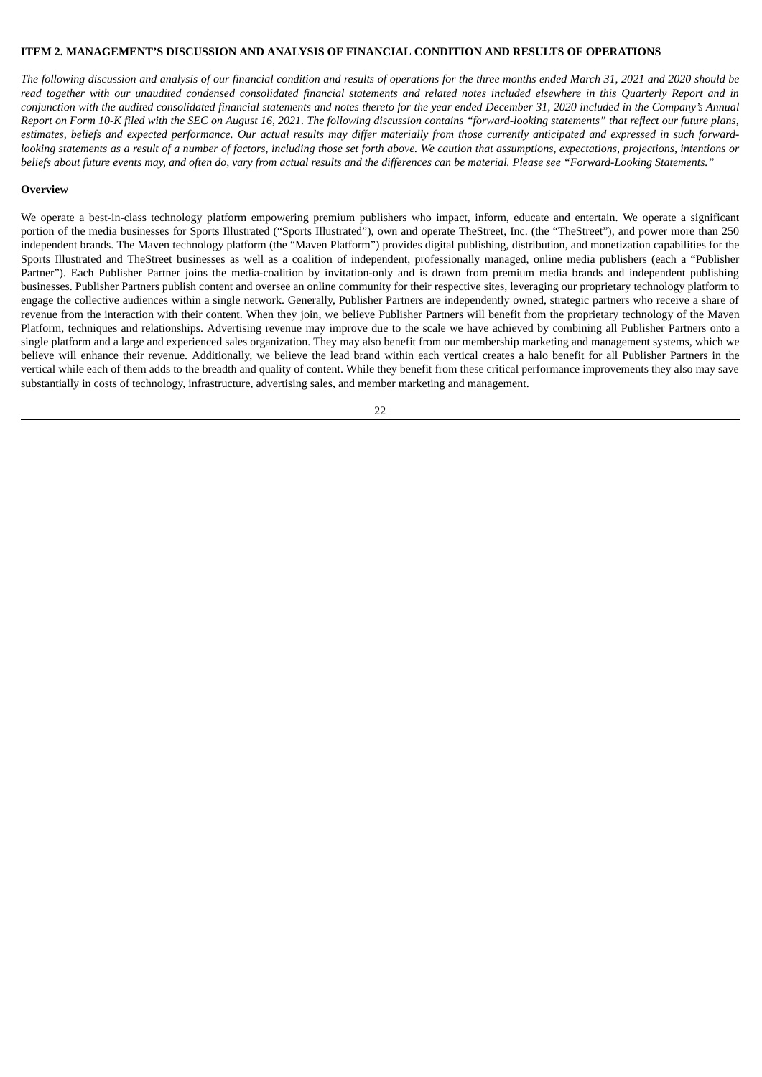#### <span id="page-24-0"></span>**ITEM 2. MANAGEMENT'S DISCUSSION AND ANALYSIS OF FINANCIAL CONDITION AND RESULTS OF OPERATIONS**

The following discussion and analysis of our financial condition and results of operations for the three months ended March 31, 2021 and 2020 should be read together with our unaudited condensed consolidated financial statements and related notes included elsewhere in this Quarterly Report and in conjunction with the audited consolidated financial statements and notes thereto for the year ended December 31, 2020 included in the Company's Annual Report on Form 10-K filed with the SEC on August 16, 2021. The following discussion contains "forward-looking statements" that reflect our future plans, estimates, beliefs and expected performance. Our actual results may differ materially from those currently anticipated and expressed in such forwardlooking statements as a result of a number of factors, including those set forth above. We caution that assumptions, expectations, projections, intentions or beliefs about future events may, and often do, vary from actual results and the differences can be material. Please see "Forward-Looking Statements."

#### **Overview**

We operate a best-in-class technology platform empowering premium publishers who impact, inform, educate and entertain. We operate a significant portion of the media businesses for Sports Illustrated ("Sports Illustrated"), own and operate TheStreet, Inc. (the "TheStreet"), and power more than 250 independent brands. The Maven technology platform (the "Maven Platform") provides digital publishing, distribution, and monetization capabilities for the Sports Illustrated and TheStreet businesses as well as a coalition of independent, professionally managed, online media publishers (each a "Publisher Partner"). Each Publisher Partner joins the media-coalition by invitation-only and is drawn from premium media brands and independent publishing businesses. Publisher Partners publish content and oversee an online community for their respective sites, leveraging our proprietary technology platform to engage the collective audiences within a single network. Generally, Publisher Partners are independently owned, strategic partners who receive a share of revenue from the interaction with their content. When they join, we believe Publisher Partners will benefit from the proprietary technology of the Maven Platform, techniques and relationships. Advertising revenue may improve due to the scale we have achieved by combining all Publisher Partners onto a single platform and a large and experienced sales organization. They may also benefit from our membership marketing and management systems, which we believe will enhance their revenue. Additionally, we believe the lead brand within each vertical creates a halo benefit for all Publisher Partners in the vertical while each of them adds to the breadth and quality of content. While they benefit from these critical performance improvements they also may save substantially in costs of technology, infrastructure, advertising sales, and member marketing and management.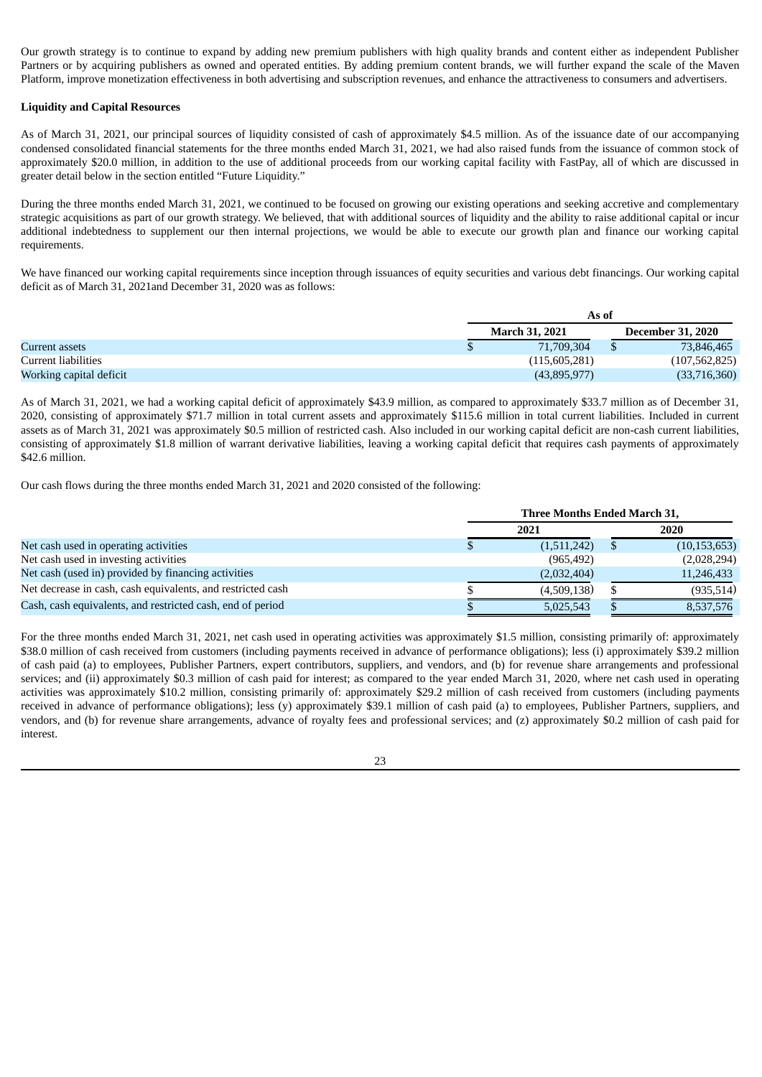Our growth strategy is to continue to expand by adding new premium publishers with high quality brands and content either as independent Publisher Partners or by acquiring publishers as owned and operated entities. By adding premium content brands, we will further expand the scale of the Maven Platform, improve monetization effectiveness in both advertising and subscription revenues, and enhance the attractiveness to consumers and advertisers.

#### **Liquidity and Capital Resources**

As of March 31, 2021, our principal sources of liquidity consisted of cash of approximately \$4.5 million. As of the issuance date of our accompanying condensed consolidated financial statements for the three months ended March 31, 2021, we had also raised funds from the issuance of common stock of approximately \$20.0 million, in addition to the use of additional proceeds from our working capital facility with FastPay, all of which are discussed in greater detail below in the section entitled "Future Liquidity."

During the three months ended March 31, 2021, we continued to be focused on growing our existing operations and seeking accretive and complementary strategic acquisitions as part of our growth strategy. We believed, that with additional sources of liquidity and the ability to raise additional capital or incur additional indebtedness to supplement our then internal projections, we would be able to execute our growth plan and finance our working capital requirements.

We have financed our working capital requirements since inception through issuances of equity securities and various debt financings. Our working capital deficit as of March 31, 2021and December 31, 2020 was as follows:

|                         | As of                 |  |                          |  |  |
|-------------------------|-----------------------|--|--------------------------|--|--|
|                         | <b>March 31, 2021</b> |  | <b>December 31, 2020</b> |  |  |
| Current assets          | 71,709,304            |  | 73,846,465               |  |  |
| Current liabilities     | (115,605,281)         |  | (107, 562, 825)          |  |  |
| Working capital deficit | (43,895,977)          |  | (33,716,360)             |  |  |

As of March 31, 2021, we had a working capital deficit of approximately \$43.9 million, as compared to approximately \$33.7 million as of December 31, 2020, consisting of approximately \$71.7 million in total current assets and approximately \$115.6 million in total current liabilities. Included in current assets as of March 31, 2021 was approximately \$0.5 million of restricted cash. Also included in our working capital deficit are non-cash current liabilities, consisting of approximately \$1.8 million of warrant derivative liabilities, leaving a working capital deficit that requires cash payments of approximately \$42.6 million.

Our cash flows during the three months ended March 31, 2021 and 2020 consisted of the following:

|                                                             | Three Months Ended March 31, |  |                |  |  |  |
|-------------------------------------------------------------|------------------------------|--|----------------|--|--|--|
|                                                             | 2021                         |  | 2020           |  |  |  |
| Net cash used in operating activities                       | (1,511,242)                  |  | (10, 153, 653) |  |  |  |
| Net cash used in investing activities                       | (965, 492)                   |  | (2,028,294)    |  |  |  |
| Net cash (used in) provided by financing activities         | (2,032,404)                  |  | 11,246,433     |  |  |  |
| Net decrease in cash, cash equivalents, and restricted cash | (4,509,138)                  |  | (935,514)      |  |  |  |
| Cash, cash equivalents, and restricted cash, end of period  | 5,025,543                    |  | 8,537,576      |  |  |  |

For the three months ended March 31, 2021, net cash used in operating activities was approximately \$1.5 million, consisting primarily of: approximately \$38.0 million of cash received from customers (including payments received in advance of performance obligations); less (i) approximately \$39.2 million of cash paid (a) to employees, Publisher Partners, expert contributors, suppliers, and vendors, and (b) for revenue share arrangements and professional services; and (ii) approximately \$0.3 million of cash paid for interest; as compared to the year ended March 31, 2020, where net cash used in operating activities was approximately \$10.2 million, consisting primarily of: approximately \$29.2 million of cash received from customers (including payments received in advance of performance obligations); less (y) approximately \$39.1 million of cash paid (a) to employees, Publisher Partners, suppliers, and vendors, and (b) for revenue share arrangements, advance of royalty fees and professional services; and (z) approximately \$0.2 million of cash paid for interest.

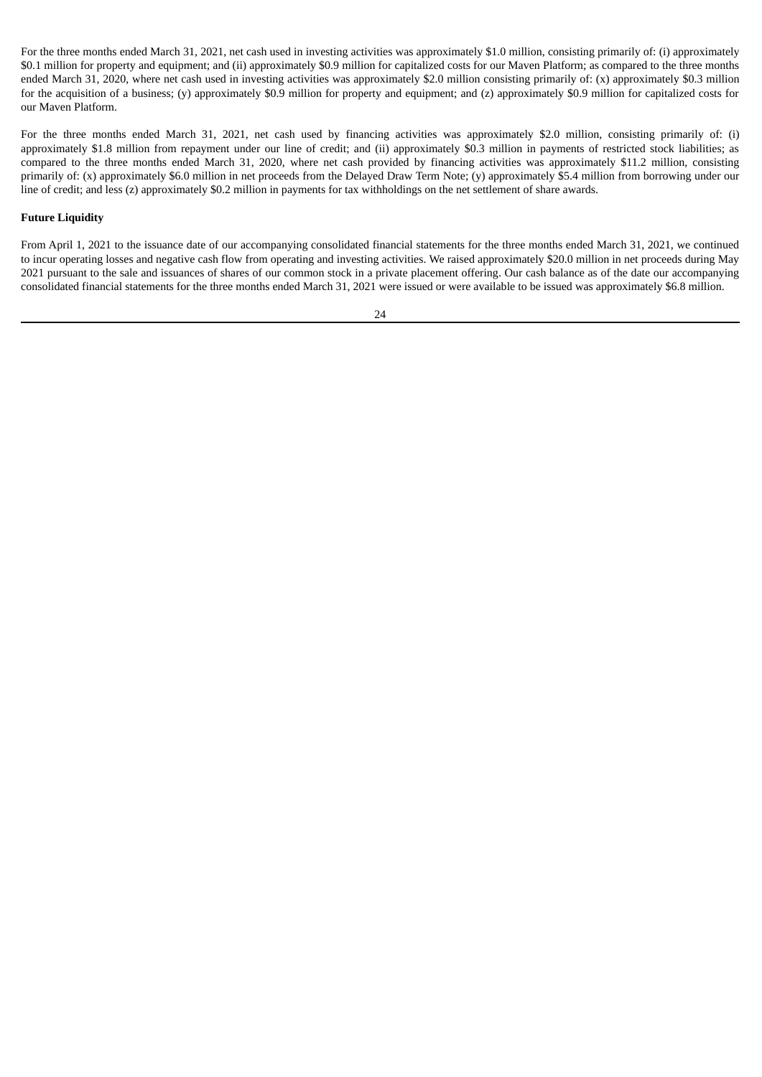For the three months ended March 31, 2021, net cash used in investing activities was approximately \$1.0 million, consisting primarily of: (i) approximately \$0.1 million for property and equipment; and (ii) approximately \$0.9 million for capitalized costs for our Maven Platform; as compared to the three months ended March 31, 2020, where net cash used in investing activities was approximately \$2.0 million consisting primarily of: (x) approximately \$0.3 million for the acquisition of a business; (y) approximately \$0.9 million for property and equipment; and (z) approximately \$0.9 million for capitalized costs for our Maven Platform.

For the three months ended March 31, 2021, net cash used by financing activities was approximately \$2.0 million, consisting primarily of: (i) approximately \$1.8 million from repayment under our line of credit; and (ii) approximately \$0.3 million in payments of restricted stock liabilities; as compared to the three months ended March 31, 2020, where net cash provided by financing activities was approximately \$11.2 million, consisting primarily of: (x) approximately \$6.0 million in net proceeds from the Delayed Draw Term Note; (y) approximately \$5.4 million from borrowing under our line of credit; and less (z) approximately \$0.2 million in payments for tax withholdings on the net settlement of share awards.

#### **Future Liquidity**

From April 1, 2021 to the issuance date of our accompanying consolidated financial statements for the three months ended March 31, 2021, we continued to incur operating losses and negative cash flow from operating and investing activities. We raised approximately \$20.0 million in net proceeds during May 2021 pursuant to the sale and issuances of shares of our common stock in a private placement offering. Our cash balance as of the date our accompanying consolidated financial statements for the three months ended March 31, 2021 were issued or were available to be issued was approximately \$6.8 million.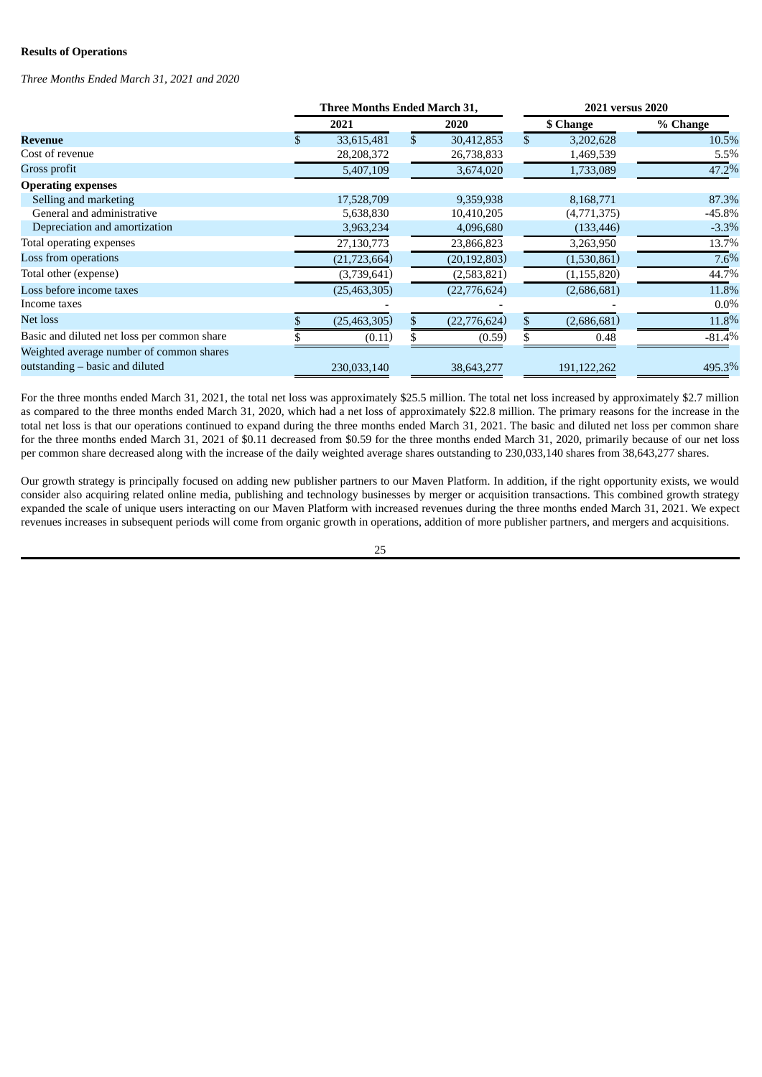## **Results of Operations**

*Three Months Ended March 31, 2021 and 2020*

|                                                                             | <b>Three Months Ended March 31,</b> |    | 2021 versus 2020 |                 |           |  |  |
|-----------------------------------------------------------------------------|-------------------------------------|----|------------------|-----------------|-----------|--|--|
|                                                                             | 2021                                |    | 2020             | \$ Change       | % Change  |  |  |
| <b>Revenue</b>                                                              | 33,615,481                          | \$ | 30,412,853       | \$<br>3,202,628 | 10.5%     |  |  |
| Cost of revenue                                                             | 28,208,372                          |    | 26,738,833       | 1,469,539       | 5.5%      |  |  |
| Gross profit                                                                | 5,407,109                           |    | 3,674,020        | 1,733,089       | 47.2%     |  |  |
| <b>Operating expenses</b>                                                   |                                     |    |                  |                 |           |  |  |
| Selling and marketing                                                       | 17,528,709                          |    | 9,359,938        | 8,168,771       | 87.3%     |  |  |
| General and administrative                                                  | 5,638,830                           |    | 10,410,205       | (4,771,375)     | $-45.8%$  |  |  |
| Depreciation and amortization                                               | 3,963,234                           |    | 4,096,680        | (133, 446)      | $-3.3%$   |  |  |
| Total operating expenses                                                    | 27,130,773                          |    | 23,866,823       | 3,263,950       | 13.7%     |  |  |
| Loss from operations                                                        | (21, 723, 664)                      |    | (20, 192, 803)   | (1,530,861)     | 7.6%      |  |  |
| Total other (expense)                                                       | (3,739,641)                         |    | (2,583,821)      | (1, 155, 820)   | 44.7%     |  |  |
| Loss before income taxes                                                    | (25, 463, 305)                      |    | (22, 776, 624)   | (2,686,681)     | 11.8%     |  |  |
| Income taxes                                                                |                                     |    |                  |                 | $0.0\%$   |  |  |
| Net loss                                                                    | (25, 463, 305)                      |    | (22, 776, 624)   | (2,686,681)     | 11.8%     |  |  |
| Basic and diluted net loss per common share                                 | (0.11)                              |    | (0.59)           | 0.48            | $-81.4\%$ |  |  |
| Weighted average number of common shares<br>outstanding - basic and diluted | 230,033,140                         |    | 38,643,277       | 191, 122, 262   | 495.3%    |  |  |
|                                                                             |                                     |    |                  |                 |           |  |  |

For the three months ended March 31, 2021, the total net loss was approximately \$25.5 million. The total net loss increased by approximately \$2.7 million as compared to the three months ended March 31, 2020, which had a net loss of approximately \$22.8 million. The primary reasons for the increase in the total net loss is that our operations continued to expand during the three months ended March 31, 2021. The basic and diluted net loss per common share for the three months ended March 31, 2021 of \$0.11 decreased from \$0.59 for the three months ended March 31, 2020, primarily because of our net loss per common share decreased along with the increase of the daily weighted average shares outstanding to 230,033,140 shares from 38,643,277 shares.

Our growth strategy is principally focused on adding new publisher partners to our Maven Platform. In addition, if the right opportunity exists, we would consider also acquiring related online media, publishing and technology businesses by merger or acquisition transactions. This combined growth strategy expanded the scale of unique users interacting on our Maven Platform with increased revenues during the three months ended March 31, 2021. We expect revenues increases in subsequent periods will come from organic growth in operations, addition of more publisher partners, and mergers and acquisitions.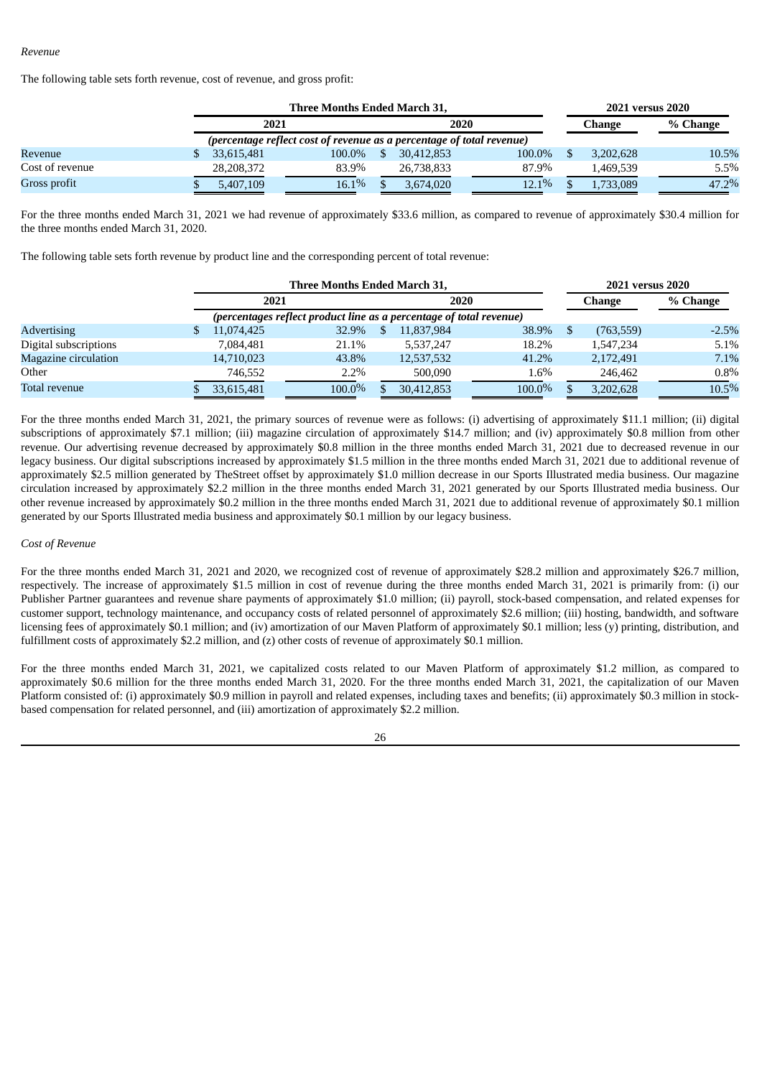#### *Revenue*

The following table sets forth revenue, cost of revenue, and gross profit:

|                 |            | Three Months Ended March 31,                                          | <b>2021 versus 2020</b> |            |        |  |           |          |
|-----------------|------------|-----------------------------------------------------------------------|-------------------------|------------|--------|--|-----------|----------|
|                 | 2021       |                                                                       |                         | 2020       |        |  | Change    | % Change |
|                 |            | (percentage reflect cost of revenue as a percentage of total revenue) |                         |            |        |  |           |          |
| Revenue         | 33,615,481 | 100.0%                                                                |                         | 30,412,853 | 100.0% |  | 3,202,628 | 10.5%    |
| Cost of revenue | 28,208,372 | 83.9%                                                                 |                         | 26,738,833 | 87.9%  |  | 1.469.539 | $5.5\%$  |
| Gross profit    | 5,407,109  | 16.1%                                                                 |                         | 3.674.020  | 12.1%  |  | 1.733.089 | 47.2%    |

For the three months ended March 31, 2021 we had revenue of approximately \$33.6 million, as compared to revenue of approximately \$30.4 million for the three months ended March 31, 2020.

The following table sets forth revenue by product line and the corresponding percent of total revenue:

|                       |            | <b>Three Months Ended March 31.</b>                                 | <b>2021 versus 2020</b> |           |  |            |          |
|-----------------------|------------|---------------------------------------------------------------------|-------------------------|-----------|--|------------|----------|
|                       | 2021       |                                                                     | 2020                    |           |  | Change     | % Change |
|                       |            | (percentages reflect product line as a percentage of total revenue) |                         |           |  |            |          |
| <b>Advertising</b>    | 11,074,425 | 32.9%                                                               | 11,837,984              | 38.9%     |  | (763, 559) | $-2.5%$  |
| Digital subscriptions | 7,084,481  | 21.1%                                                               | 5,537,247               | 18.2%     |  | 1,547,234  | 5.1%     |
| Magazine circulation  | 14,710,023 | 43.8%                                                               | 12,537,532              | 41.2%     |  | 2,172,491  | 7.1%     |
| Other                 | 746.552    | 2.2%                                                                | 500,090                 | $1.6\%$   |  | 246,462    | $0.8\%$  |
| Total revenue         | 33,615,481 | $100.0\%$                                                           | 30,412,853              | $100.0\%$ |  | 3,202,628  | $10.5\%$ |

For the three months ended March 31, 2021, the primary sources of revenue were as follows: (i) advertising of approximately \$11.1 million; (ii) digital subscriptions of approximately \$7.1 million; (iii) magazine circulation of approximately \$14.7 million; and (iv) approximately \$0.8 million from other revenue. Our advertising revenue decreased by approximately \$0.8 million in the three months ended March 31, 2021 due to decreased revenue in our legacy business. Our digital subscriptions increased by approximately \$1.5 million in the three months ended March 31, 2021 due to additional revenue of approximately \$2.5 million generated by TheStreet offset by approximately \$1.0 million decrease in our Sports Illustrated media business. Our magazine circulation increased by approximately \$2.2 million in the three months ended March 31, 2021 generated by our Sports Illustrated media business. Our other revenue increased by approximately \$0.2 million in the three months ended March 31, 2021 due to additional revenue of approximately \$0.1 million generated by our Sports Illustrated media business and approximately \$0.1 million by our legacy business.

#### *Cost of Revenue*

For the three months ended March 31, 2021 and 2020, we recognized cost of revenue of approximately \$28.2 million and approximately \$26.7 million, respectively. The increase of approximately \$1.5 million in cost of revenue during the three months ended March 31, 2021 is primarily from: (i) our Publisher Partner guarantees and revenue share payments of approximately \$1.0 million; (ii) payroll, stock-based compensation, and related expenses for customer support, technology maintenance, and occupancy costs of related personnel of approximately \$2.6 million; (iii) hosting, bandwidth, and software licensing fees of approximately \$0.1 million; and (iv) amortization of our Maven Platform of approximately \$0.1 million; less (y) printing, distribution, and fulfillment costs of approximately \$2.2 million, and (z) other costs of revenue of approximately \$0.1 million.

For the three months ended March 31, 2021, we capitalized costs related to our Maven Platform of approximately \$1.2 million, as compared to approximately \$0.6 million for the three months ended March 31, 2020. For the three months ended March 31, 2021, the capitalization of our Maven Platform consisted of: (i) approximately \$0.9 million in payroll and related expenses, including taxes and benefits; (ii) approximately \$0.3 million in stockbased compensation for related personnel, and (iii) amortization of approximately \$2.2 million.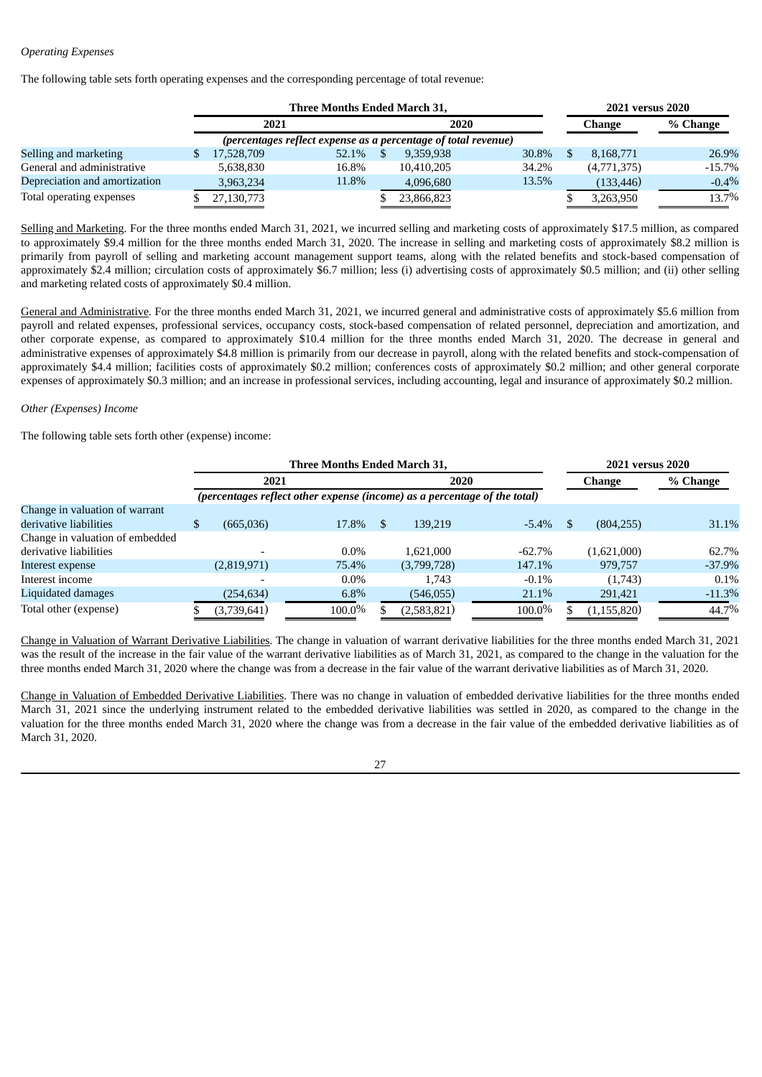## *Operating Expenses*

The following table sets forth operating expenses and the corresponding percentage of total revenue:

|                               |            | <b>Three Months Ended March 31,</b>                            | <b>2021 versus 2020</b> |            |  |       |        |             |           |
|-------------------------------|------------|----------------------------------------------------------------|-------------------------|------------|--|-------|--------|-------------|-----------|
|                               | 2021       |                                                                |                         | 2020       |  |       | Change |             | % Change  |
|                               |            | (percentages reflect expense as a percentage of total revenue) |                         |            |  |       |        |             |           |
| Selling and marketing         | 17,528,709 | 52.1%                                                          |                         | 9,359,938  |  | 30.8% |        | 8,168,771   | 26.9%     |
| General and administrative    | 5,638,830  | 16.8%                                                          |                         | 10,410,205 |  | 34.2% |        | (4,771,375) | $-15.7\%$ |
| Depreciation and amortization | 3,963,234  | 11.8%                                                          |                         | 4.096.680  |  | 13.5% |        | (133, 446)  | $-0.4\%$  |
| Total operating expenses      | 27,130,773 |                                                                |                         | 23,866,823 |  |       |        | 3,263,950   | $13.7\%$  |

Selling and Marketing. For the three months ended March 31, 2021, we incurred selling and marketing costs of approximately \$17.5 million, as compared to approximately \$9.4 million for the three months ended March 31, 2020. The increase in selling and marketing costs of approximately \$8.2 million is primarily from payroll of selling and marketing account management support teams, along with the related benefits and stock-based compensation of approximately \$2.4 million; circulation costs of approximately \$6.7 million; less (i) advertising costs of approximately \$0.5 million; and (ii) other selling and marketing related costs of approximately \$0.4 million.

General and Administrative. For the three months ended March 31, 2021, we incurred general and administrative costs of approximately \$5.6 million from payroll and related expenses, professional services, occupancy costs, stock-based compensation of related personnel, depreciation and amortization, and other corporate expense, as compared to approximately \$10.4 million for the three months ended March 31, 2020. The decrease in general and administrative expenses of approximately \$4.8 million is primarily from our decrease in payroll, along with the related benefits and stock-compensation of approximately \$4.4 million; facilities costs of approximately \$0.2 million; conferences costs of approximately \$0.2 million; and other general corporate expenses of approximately \$0.3 million; and an increase in professional services, including accounting, legal and insurance of approximately \$0.2 million.

#### *Other (Expenses) Income*

The following table sets forth other (expense) income:

|                                 |                                                                           | Three Months Ended March 31, | <b>2021 versus 2020</b> |               |             |             |               |          |  |
|---------------------------------|---------------------------------------------------------------------------|------------------------------|-------------------------|---------------|-------------|-------------|---------------|----------|--|
|                                 | 2021                                                                      |                              |                         | 2020          |             |             | <b>Change</b> | % Change |  |
|                                 | (percentages reflect other expense (income) as a percentage of the total) |                              |                         |               |             |             |               |          |  |
| Change in valuation of warrant  |                                                                           |                              |                         |               |             |             |               |          |  |
| derivative liabilities          | \$<br>(665,036)                                                           |                              | 17.8%                   | <sup>\$</sup> | 139,219     | $-5.4\%$ \$ | (804, 255)    | 31.1%    |  |
| Change in valuation of embedded |                                                                           |                              |                         |               |             |             |               |          |  |
| derivative liabilities          |                                                                           |                              | $0.0\%$                 |               | 1,621,000   | $-62.7\%$   | (1,621,000)   | 62.7%    |  |
| Interest expense                | (2,819,971)                                                               |                              | 75.4%                   |               | (3,799,728) | 147.1%      | 979,757       | $-37.9%$ |  |
| Interest income                 |                                                                           |                              | $0.0\%$                 |               | 1.743       | $-0.1%$     | (1,743)       | 0.1%     |  |
| Liquidated damages              | (254,634)                                                                 |                              | 6.8%                    |               | (546, 055)  | 21.1%       | 291,421       | $-11.3%$ |  |
| Total other (expense)           | (3,739,641)                                                               |                              | 100.0%                  |               | (2,583,821) | 100.0%      | (1, 155, 820) | 44.7%    |  |

Change in Valuation of Warrant Derivative Liabilities. The change in valuation of warrant derivative liabilities for the three months ended March 31, 2021 was the result of the increase in the fair value of the warrant derivative liabilities as of March 31, 2021, as compared to the change in the valuation for the three months ended March 31, 2020 where the change was from a decrease in the fair value of the warrant derivative liabilities as of March 31, 2020.

Change in Valuation of Embedded Derivative Liabilities. There was no change in valuation of embedded derivative liabilities for the three months ended March 31, 2021 since the underlying instrument related to the embedded derivative liabilities was settled in 2020, as compared to the change in the valuation for the three months ended March 31, 2020 where the change was from a decrease in the fair value of the embedded derivative liabilities as of March 31, 2020.

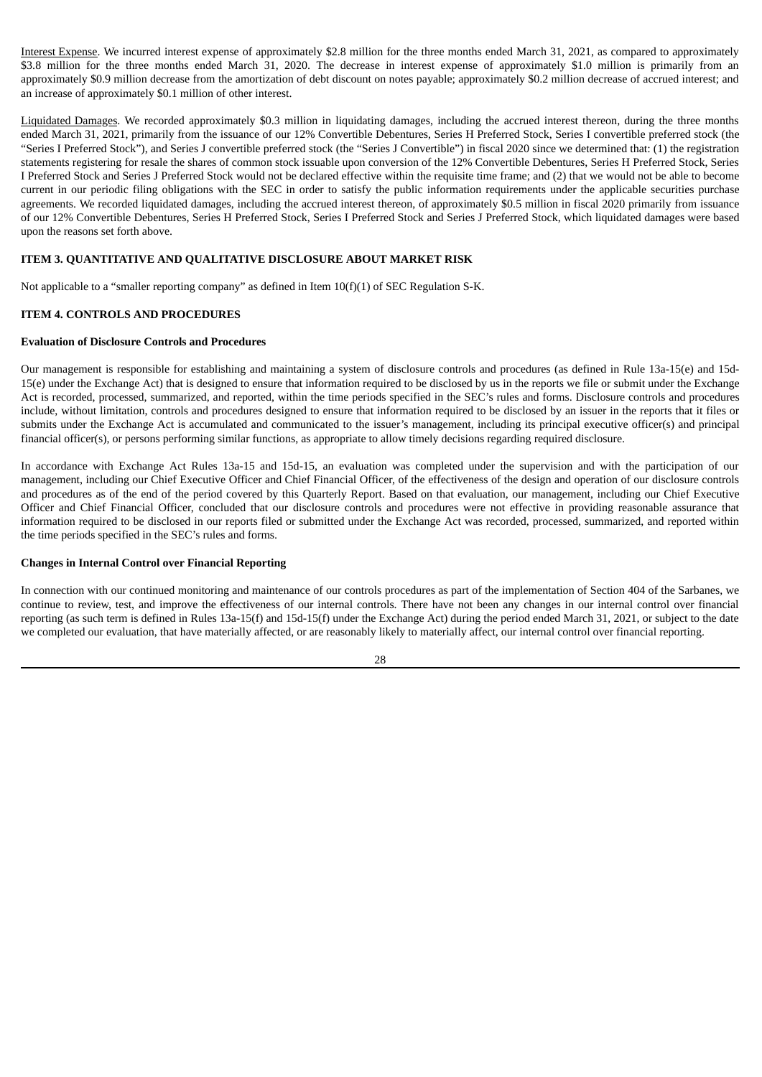Interest Expense. We incurred interest expense of approximately \$2.8 million for the three months ended March 31, 2021, as compared to approximately \$3.8 million for the three months ended March 31, 2020. The decrease in interest expense of approximately \$1.0 million is primarily from an approximately \$0.9 million decrease from the amortization of debt discount on notes payable; approximately \$0.2 million decrease of accrued interest; and an increase of approximately \$0.1 million of other interest.

Liquidated Damages. We recorded approximately \$0.3 million in liquidating damages, including the accrued interest thereon, during the three months ended March 31, 2021, primarily from the issuance of our 12% Convertible Debentures, Series H Preferred Stock, Series I convertible preferred stock (the "Series I Preferred Stock"), and Series J convertible preferred stock (the "Series J Convertible") in fiscal 2020 since we determined that: (1) the registration statements registering for resale the shares of common stock issuable upon conversion of the 12% Convertible Debentures, Series H Preferred Stock, Series I Preferred Stock and Series J Preferred Stock would not be declared effective within the requisite time frame; and (2) that we would not be able to become current in our periodic filing obligations with the SEC in order to satisfy the public information requirements under the applicable securities purchase agreements. We recorded liquidated damages, including the accrued interest thereon, of approximately \$0.5 million in fiscal 2020 primarily from issuance of our 12% Convertible Debentures, Series H Preferred Stock, Series I Preferred Stock and Series J Preferred Stock, which liquidated damages were based upon the reasons set forth above.

#### <span id="page-30-0"></span>**ITEM 3. QUANTITATIVE AND QUALITATIVE DISCLOSURE ABOUT MARKET RISK**

Not applicable to a "smaller reporting company" as defined in Item  $10(f)(1)$  of SEC Regulation S-K.

#### <span id="page-30-1"></span>**ITEM 4. CONTROLS AND PROCEDURES**

#### **Evaluation of Disclosure Controls and Procedures**

Our management is responsible for establishing and maintaining a system of disclosure controls and procedures (as defined in Rule 13a-15(e) and 15d-15(e) under the Exchange Act) that is designed to ensure that information required to be disclosed by us in the reports we file or submit under the Exchange Act is recorded, processed, summarized, and reported, within the time periods specified in the SEC's rules and forms. Disclosure controls and procedures include, without limitation, controls and procedures designed to ensure that information required to be disclosed by an issuer in the reports that it files or submits under the Exchange Act is accumulated and communicated to the issuer's management, including its principal executive officer(s) and principal financial officer(s), or persons performing similar functions, as appropriate to allow timely decisions regarding required disclosure.

In accordance with Exchange Act Rules 13a-15 and 15d-15, an evaluation was completed under the supervision and with the participation of our management, including our Chief Executive Officer and Chief Financial Officer, of the effectiveness of the design and operation of our disclosure controls and procedures as of the end of the period covered by this Quarterly Report. Based on that evaluation, our management, including our Chief Executive Officer and Chief Financial Officer, concluded that our disclosure controls and procedures were not effective in providing reasonable assurance that information required to be disclosed in our reports filed or submitted under the Exchange Act was recorded, processed, summarized, and reported within the time periods specified in the SEC's rules and forms.

#### **Changes in Internal Control over Financial Reporting**

In connection with our continued monitoring and maintenance of our controls procedures as part of the implementation of Section 404 of the Sarbanes, we continue to review, test, and improve the effectiveness of our internal controls. There have not been any changes in our internal control over financial reporting (as such term is defined in Rules 13a-15(f) and 15d-15(f) under the Exchange Act) during the period ended March 31, 2021, or subject to the date we completed our evaluation, that have materially affected, or are reasonably likely to materially affect, our internal control over financial reporting.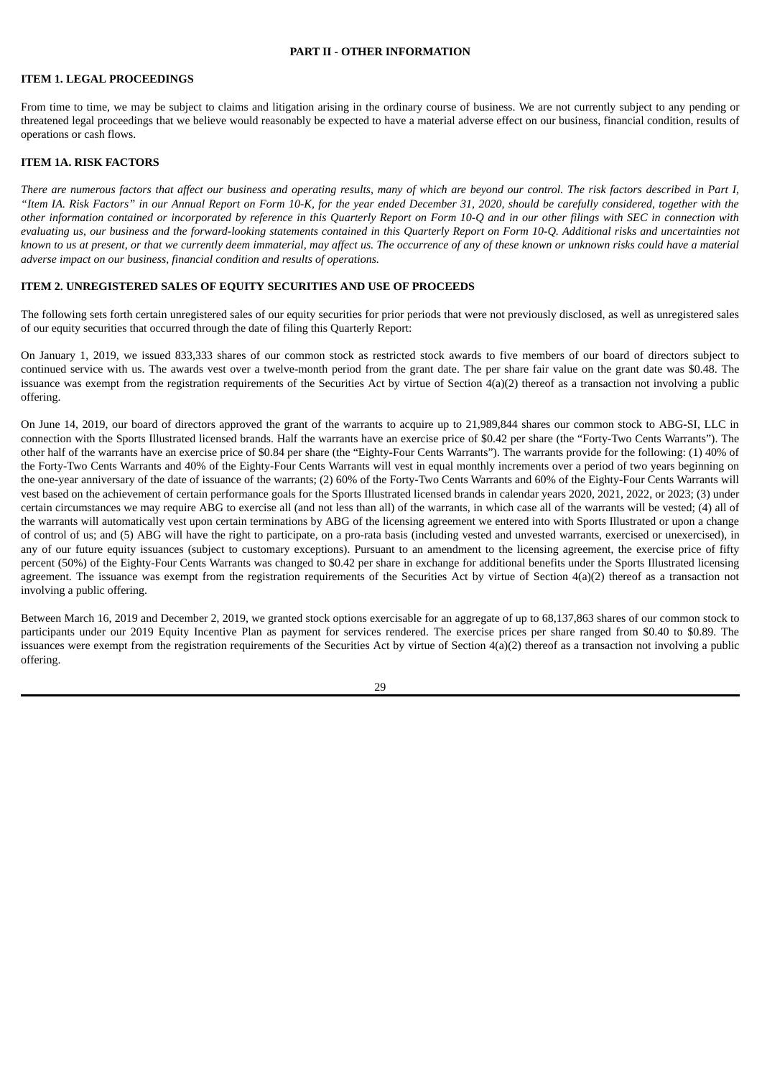#### **PART II - OTHER INFORMATION**

#### <span id="page-31-1"></span><span id="page-31-0"></span>**ITEM 1. LEGAL PROCEEDINGS**

From time to time, we may be subject to claims and litigation arising in the ordinary course of business. We are not currently subject to any pending or threatened legal proceedings that we believe would reasonably be expected to have a material adverse effect on our business, financial condition, results of operations or cash flows.

#### <span id="page-31-2"></span>**ITEM 1A. RISK FACTORS**

There are numerous factors that affect our business and operating results, many of which are beyond our control. The risk factors described in Part I, "Item IA. Risk Factors" in our Annual Report on Form 10-K, for the year ended December 31, 2020, should be carefully considered, together with the other information contained or incorporated by reference in this Quarterly Report on Form 10-Q and in our other filings with SEC in connection with evaluating us, our business and the forward-looking statements contained in this Quarterly Report on Form 10-Q. Additional risks and uncertainties not known to us at present, or that we currently deem immaterial, may affect us. The occurrence of any of these known or unknown risks could have a material *adverse impact on our business, financial condition and results of operations.*

#### <span id="page-31-3"></span>**ITEM 2. UNREGISTERED SALES OF EQUITY SECURITIES AND USE OF PROCEEDS**

The following sets forth certain unregistered sales of our equity securities for prior periods that were not previously disclosed, as well as unregistered sales of our equity securities that occurred through the date of filing this Quarterly Report:

On January 1, 2019, we issued 833,333 shares of our common stock as restricted stock awards to five members of our board of directors subject to continued service with us. The awards vest over a twelve-month period from the grant date. The per share fair value on the grant date was \$0.48. The issuance was exempt from the registration requirements of the Securities Act by virtue of Section 4(a)(2) thereof as a transaction not involving a public offering.

On June 14, 2019, our board of directors approved the grant of the warrants to acquire up to 21,989,844 shares our common stock to ABG-SI, LLC in connection with the Sports Illustrated licensed brands. Half the warrants have an exercise price of \$0.42 per share (the "Forty-Two Cents Warrants"). The other half of the warrants have an exercise price of \$0.84 per share (the "Eighty-Four Cents Warrants"). The warrants provide for the following: (1) 40% of the Forty-Two Cents Warrants and 40% of the Eighty-Four Cents Warrants will vest in equal monthly increments over a period of two years beginning on the one-year anniversary of the date of issuance of the warrants; (2) 60% of the Forty-Two Cents Warrants and 60% of the Eighty-Four Cents Warrants will vest based on the achievement of certain performance goals for the Sports Illustrated licensed brands in calendar years 2020, 2021, 2022, or 2023; (3) under certain circumstances we may require ABG to exercise all (and not less than all) of the warrants, in which case all of the warrants will be vested; (4) all of the warrants will automatically vest upon certain terminations by ABG of the licensing agreement we entered into with Sports Illustrated or upon a change of control of us; and (5) ABG will have the right to participate, on a pro-rata basis (including vested and unvested warrants, exercised or unexercised), in any of our future equity issuances (subject to customary exceptions). Pursuant to an amendment to the licensing agreement, the exercise price of fifty percent (50%) of the Eighty-Four Cents Warrants was changed to \$0.42 per share in exchange for additional benefits under the Sports Illustrated licensing agreement. The issuance was exempt from the registration requirements of the Securities Act by virtue of Section 4(a)(2) thereof as a transaction not involving a public offering.

Between March 16, 2019 and December 2, 2019, we granted stock options exercisable for an aggregate of up to 68,137,863 shares of our common stock to participants under our 2019 Equity Incentive Plan as payment for services rendered. The exercise prices per share ranged from \$0.40 to \$0.89. The issuances were exempt from the registration requirements of the Securities Act by virtue of Section 4(a)(2) thereof as a transaction not involving a public offering.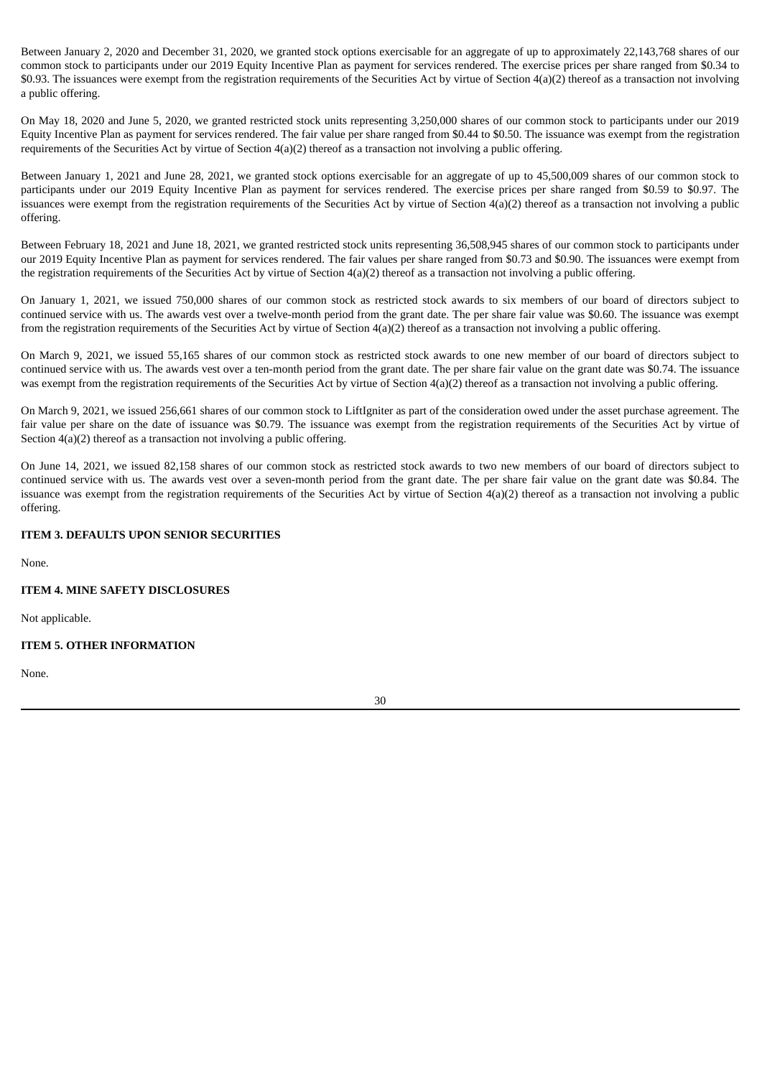Between January 2, 2020 and December 31, 2020, we granted stock options exercisable for an aggregate of up to approximately 22,143,768 shares of our common stock to participants under our 2019 Equity Incentive Plan as payment for services rendered. The exercise prices per share ranged from \$0.34 to \$0.93. The issuances were exempt from the registration requirements of the Securities Act by virtue of Section 4(a)(2) thereof as a transaction not involving a public offering.

On May 18, 2020 and June 5, 2020, we granted restricted stock units representing 3,250,000 shares of our common stock to participants under our 2019 Equity Incentive Plan as payment for services rendered. The fair value per share ranged from \$0.44 to \$0.50. The issuance was exempt from the registration requirements of the Securities Act by virtue of Section 4(a)(2) thereof as a transaction not involving a public offering.

Between January 1, 2021 and June 28, 2021, we granted stock options exercisable for an aggregate of up to 45,500,009 shares of our common stock to participants under our 2019 Equity Incentive Plan as payment for services rendered. The exercise prices per share ranged from \$0.59 to \$0.97. The issuances were exempt from the registration requirements of the Securities Act by virtue of Section  $4(a)(2)$  thereof as a transaction not involving a public offering.

Between February 18, 2021 and June 18, 2021, we granted restricted stock units representing 36,508,945 shares of our common stock to participants under our 2019 Equity Incentive Plan as payment for services rendered. The fair values per share ranged from \$0.73 and \$0.90. The issuances were exempt from the registration requirements of the Securities Act by virtue of Section 4(a)(2) thereof as a transaction not involving a public offering.

On January 1, 2021, we issued 750,000 shares of our common stock as restricted stock awards to six members of our board of directors subject to continued service with us. The awards vest over a twelve-month period from the grant date. The per share fair value was \$0.60. The issuance was exempt from the registration requirements of the Securities Act by virtue of Section 4(a)(2) thereof as a transaction not involving a public offering.

On March 9, 2021, we issued 55,165 shares of our common stock as restricted stock awards to one new member of our board of directors subject to continued service with us. The awards vest over a ten-month period from the grant date. The per share fair value on the grant date was \$0.74. The issuance was exempt from the registration requirements of the Securities Act by virtue of Section 4(a)(2) thereof as a transaction not involving a public offering.

On March 9, 2021, we issued 256,661 shares of our common stock to LiftIgniter as part of the consideration owed under the asset purchase agreement. The fair value per share on the date of issuance was \$0.79. The issuance was exempt from the registration requirements of the Securities Act by virtue of Section  $4(a)(2)$  thereof as a transaction not involving a public offering.

On June 14, 2021, we issued 82,158 shares of our common stock as restricted stock awards to two new members of our board of directors subject to continued service with us. The awards vest over a seven-month period from the grant date. The per share fair value on the grant date was \$0.84. The issuance was exempt from the registration requirements of the Securities Act by virtue of Section 4(a)(2) thereof as a transaction not involving a public offering.

#### <span id="page-32-0"></span>**ITEM 3. DEFAULTS UPON SENIOR SECURITIES**

None.

#### <span id="page-32-1"></span>**ITEM 4. MINE SAFETY DISCLOSURES**

Not applicable.

#### <span id="page-32-2"></span>**ITEM 5. OTHER INFORMATION**

None.

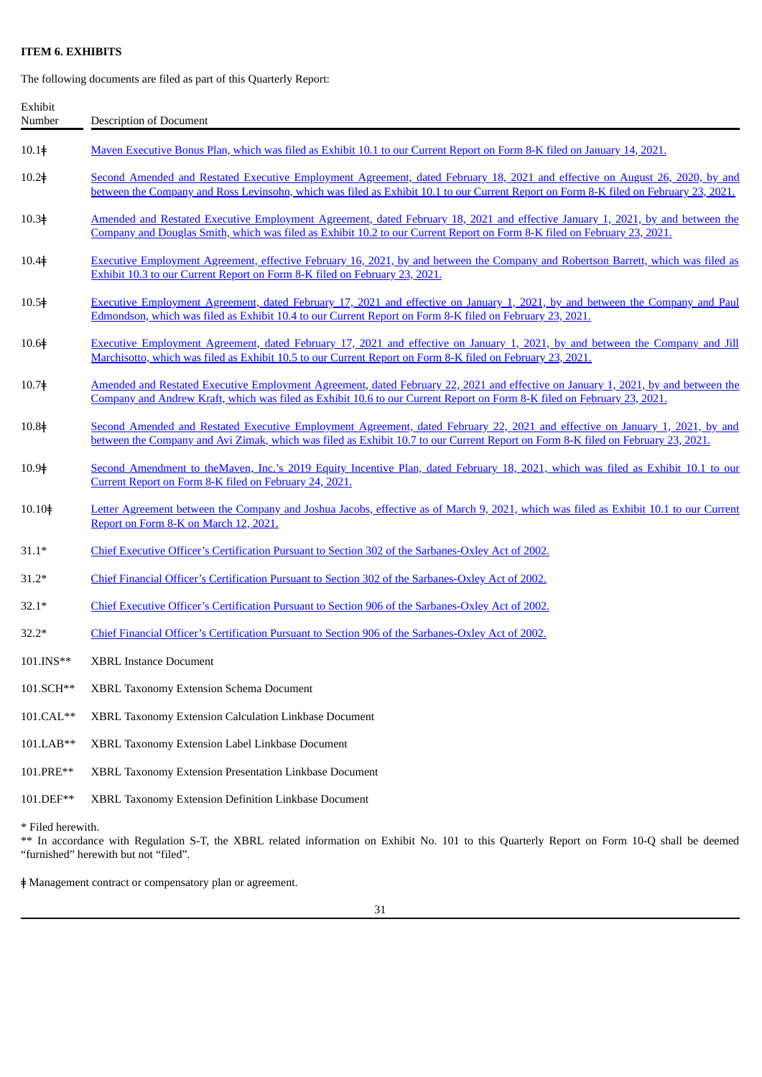# <span id="page-33-0"></span>**ITEM 6. EXHIBITS**

The following documents are filed as part of this Quarterly Report:

| Exhibit<br>Number | Description of Document                                                                                                                                                                                                                                               |
|-------------------|-----------------------------------------------------------------------------------------------------------------------------------------------------------------------------------------------------------------------------------------------------------------------|
| $10.1\pm$         | Maven Executive Bonus Plan, which was filed as Exhibit 10.1 to our Current Report on Form 8-K filed on January 14, 2021.                                                                                                                                              |
| 10.2 <sup>†</sup> | Second Amended and Restated Executive Employment Agreement, dated February 18, 2021 and effective on August 26, 2020, by and<br>between the Company and Ross Levinsohn, which was filed as Exhibit 10.1 to our Current Report on Form 8-K filed on February 23, 2021. |
| 10.3 <sup>†</sup> | Amended and Restated Executive Employment Agreement, dated February 18, 2021 and effective January 1, 2021, by and between the<br>Company and Douglas Smith, which was filed as Exhibit 10.2 to our Current Report on Form 8-K filed on February 23, 2021.            |
| $10.4\pm$         | Executive Employment Agreement, effective February 16, 2021, by and between the Company and Robertson Barrett, which was filed as<br>Exhibit 10.3 to our Current Report on Form 8-K filed on February 23, 2021.                                                       |
| $10.5\pm$         | Executive Employment Agreement, dated February 17, 2021 and effective on January 1, 2021, by and between the Company and Paul<br>Edmondson, which was filed as Exhibit 10.4 to our Current Report on Form 8-K filed on February 23, 2021.                             |
| $10.6\pm$         | Executive Employment Agreement, dated February 17, 2021 and effective on January 1, 2021, by and between the Company and Jill<br>Marchisotto, which was filed as Exhibit 10.5 to our Current Report on Form 8-K filed on February 23, 2021.                           |
| 10.7 <sup>†</sup> | Amended and Restated Executive Employment Agreement, dated February 22, 2021 and effective on January 1, 2021, by and between the<br>Company and Andrew Kraft, which was filed as Exhibit 10.6 to our Current Report on Form 8-K filed on February 23, 2021.          |
| $10.8\dagger$     | Second Amended and Restated Executive Employment Agreement, dated February 22, 2021 and effective on January 1, 2021, by and<br>between the Company and Avi Zimak, which was filed as Exhibit 10.7 to our Current Report on Form 8-K filed on February 23, 2021.      |
| 10.9 <sup>†</sup> | Second Amendment to the Maven, Inc.'s 2019 Equity Incentive Plan, dated February 18, 2021, which was filed as Exhibit 10.1 to our<br>Current Report on Form 8-K filed on February 24, 2021.                                                                           |
| 10.10             | Letter Agreement between the Company and Joshua Jacobs, effective as of March 9, 2021, which was filed as Exhibit 10.1 to our Current<br>Report on Form 8-K on March 12, 2021.                                                                                        |
| $31.1*$           | Chief Executive Officer's Certification Pursuant to Section 302 of the Sarbanes-Oxley Act of 2002.                                                                                                                                                                    |
| $31.2*$           | Chief Financial Officer's Certification Pursuant to Section 302 of the Sarbanes-Oxley Act of 2002.                                                                                                                                                                    |
| $32.1*$           | Chief Executive Officer's Certification Pursuant to Section 906 of the Sarbanes-Oxley Act of 2002.                                                                                                                                                                    |
| $32.2*$           | Chief Financial Officer's Certification Pursuant to Section 906 of the Sarbanes-Oxley Act of 2002.                                                                                                                                                                    |
| 101.INS**         | <b>XBRL Instance Document</b>                                                                                                                                                                                                                                         |
| 101.SCH**         | XBRL Taxonomy Extension Schema Document                                                                                                                                                                                                                               |
| 101.CAL**         | XBRL Taxonomy Extension Calculation Linkbase Document                                                                                                                                                                                                                 |
| 101.LAB**         | XBRL Taxonomy Extension Label Linkbase Document                                                                                                                                                                                                                       |
| 101.PRE**         | XBRL Taxonomy Extension Presentation Linkbase Document                                                                                                                                                                                                                |
| 101.DEF**         | XBRL Taxonomy Extension Definition Linkbase Document                                                                                                                                                                                                                  |
| * Filed herewith. | ** In accordance with Regulation S-T, the XBRL related information on Exhibit No. 101 to this Quarterly Report on Form 10-Q shall be deemed<br>"furnished" herewith but not "filed".                                                                                  |

ǂ Management contract or compensatory plan or agreement.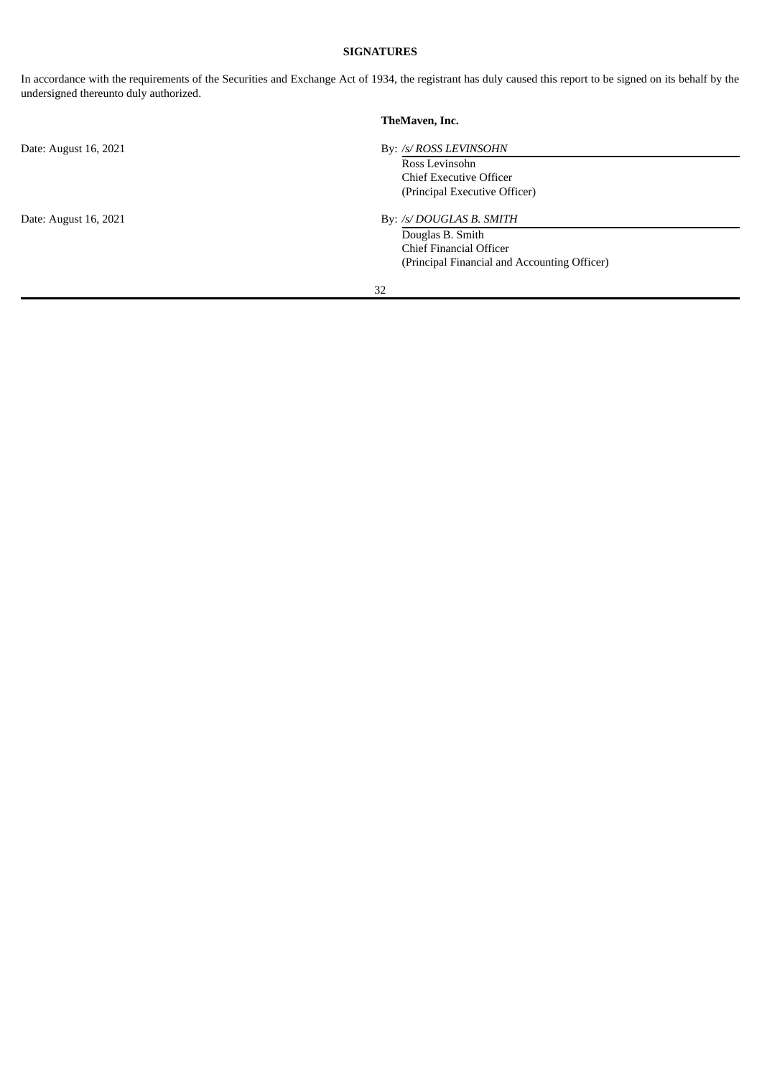## **SIGNATURES**

<span id="page-34-0"></span>In accordance with the requirements of the Securities and Exchange Act of 1934, the registrant has duly caused this report to be signed on its behalf by the undersigned thereunto duly authorized.

|                       | TheMaven, Inc.                               |
|-----------------------|----------------------------------------------|
| Date: August 16, 2021 | By: /s/ ROSS LEVINSOHN                       |
|                       | Ross Levinsohn                               |
|                       | Chief Executive Officer                      |
|                       | (Principal Executive Officer)                |
| Date: August 16, 2021 | By: /s/ DOUGLAS B. SMITH                     |
|                       | Douglas B. Smith                             |
|                       | Chief Financial Officer                      |
|                       | (Principal Financial and Accounting Officer) |
|                       | 32                                           |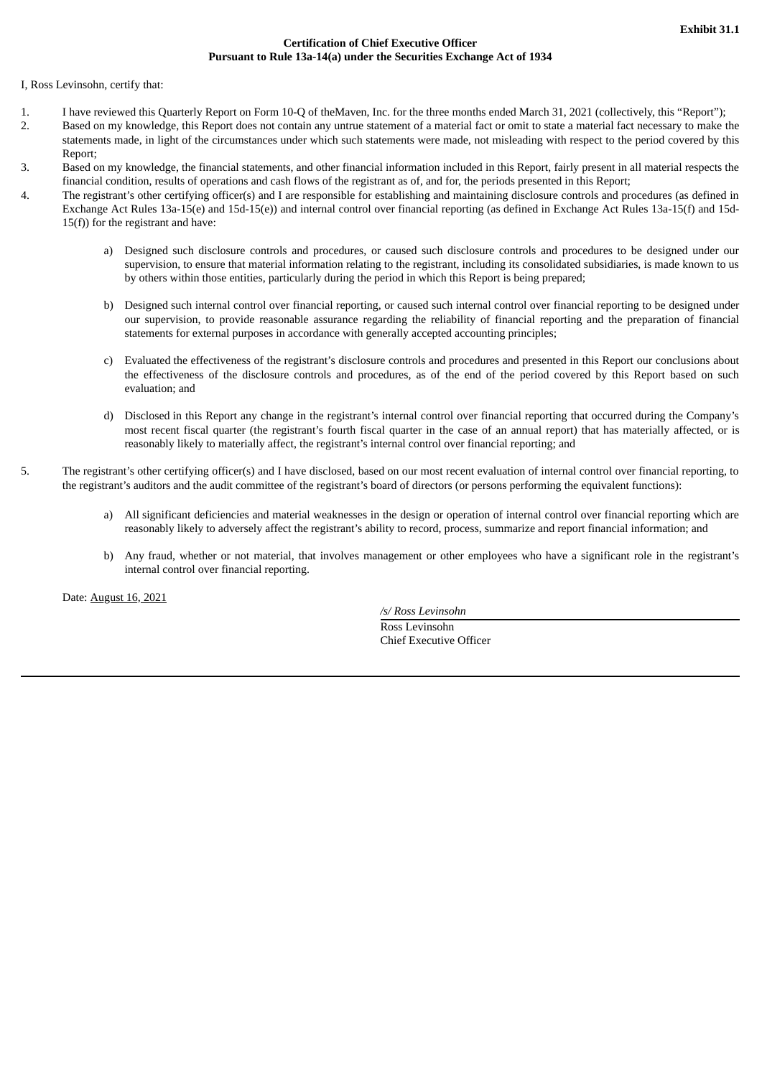#### **Certification of Chief Executive Officer Pursuant to Rule 13a-14(a) under the Securities Exchange Act of 1934**

<span id="page-35-0"></span>I, Ross Levinsohn, certify that:

- 1. I have reviewed this Quarterly Report on Form 10-Q of theMaven, Inc. for the three months ended March 31, 2021 (collectively, this "Report");
- 2. Based on my knowledge, this Report does not contain any untrue statement of a material fact or omit to state a material fact necessary to make the statements made, in light of the circumstances under which such statements were made, not misleading with respect to the period covered by this Report;
- 3. Based on my knowledge, the financial statements, and other financial information included in this Report, fairly present in all material respects the financial condition, results of operations and cash flows of the registrant as of, and for, the periods presented in this Report;
- 4. The registrant's other certifying officer(s) and I are responsible for establishing and maintaining disclosure controls and procedures (as defined in Exchange Act Rules 13a-15(e) and 15d-15(e)) and internal control over financial reporting (as defined in Exchange Act Rules 13a-15(f) and 15d-15(f)) for the registrant and have:
	- a) Designed such disclosure controls and procedures, or caused such disclosure controls and procedures to be designed under our supervision, to ensure that material information relating to the registrant, including its consolidated subsidiaries, is made known to us by others within those entities, particularly during the period in which this Report is being prepared;
	- b) Designed such internal control over financial reporting, or caused such internal control over financial reporting to be designed under our supervision, to provide reasonable assurance regarding the reliability of financial reporting and the preparation of financial statements for external purposes in accordance with generally accepted accounting principles;
	- c) Evaluated the effectiveness of the registrant's disclosure controls and procedures and presented in this Report our conclusions about the effectiveness of the disclosure controls and procedures, as of the end of the period covered by this Report based on such evaluation; and
	- d) Disclosed in this Report any change in the registrant's internal control over financial reporting that occurred during the Company's most recent fiscal quarter (the registrant's fourth fiscal quarter in the case of an annual report) that has materially affected, or is reasonably likely to materially affect, the registrant's internal control over financial reporting; and
- 5. The registrant's other certifying officer(s) and I have disclosed, based on our most recent evaluation of internal control over financial reporting, to the registrant's auditors and the audit committee of the registrant's board of directors (or persons performing the equivalent functions):
	- a) All significant deficiencies and material weaknesses in the design or operation of internal control over financial reporting which are reasonably likely to adversely affect the registrant's ability to record, process, summarize and report financial information; and
	- b) Any fraud, whether or not material, that involves management or other employees who have a significant role in the registrant's internal control over financial reporting.

Date: August 16, 2021

*/s/ Ross Levinsohn*

Ross Levinsohn Chief Executive Officer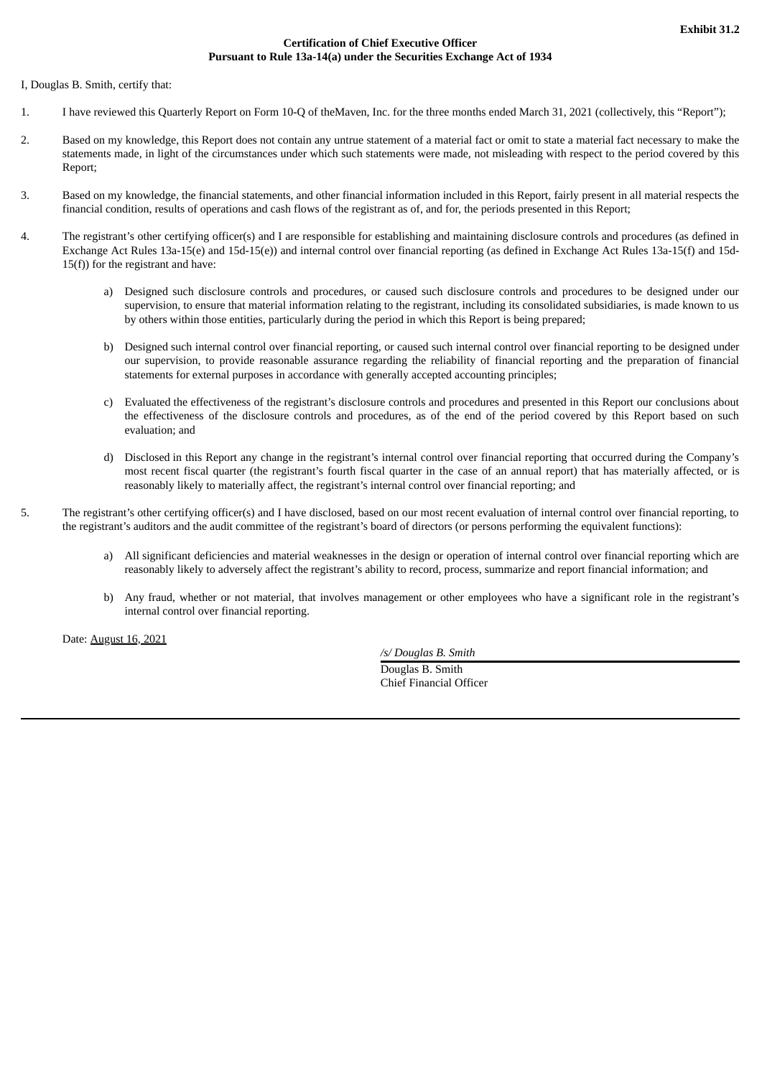#### **Certification of Chief Executive Officer Pursuant to Rule 13a-14(a) under the Securities Exchange Act of 1934**

<span id="page-36-0"></span>I, Douglas B. Smith, certify that:

- 1. I have reviewed this Quarterly Report on Form 10-Q of theMaven, Inc. for the three months ended March 31, 2021 (collectively, this "Report");
- 2. Based on my knowledge, this Report does not contain any untrue statement of a material fact or omit to state a material fact necessary to make the statements made, in light of the circumstances under which such statements were made, not misleading with respect to the period covered by this Report;
- 3. Based on my knowledge, the financial statements, and other financial information included in this Report, fairly present in all material respects the financial condition, results of operations and cash flows of the registrant as of, and for, the periods presented in this Report;
- 4. The registrant's other certifying officer(s) and I are responsible for establishing and maintaining disclosure controls and procedures (as defined in Exchange Act Rules 13a-15(e) and 15d-15(e)) and internal control over financial reporting (as defined in Exchange Act Rules 13a-15(f) and 15d-15(f)) for the registrant and have:
	- a) Designed such disclosure controls and procedures, or caused such disclosure controls and procedures to be designed under our supervision, to ensure that material information relating to the registrant, including its consolidated subsidiaries, is made known to us by others within those entities, particularly during the period in which this Report is being prepared;
	- b) Designed such internal control over financial reporting, or caused such internal control over financial reporting to be designed under our supervision, to provide reasonable assurance regarding the reliability of financial reporting and the preparation of financial statements for external purposes in accordance with generally accepted accounting principles;
	- c) Evaluated the effectiveness of the registrant's disclosure controls and procedures and presented in this Report our conclusions about the effectiveness of the disclosure controls and procedures, as of the end of the period covered by this Report based on such evaluation; and
	- d) Disclosed in this Report any change in the registrant's internal control over financial reporting that occurred during the Company's most recent fiscal quarter (the registrant's fourth fiscal quarter in the case of an annual report) that has materially affected, or is reasonably likely to materially affect, the registrant's internal control over financial reporting; and
- 5. The registrant's other certifying officer(s) and I have disclosed, based on our most recent evaluation of internal control over financial reporting, to the registrant's auditors and the audit committee of the registrant's board of directors (or persons performing the equivalent functions):
	- a) All significant deficiencies and material weaknesses in the design or operation of internal control over financial reporting which are reasonably likely to adversely affect the registrant's ability to record, process, summarize and report financial information; and
	- b) Any fraud, whether or not material, that involves management or other employees who have a significant role in the registrant's internal control over financial reporting.

Date: August 16, 2021

*/s/ Douglas B. Smith*

Douglas B. Smith Chief Financial Officer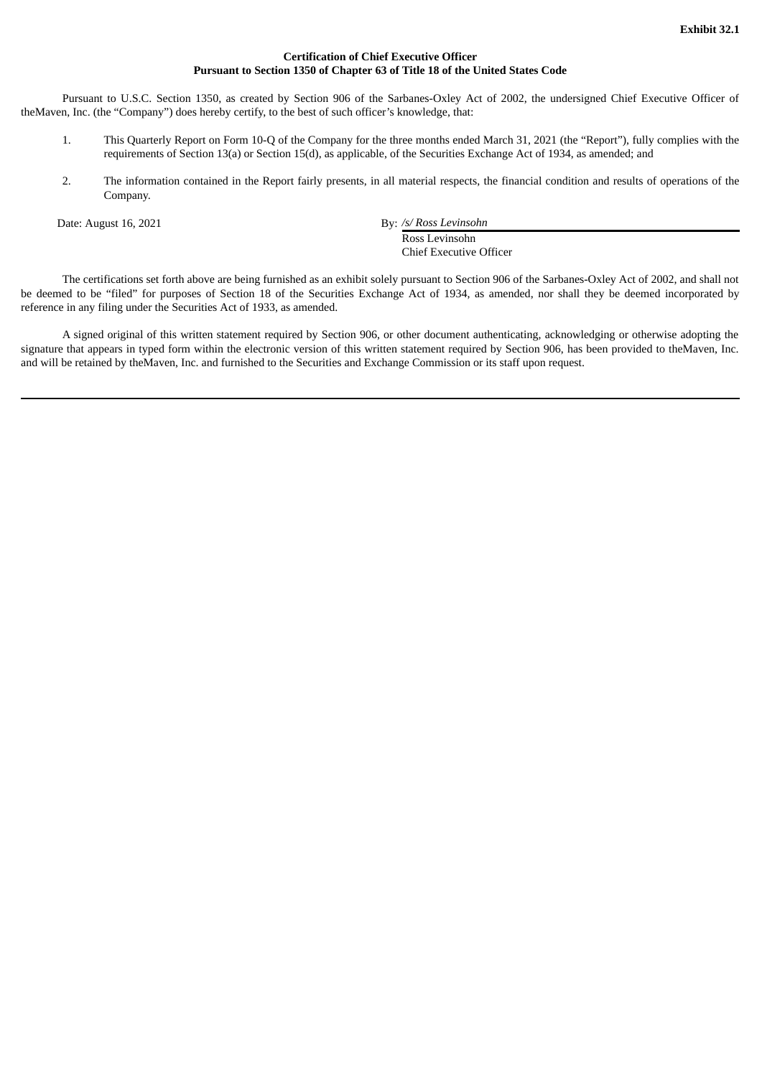#### **Certification of Chief Executive Officer Pursuant to Section 1350 of Chapter 63 of Title 18 of the United States Code**

<span id="page-37-0"></span>Pursuant to U.S.C. Section 1350, as created by Section 906 of the Sarbanes-Oxley Act of 2002, the undersigned Chief Executive Officer of theMaven, Inc. (the "Company") does hereby certify, to the best of such officer's knowledge, that:

- 1. This Quarterly Report on Form 10-Q of the Company for the three months ended March 31, 2021 (the "Report"), fully complies with the requirements of Section 13(a) or Section 15(d), as applicable, of the Securities Exchange Act of 1934, as amended; and
- 2. The information contained in the Report fairly presents, in all material respects, the financial condition and results of operations of the Company.

Date: August 16, 2021 By: /s/ *Ross Levinsohn* 

Ross Levinsohn Chief Executive Officer

The certifications set forth above are being furnished as an exhibit solely pursuant to Section 906 of the Sarbanes-Oxley Act of 2002, and shall not be deemed to be "filed" for purposes of Section 18 of the Securities Exchange Act of 1934, as amended, nor shall they be deemed incorporated by reference in any filing under the Securities Act of 1933, as amended.

A signed original of this written statement required by Section 906, or other document authenticating, acknowledging or otherwise adopting the signature that appears in typed form within the electronic version of this written statement required by Section 906, has been provided to theMaven, Inc. and will be retained by theMaven, Inc. and furnished to the Securities and Exchange Commission or its staff upon request.